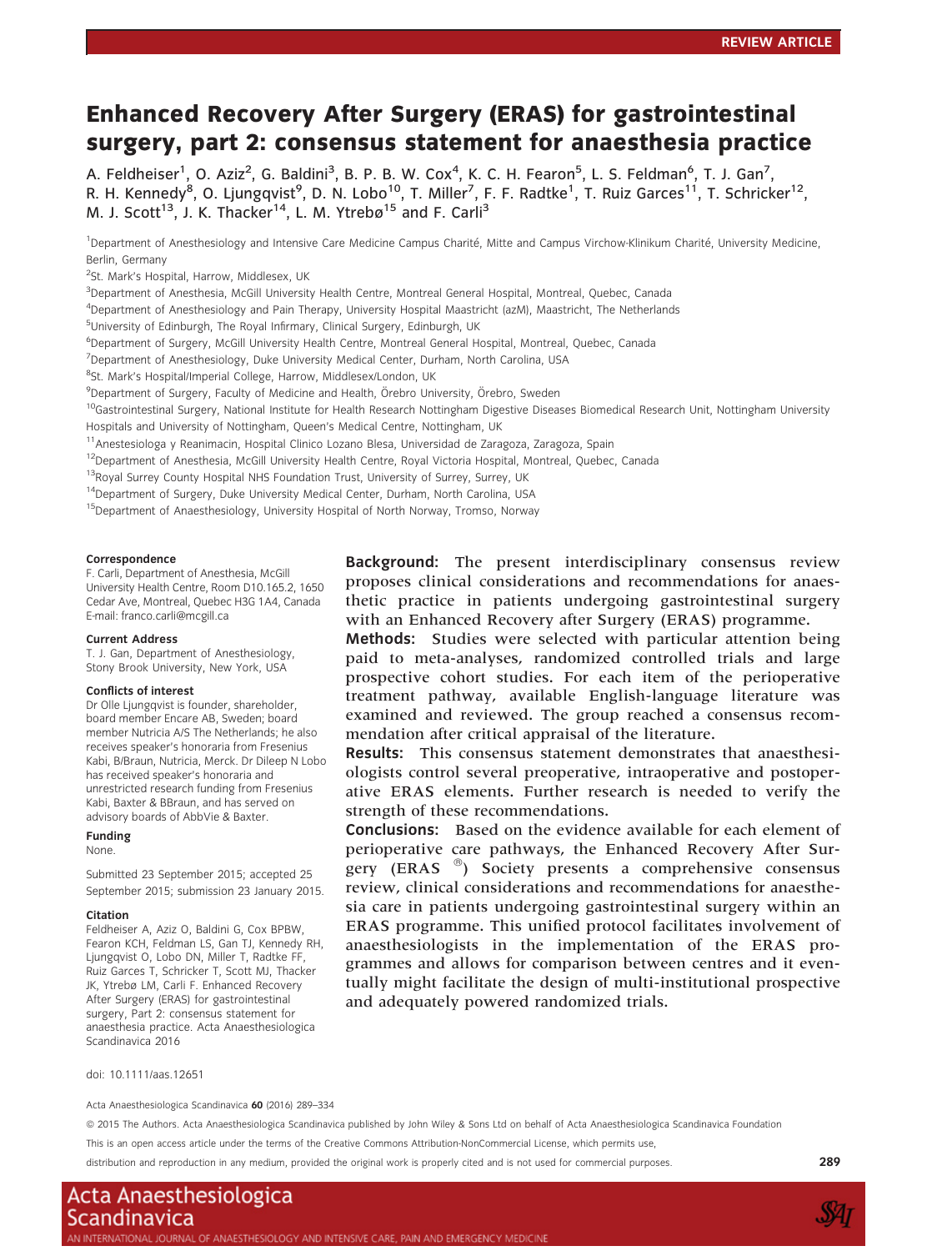# Enhanced Recovery After Surgery (ERAS) for gastrointestinal surgery, part 2: consensus statement for anaesthesia practice

A. Feldheiser $^1$ , O. Aziz $^2$ , G. Baldini $^3$ , B. P. B. W. Cox $^4$ , K. C. H. Fearon $^5$ , L. S. Feldman $^6$ , T. J. Gan $^7$ , R. H. Kennedy<sup>8</sup>, O. Ljungqvist<sup>9</sup>, D. N. Lobo<sup>10</sup>, T. Miller<sup>7</sup>, F. F. Radtke<sup>1</sup>, T. Ruiz Garces<sup>11</sup>, T. Schricker<sup>12</sup>, M. J. Scott<sup>13</sup>, J. K. Thacker<sup>14</sup>, L. M. Ytrebø<sup>15</sup> and F. Carli<sup>3</sup>

<sup>1</sup>Department of Anesthesiology and Intensive Care Medicine Campus Charité, Mitte and Campus Virchow-Klinikum Charité, University Medicine, Berlin, Germany

<sup>2</sup>St. Mark's Hospital, Harrow, Middlesex, UK

3 Department of Anesthesia, McGill University Health Centre, Montreal General Hospital, Montreal, Quebec, Canada

4 Department of Anesthesiology and Pain Therapy, University Hospital Maastricht (azM), Maastricht, The Netherlands

<sup>5</sup>University of Edinburgh, The Royal Infirmary, Clinical Surgery, Edinburgh, UK

6 Department of Surgery, McGill University Health Centre, Montreal General Hospital, Montreal, Quebec, Canada

<sup>7</sup>Department of Anesthesiology, Duke University Medical Center, Durham, North Carolina, USA

<sup>8</sup>St. Mark's Hospital/Imperial College, Harrow, Middlesex/London, UK

<sup>9</sup>Department of Surgery, Faculty of Medicine and Health, Örebro University, Örebro, Sweden

<sup>10</sup>Gastrointestinal Surgery, National Institute for Health Research Nottingham Digestive Diseases Biomedical Research Unit, Nottingham University

Hospitals and University of Nottingham, Queen's Medical Centre, Nottingham, UK

11Anestesiologa y Reanimacin, Hospital Clinico Lozano Blesa, Universidad de Zaragoza, Zaragoza, Spain

<sup>12</sup>Department of Anesthesia, McGill University Health Centre, Royal Victoria Hospital, Montreal, Quebec, Canada

<sup>13</sup>Royal Surrey County Hospital NHS Foundation Trust, University of Surrey, Surrey, UK

<sup>14</sup>Department of Surgery, Duke University Medical Center, Durham, North Carolina, USA

<sup>15</sup>Department of Anaesthesiology, University Hospital of North Norway, Tromso, Norway

### Correspondence

F. Carli, Department of Anesthesia, McGill University Health Centre, Room D10.165.2, 1650 Cedar Ave, Montreal, Quebec H3G 1A4, Canada E-mail: franco.carli@mcgill.ca

### Current Address

T. J. Gan, Department of Anesthesiology, Stony Brook University, New York, USA

#### Conflicts of interest

Dr Olle Ljungqvist is founder, shareholder, board member Encare AB, Sweden; board member Nutricia A/S The Netherlands; he also receives speaker's honoraria from Fresenius Kabi, B/Braun, Nutricia, Merck. Dr Dileep N Lobo has received speaker's honoraria and unrestricted research funding from Fresenius Kabi, Baxter & BBraun, and has served on advisory boards of AbbVie & Baxter.

## Funding

None.

Submitted 23 September 2015; accepted 25 September 2015; submission 23 January 2015.

#### Citation

Feldheiser A, Aziz O, Baldini G, Cox BPBW, Fearon KCH, Feldman LS, Gan TJ, Kennedy RH, Ljungqvist O, Lobo DN, Miller T, Radtke FF, Ruiz Garces T, Schricker T, Scott MJ, Thacker JK, Ytrebø LM, Carli F. Enhanced Recovery After Surgery (ERAS) for gastrointestinal surgery, Part 2: consensus statement for anaesthesia practice. Acta Anaesthesiologica Scandinavica 2016

Background: The present interdisciplinary consensus review proposes clinical considerations and recommendations for anaesthetic practice in patients undergoing gastrointestinal surgery with an Enhanced Recovery after Surgery (ERAS) programme.

Methods: Studies were selected with particular attention being paid to meta-analyses, randomized controlled trials and large prospective cohort studies. For each item of the perioperative treatment pathway, available English-language literature was examined and reviewed. The group reached a consensus recommendation after critical appraisal of the literature.

Results: This consensus statement demonstrates that anaesthesiologists control several preoperative, intraoperative and postoperative ERAS elements. Further research is needed to verify the strength of these recommendations.

Conclusions: Based on the evidence available for each element of perioperative care pathways, the Enhanced Recovery After Surgery (ERAS  $\overset{\circ}{\ }$ ) Society presents a comprehensive consensus review, clinical considerations and recommendations for anaesthesia care in patients undergoing gastrointestinal surgery within an ERAS programme. This unified protocol facilitates involvement of anaesthesiologists in the implementation of the ERAS programmes and allows for comparison between centres and it eventually might facilitate the design of multi-institutional prospective and adequately powered randomized trials.

#### doi: 10.1111/aas.12651

Acta Anaesthesiologica Scandinavica 60 (2016) 289–334

ª 2015 The Authors. Acta Anaesthesiologica Scandinavica published by John Wiley & Sons Ltd on behalf of Acta Anaesthesiologica Scandinavica Foundation

This is an open access article under the terms of the Creative Commons Attribution-NonCommercial License, which permits use,

distribution and reproduction in any medium, provided the original work is properly cited and is not used for commercial purposes. 289

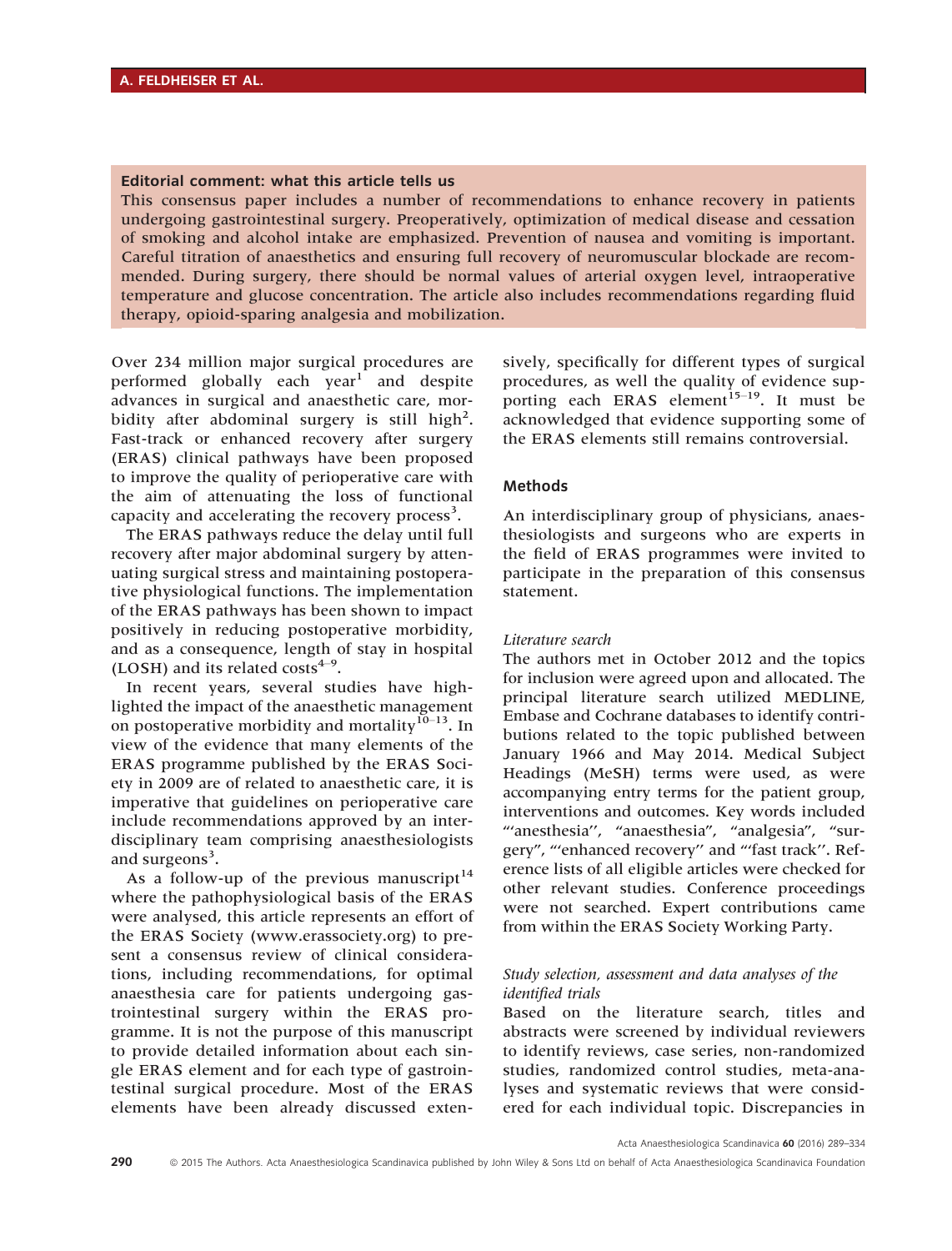### Editorial comment: what this article tells us

This consensus paper includes a number of recommendations to enhance recovery in patients undergoing gastrointestinal surgery. Preoperatively, optimization of medical disease and cessation of smoking and alcohol intake are emphasized. Prevention of nausea and vomiting is important. Careful titration of anaesthetics and ensuring full recovery of neuromuscular blockade are recommended. During surgery, there should be normal values of arterial oxygen level, intraoperative temperature and glucose concentration. The article also includes recommendations regarding fluid therapy, opioid-sparing analgesia and mobilization.

Over 234 million major surgical procedures are performed globally each  $year<sup>1</sup>$  and despite advances in surgical and anaesthetic care, morbidity after abdominal surgery is still high<sup>2</sup>. Fast-track or enhanced recovery after surgery (ERAS) clinical pathways have been proposed to improve the quality of perioperative care with the aim of attenuating the loss of functional capacity and accelerating the recovery process<sup>3</sup>.

The ERAS pathways reduce the delay until full recovery after major abdominal surgery by attenuating surgical stress and maintaining postoperative physiological functions. The implementation of the ERAS pathways has been shown to impact positively in reducing postoperative morbidity, and as a consequence, length of stay in hospital (LOSH) and its related costs $4-9$ .

In recent years, several studies have highlighted the impact of the anaesthetic management on postoperative morbidity and mortality<sup>10–13</sup>. In view of the evidence that many elements of the ERAS programme published by the ERAS Society in 2009 are of related to anaesthetic care, it is imperative that guidelines on perioperative care include recommendations approved by an interdisciplinary team comprising anaesthesiologists and surgeons<sup>3</sup>.

As a follow-up of the previous manuscript<sup>14</sup> where the pathophysiological basis of the ERAS were analysed, this article represents an effort of the ERAS Society [\(www.erassociety.org](http://www.erassociety.org)) to present a consensus review of clinical considerations, including recommendations, for optimal anaesthesia care for patients undergoing gastrointestinal surgery within the ERAS programme. It is not the purpose of this manuscript to provide detailed information about each single ERAS element and for each type of gastrointestinal surgical procedure. Most of the ERAS elements have been already discussed extensively, specifically for different types of surgical procedures, as well the quality of evidence supporting each ERAS element<sup>15-19</sup>. It must be acknowledged that evidence supporting some of the ERAS elements still remains controversial.

### Methods

An interdisciplinary group of physicians, anaesthesiologists and surgeons who are experts in the field of ERAS programmes were invited to participate in the preparation of this consensus statement.

### Literature search

The authors met in October 2012 and the topics for inclusion were agreed upon and allocated. The principal literature search utilized MEDLINE, Embase and Cochrane databases to identify contributions related to the topic published between January 1966 and May 2014. Medical Subject Headings (MeSH) terms were used, as were accompanying entry terms for the patient group, interventions and outcomes. Key words included "'anesthesia", "anaesthesia", "analgesia", "surgery", "'enhanced recovery'' and "'fast track''. Reference lists of all eligible articles were checked for other relevant studies. Conference proceedings were not searched. Expert contributions came from within the ERAS Society Working Party.

## Study selection, assessment and data analyses of the identified trials

Based on the literature search, titles and abstracts were screened by individual reviewers to identify reviews, case series, non-randomized studies, randomized control studies, meta-analyses and systematic reviews that were considered for each individual topic. Discrepancies in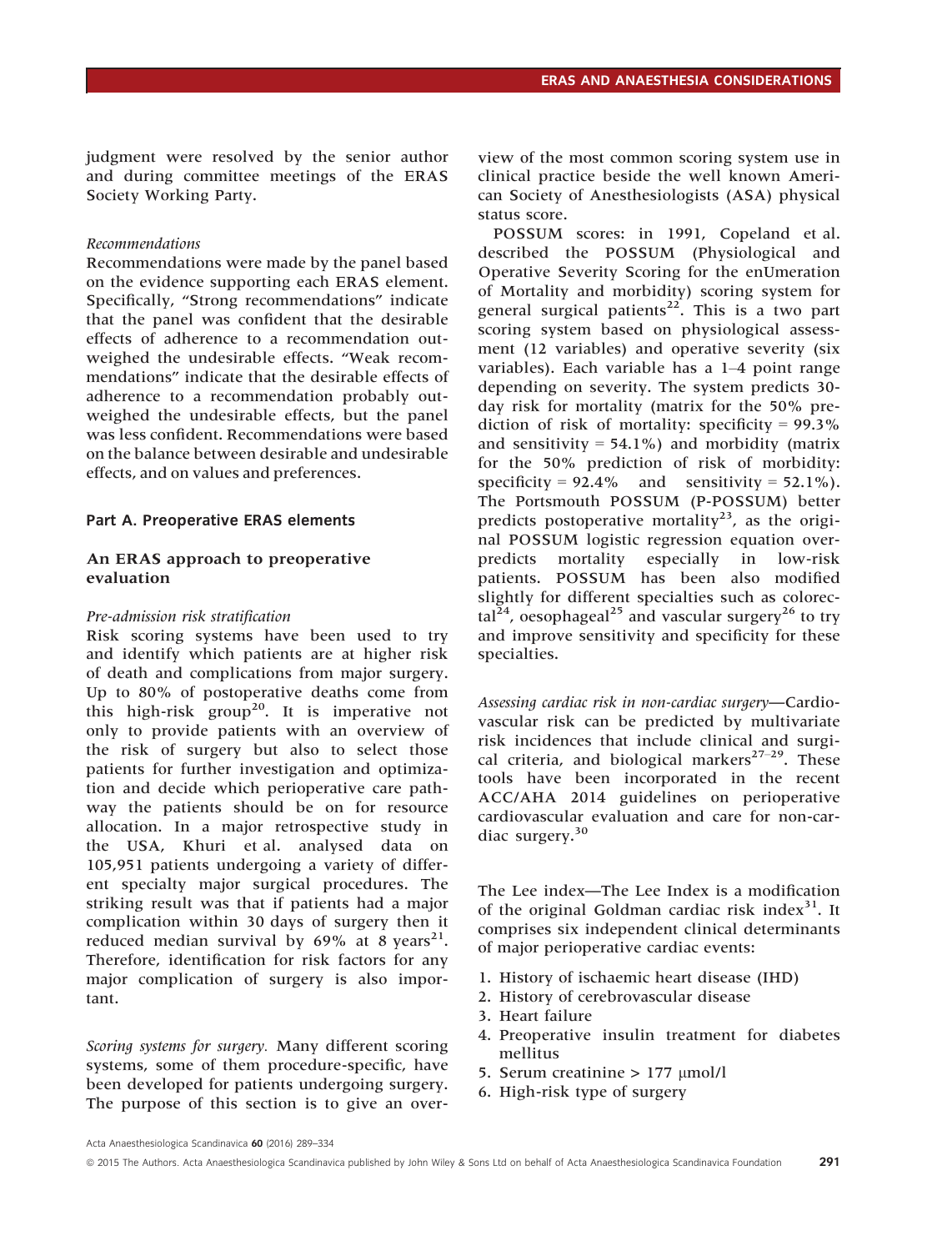judgment were resolved by the senior author and during committee meetings of the ERAS Society Working Party.

### Recommendations

Recommendations were made by the panel based on the evidence supporting each ERAS element. Specifically, "Strong recommendations" indicate that the panel was confident that the desirable effects of adherence to a recommendation outweighed the undesirable effects. "Weak recommendations" indicate that the desirable effects of adherence to a recommendation probably outweighed the undesirable effects, but the panel was less confident. Recommendations were based on the balance between desirable and undesirable effects, and on values and preferences.

## Part A. Preoperative ERAS elements

## An ERAS approach to preoperative evaluation

### Pre-admission risk stratification

Risk scoring systems have been used to try and identify which patients are at higher risk of death and complications from major surgery. Up to 80% of postoperative deaths come from this high-risk group<sup>20</sup>. It is imperative not only to provide patients with an overview of the risk of surgery but also to select those patients for further investigation and optimization and decide which perioperative care pathway the patients should be on for resource allocation. In a major retrospective study in the USA, Khuri et al. analysed data on 105,951 patients undergoing a variety of different specialty major surgical procedures. The striking result was that if patients had a major complication within 30 days of surgery then it reduced median survival by  $69\%$  at 8 years<sup>21</sup>. Therefore, identification for risk factors for any major complication of surgery is also important.

Scoring systems for surgery. Many different scoring systems, some of them procedure-specific, have been developed for patients undergoing surgery. The purpose of this section is to give an over-

view of the most common scoring system use in clinical practice beside the well known American Society of Anesthesiologists (ASA) physical status score.

POSSUM scores: in 1991, Copeland et al. described the POSSUM (Physiological and Operative Severity Scoring for the enUmeration of Mortality and morbidity) scoring system for general surgical patients<sup>22</sup>. This is a two part scoring system based on physiological assessment (12 variables) and operative severity (six variables). Each variable has a 1–4 point range depending on severity. The system predicts 30 day risk for mortality (matrix for the 50% prediction of risk of mortality: specificity =  $99.3\%$ and sensitivity =  $54.1\%$ ) and morbidity (matrix for the 50% prediction of risk of morbidity: specificity =  $92.4\%$  and sensitivity =  $52.1\%$ ). The Portsmouth POSSUM (P-POSSUM) better predicts postoperative mortality<sup>23</sup>, as the original POSSUM logistic regression equation overpredicts mortality especially in low-risk patients. POSSUM has been also modified slightly for different specialties such as colorectal<sup>24</sup>, oesophageal<sup>25</sup> and vascular surgery<sup>26</sup> to try and improve sensitivity and specificity for these specialties.

Assessing cardiac risk in non-cardiac surgery—Cardiovascular risk can be predicted by multivariate risk incidences that include clinical and surgical criteria, and biological markers<sup>27-29</sup>. These tools have been incorporated in the recent ACC/AHA 2014 guidelines on perioperative cardiovascular evaluation and care for non-cardiac surgery.<sup>30</sup>

The Lee index—The Lee Index is a modification of the original Goldman cardiac risk index $31$ . It comprises six independent clinical determinants of major perioperative cardiac events:

- 1. History of ischaemic heart disease (IHD)
- 2. History of cerebrovascular disease
- 3. Heart failure
- 4. Preoperative insulin treatment for diabetes mellitus
- 5. Serum creatinine  $> 177$   $\mu$ mol/l
- 6. High-risk type of surgery

Acta Anaesthesiologica Scandinavica 60 (2016) 289–334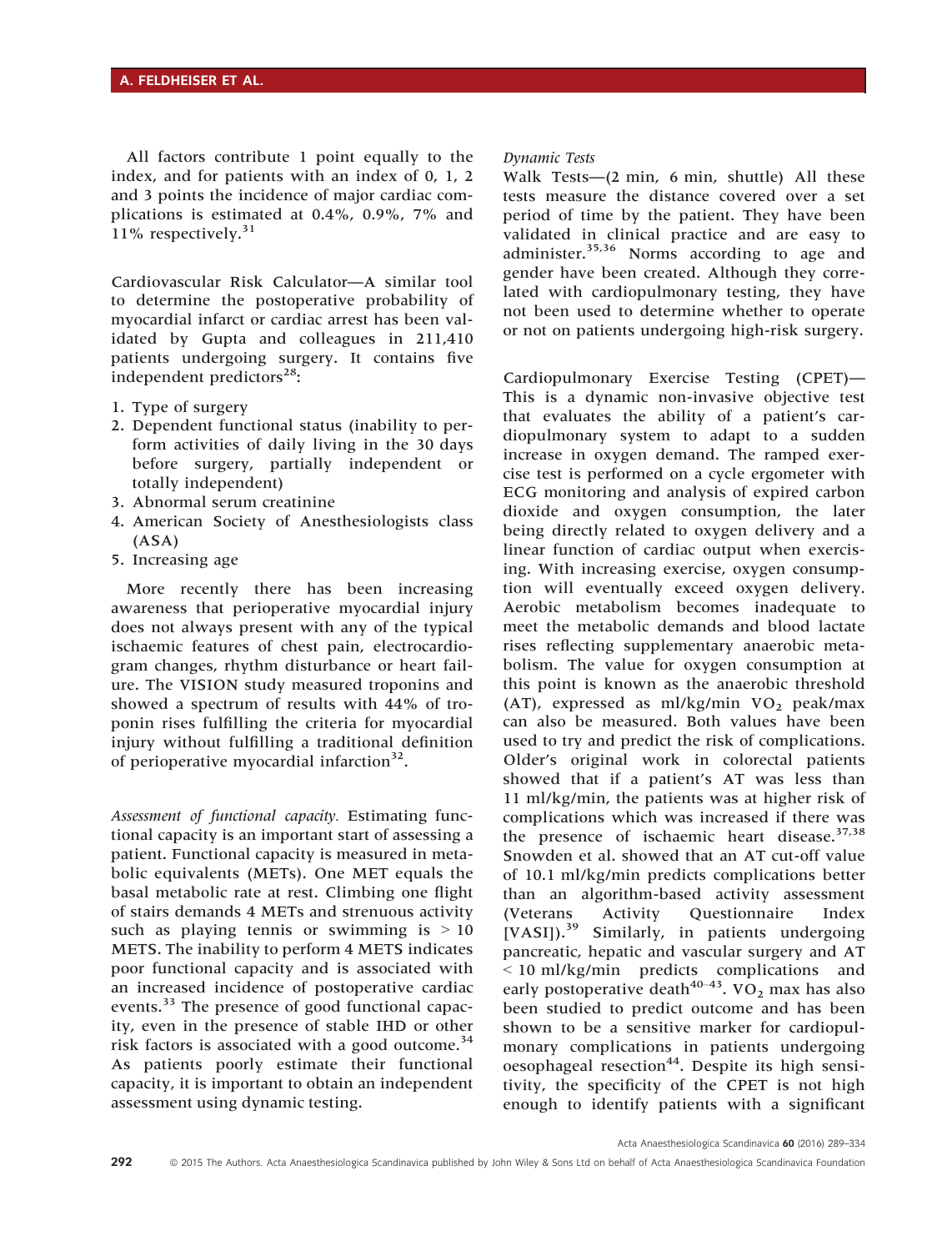All factors contribute 1 point equally to the index, and for patients with an index of 0, 1, 2 and 3 points the incidence of major cardiac complications is estimated at 0.4%, 0.9%, 7% and 11% respectively.<sup>31</sup>

Cardiovascular Risk Calculator—A similar tool to determine the postoperative probability of myocardial infarct or cardiac arrest has been validated by Gupta and colleagues in 211,410 patients undergoing surgery. It contains five independent predictors $^{28}$ :

- 1. Type of surgery
- 2. Dependent functional status (inability to perform activities of daily living in the 30 days before surgery, partially independent or totally independent)
- 3. Abnormal serum creatinine
- 4. American Society of Anesthesiologists class (ASA)
- 5. Increasing age

More recently there has been increasing awareness that perioperative myocardial injury does not always present with any of the typical ischaemic features of chest pain, electrocardiogram changes, rhythm disturbance or heart failure. The VISION study measured troponins and showed a spectrum of results with 44% of troponin rises fulfilling the criteria for myocardial injury without fulfilling a traditional definition of perioperative myocardial infarction<sup>32</sup>.

Assessment of functional capacity. Estimating functional capacity is an important start of assessing a patient. Functional capacity is measured in metabolic equivalents (METs). One MET equals the basal metabolic rate at rest. Climbing one flight of stairs demands 4 METs and strenuous activity such as playing tennis or swimming is  $> 10$ METS. The inability to perform 4 METS indicates poor functional capacity and is associated with an increased incidence of postoperative cardiac events.<sup>33</sup> The presence of good functional capacity, even in the presence of stable IHD or other risk factors is associated with a good outcome.<sup>34</sup> As patients poorly estimate their functional capacity, it is important to obtain an independent assessment using dynamic testing.

### Dynamic Tests

Walk Tests—(2 min, 6 min, shuttle) All these tests measure the distance covered over a set period of time by the patient. They have been validated in clinical practice and are easy to administer. $35,36$  Norms according to age and gender have been created. Although they correlated with cardiopulmonary testing, they have not been used to determine whether to operate or not on patients undergoing high-risk surgery.

Cardiopulmonary Exercise Testing (CPET)— This is a dynamic non-invasive objective test that evaluates the ability of a patient's cardiopulmonary system to adapt to a sudden increase in oxygen demand. The ramped exercise test is performed on a cycle ergometer with ECG monitoring and analysis of expired carbon dioxide and oxygen consumption, the later being directly related to oxygen delivery and a linear function of cardiac output when exercising. With increasing exercise, oxygen consumption will eventually exceed oxygen delivery. Aerobic metabolism becomes inadequate to meet the metabolic demands and blood lactate rises reflecting supplementary anaerobic metabolism. The value for oxygen consumption at this point is known as the anaerobic threshold (AT), expressed as ml/kg/min  $VO<sub>2</sub>$  peak/max can also be measured. Both values have been used to try and predict the risk of complications. Older's original work in colorectal patients showed that if a patient's AT was less than 11 ml/kg/min, the patients was at higher risk of complications which was increased if there was the presence of ischaemic heart disease.<sup>37,38</sup> Snowden et al. showed that an AT cut-off value of 10.1 ml/kg/min predicts complications better than an algorithm-based activity assessment (Veterans Activity Questionnaire Index [VASI]).<sup>39</sup> Similarly, in patients undergoing pancreatic, hepatic and vascular surgery and AT < 10 ml/kg/min predicts complications and early postoperative death<sup>40–43</sup>. VO<sub>2</sub> max has also been studied to predict outcome and has been shown to be a sensitive marker for cardiopulmonary complications in patients undergoing oesophageal resection<sup>44</sup>. Despite its high sensitivity, the specificity of the CPET is not high enough to identify patients with a significant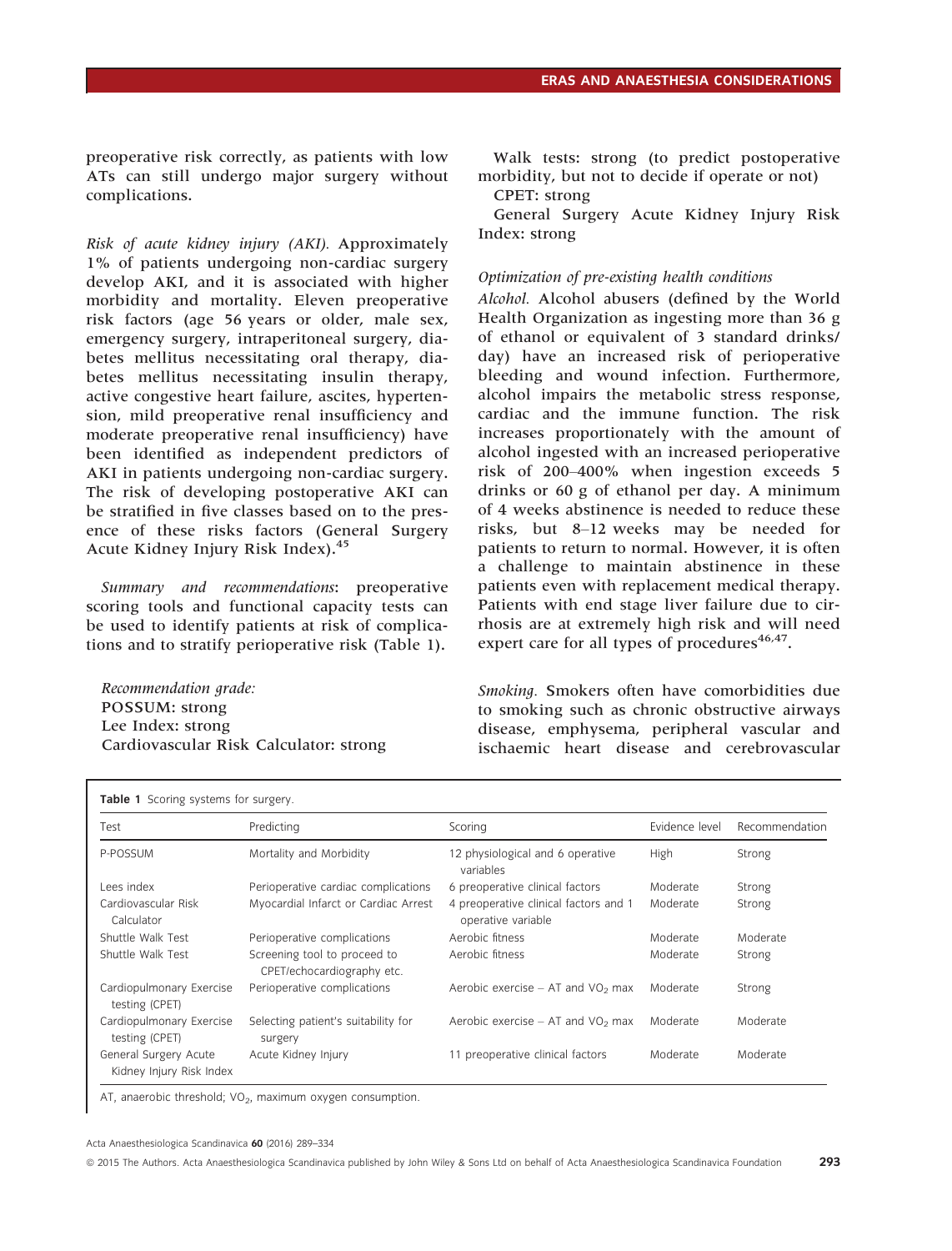preoperative risk correctly, as patients with low ATs can still undergo major surgery without complications.

Risk of acute kidney injury (AKI). Approximately 1% of patients undergoing non-cardiac surgery develop AKI, and it is associated with higher morbidity and mortality. Eleven preoperative risk factors (age 56 years or older, male sex, emergency surgery, intraperitoneal surgery, diabetes mellitus necessitating oral therapy, diabetes mellitus necessitating insulin therapy, active congestive heart failure, ascites, hypertension, mild preoperative renal insufficiency and moderate preoperative renal insufficiency) have been identified as independent predictors of AKI in patients undergoing non-cardiac surgery. The risk of developing postoperative AKI can be stratified in five classes based on to the presence of these risks factors (General Surgery Acute Kidney Injury Risk Index).<sup>45</sup>

Summary and recommendations: preoperative scoring tools and functional capacity tests can be used to identify patients at risk of complications and to stratify perioperative risk (Table 1).

Recommendation grade: POSSUM: strong Lee Index: strong Cardiovascular Risk Calculator: strong

Walk tests: strong (to predict postoperative morbidity, but not to decide if operate or not)

CPET: strong

General Surgery Acute Kidney Injury Risk Index: strong

## Optimization of pre-existing health conditions

Alcohol. Alcohol abusers (defined by the World Health Organization as ingesting more than 36 g of ethanol or equivalent of 3 standard drinks/ day) have an increased risk of perioperative bleeding and wound infection. Furthermore, alcohol impairs the metabolic stress response, cardiac and the immune function. The risk increases proportionately with the amount of alcohol ingested with an increased perioperative risk of 200–400% when ingestion exceeds 5 drinks or 60 g of ethanol per day. A minimum of 4 weeks abstinence is needed to reduce these risks, but 8–12 weeks may be needed for patients to return to normal. However, it is often a challenge to maintain abstinence in these patients even with replacement medical therapy. Patients with end stage liver failure due to cirrhosis are at extremely high risk and will need expert care for all types of procedures<sup>46,47</sup>.

Smoking. Smokers often have comorbidities due to smoking such as chronic obstructive airways disease, emphysema, peripheral vascular and ischaemic heart disease and cerebrovascular

| Table 1 Scoring systems for surgery.              |                                                            |                                                             |                |                |
|---------------------------------------------------|------------------------------------------------------------|-------------------------------------------------------------|----------------|----------------|
| Test                                              | Predicting                                                 | Scoring                                                     | Evidence level | Recommendation |
| P-POSSUM                                          | Mortality and Morbidity                                    | 12 physiological and 6 operative<br>variables               | High           | Strong         |
| Lees index                                        | Perioperative cardiac complications                        | 6 preoperative clinical factors                             | Moderate       | Strong         |
| Cardiovascular Risk<br>Calculator                 | Myocardial Infarct or Cardiac Arrest                       | 4 preoperative clinical factors and 1<br>operative variable | Moderate       | Strong         |
| Shuttle Walk Test                                 | Perioperative complications                                | Aerobic fitness                                             | Moderate       | Moderate       |
| Shuttle Walk Test                                 | Screening tool to proceed to<br>CPET/echocardiography etc. | Aerobic fitness                                             | Moderate       | Strong         |
| Cardiopulmonary Exercise<br>testing (CPET)        | Perioperative complications                                | Aerobic exercise $-$ AT and VO <sub>2</sub> max             | Moderate       | Strong         |
| Cardiopulmonary Exercise<br>testing (CPET)        | Selecting patient's suitability for<br>surgery             | Aerobic exercise $-$ AT and VO <sub>2</sub> max             | Moderate       | Moderate       |
| General Surgery Acute<br>Kidney Injury Risk Index | Acute Kidney Injury                                        | 11 preoperative clinical factors                            | Moderate       | Moderate       |

AT, anaerobic threshold;  $VO<sub>2</sub>$ , maximum oxygen consumption.

Acta Anaesthesiologica Scandinavica 60 (2016) 289–334

© 2015 The Authors. Acta Anaesthesiologica Scandinavica published by John Wiley & Sons Ltd on behalf of Acta Anaesthesiologica Scandinavica Foundation 293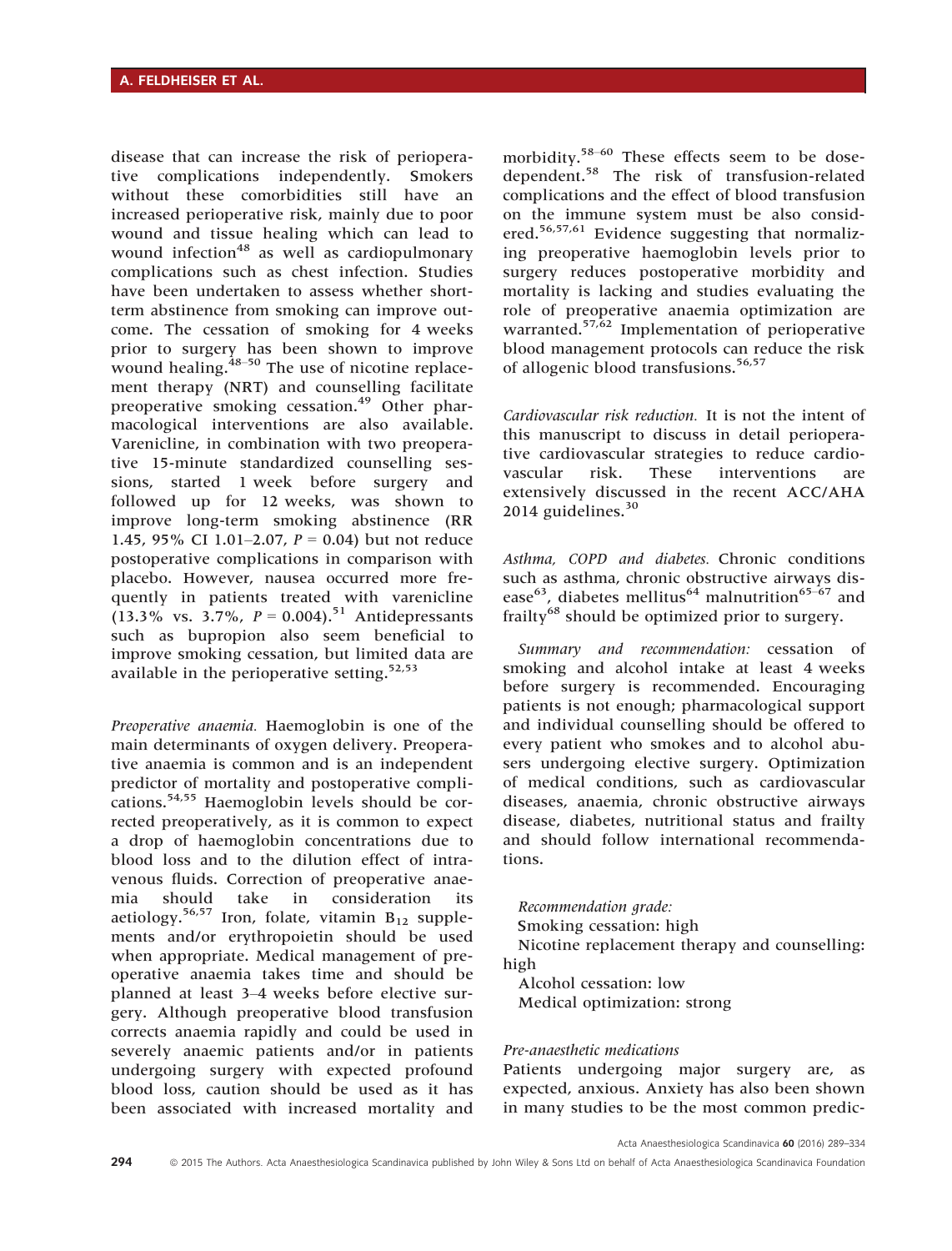disease that can increase the risk of perioperative complications independently. Smokers without these comorbidities still have an increased perioperative risk, mainly due to poor wound and tissue healing which can lead to wound infection<sup>48</sup> as well as cardiopulmonary complications such as chest infection. Studies have been undertaken to assess whether shortterm abstinence from smoking can improve outcome. The cessation of smoking for 4 weeks prior to surgery has been shown to improve wound healing. $48-50$  The use of nicotine replacement therapy (NRT) and counselling facilitate preoperative smoking cessation.<sup>49</sup> Other pharmacological interventions are also available. Varenicline, in combination with two preoperative 15-minute standardized counselling sessions, started 1 week before surgery and followed up for 12 weeks, was shown to improve long-term smoking abstinence (RR 1.45, 95% CI 1.01–2.07,  $P = 0.04$ ) but not reduce postoperative complications in comparison with placebo. However, nausea occurred more frequently in patients treated with varenicline  $(13.3\% \text{ vs. } 3.7\%, P = 0.004).$ <sup>51</sup> Antidepressants such as bupropion also seem beneficial to improve smoking cessation, but limited data are available in the perioperative setting.<sup>52,53</sup>

Preoperative anaemia. Haemoglobin is one of the main determinants of oxygen delivery. Preoperative anaemia is common and is an independent predictor of mortality and postoperative complications.54,55 Haemoglobin levels should be corrected preoperatively, as it is common to expect a drop of haemoglobin concentrations due to blood loss and to the dilution effect of intravenous fluids. Correction of preoperative anaemia should take in consideration its aetiology.<sup>56,57</sup> Iron, folate, vitamin  $B_{12}$  supplements and/or erythropoietin should be used when appropriate. Medical management of preoperative anaemia takes time and should be planned at least 3–4 weeks before elective surgery. Although preoperative blood transfusion corrects anaemia rapidly and could be used in severely anaemic patients and/or in patients undergoing surgery with expected profound blood loss, caution should be used as it has been associated with increased mortality and morbidity.<sup>58–60</sup> These effects seem to be dosedependent.<sup>58</sup> The risk of transfusion-related complications and the effect of blood transfusion on the immune system must be also considered.<sup>56,57,61</sup> Evidence suggesting that normalizing preoperative haemoglobin levels prior to surgery reduces postoperative morbidity and mortality is lacking and studies evaluating the role of preoperative anaemia optimization are warranted.<sup>57,62</sup> Implementation of perioperative blood management protocols can reduce the risk of allogenic blood transfusions.<sup>56,57</sup>

Cardiovascular risk reduction. It is not the intent of this manuscript to discuss in detail perioperative cardiovascular strategies to reduce cardiovascular risk. These interventions are extensively discussed in the recent ACC/AHA 2014 guidelines.<sup>30</sup>

Asthma, COPD and diabetes. Chronic conditions such as asthma, chronic obstructive airways disease<sup>63</sup>, diabetes mellitus<sup>64</sup> malnutrition<sup>65–67</sup> and frailty<sup>68</sup> should be optimized prior to surgery.

Summary and recommendation: cessation of smoking and alcohol intake at least 4 weeks before surgery is recommended. Encouraging patients is not enough; pharmacological support and individual counselling should be offered to every patient who smokes and to alcohol abusers undergoing elective surgery. Optimization of medical conditions, such as cardiovascular diseases, anaemia, chronic obstructive airways disease, diabetes, nutritional status and frailty and should follow international recommendations.

## Recommendation grade:

Smoking cessation: high

Nicotine replacement therapy and counselling: high

Alcohol cessation: low Medical optimization: strong

### Pre-anaesthetic medications

Patients undergoing major surgery are, as expected, anxious. Anxiety has also been shown in many studies to be the most common predic-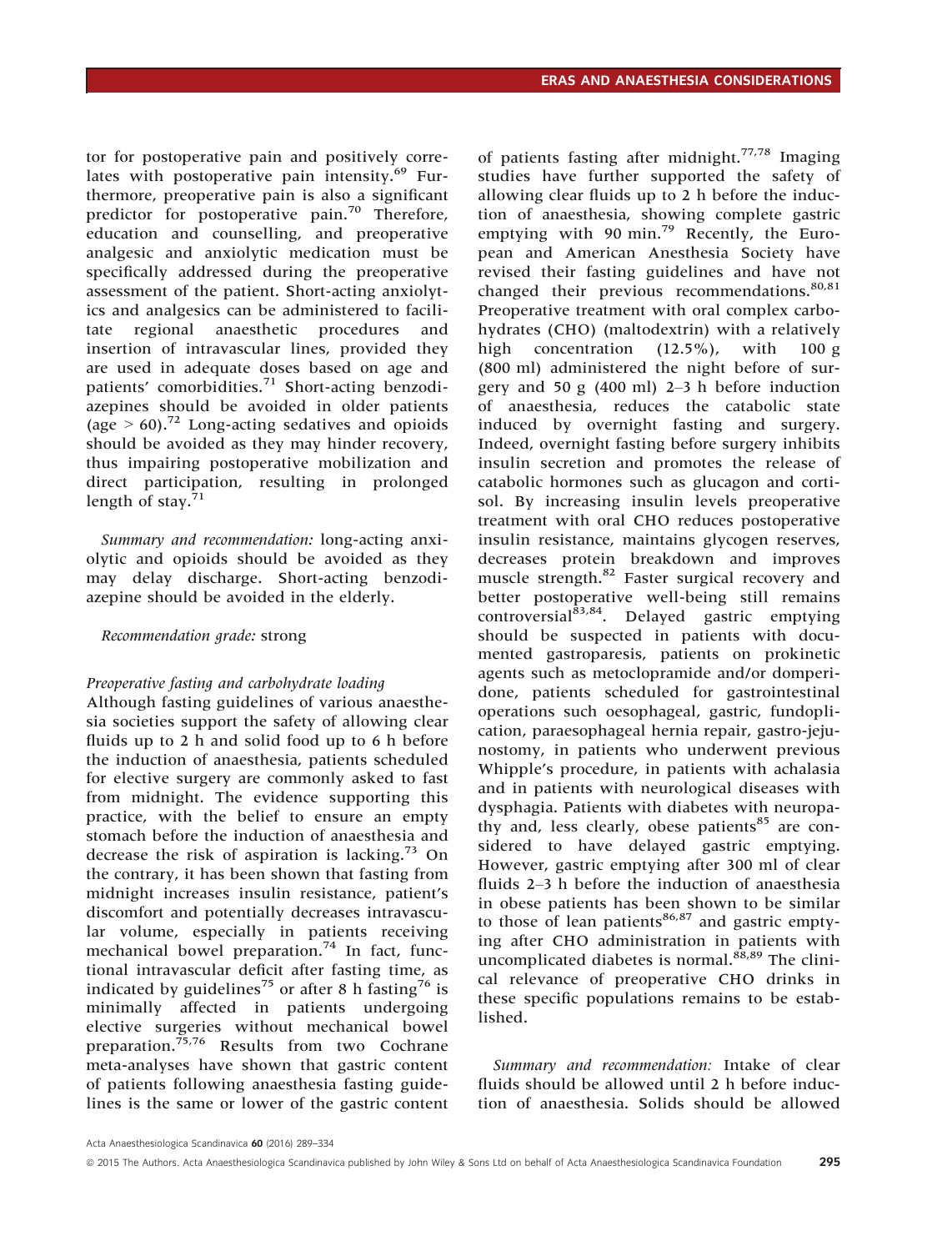tor for postoperative pain and positively correlates with postoperative pain intensity.<sup>69</sup> Furthermore, preoperative pain is also a significant predictor for postoperative pain.<sup>70</sup> Therefore, education and counselling, and preoperative analgesic and anxiolytic medication must be specifically addressed during the preoperative assessment of the patient. Short-acting anxiolytics and analgesics can be administered to facilitate regional anaesthetic procedures and insertion of intravascular lines, provided they are used in adequate doses based on age and patients' comorbidities.<sup>71</sup> Short-acting benzodiazepines should be avoided in older patients (age  $>$  60).<sup>72</sup> Long-acting sedatives and opioids should be avoided as they may hinder recovery, thus impairing postoperative mobilization and direct participation, resulting in prolonged length of stay. $71$ 

Summary and recommendation: long-acting anxiolytic and opioids should be avoided as they may delay discharge. Short-acting benzodiazepine should be avoided in the elderly.

### Recommendation grade: strong

### Preoperative fasting and carbohydrate loading

Although fasting guidelines of various anaesthesia societies support the safety of allowing clear fluids up to 2 h and solid food up to 6 h before the induction of anaesthesia, patients scheduled for elective surgery are commonly asked to fast from midnight. The evidence supporting this practice, with the belief to ensure an empty stomach before the induction of anaesthesia and decrease the risk of aspiration is lacking.<sup>73</sup> On the contrary, it has been shown that fasting from midnight increases insulin resistance, patient's discomfort and potentially decreases intravascular volume, especially in patients receiving mechanical bowel preparation.<sup>74</sup> In fact, functional intravascular deficit after fasting time, as indicated by guidelines<sup>75</sup> or after 8 h fasting<sup>76</sup> is minimally affected in patients undergoing elective surgeries without mechanical bowel preparation.<sup> $75,76$ </sup> Results from two Cochrane meta-analyses have shown that gastric content of patients following anaesthesia fasting guidelines is the same or lower of the gastric content of patients fasting after midnight.77,78 Imaging studies have further supported the safety of allowing clear fluids up to 2 h before the induction of anaesthesia, showing complete gastric emptying with 90 min.<sup>79</sup> Recently, the European and American Anesthesia Society have revised their fasting guidelines and have not changed their previous recommendations.<sup>80,81</sup> Preoperative treatment with oral complex carbohydrates (CHO) (maltodextrin) with a relatively high concentration (12.5%), with 100 g (800 ml) administered the night before of surgery and 50 g (400 ml) 2–3 h before induction of anaesthesia, reduces the catabolic state induced by overnight fasting and surgery. Indeed, overnight fasting before surgery inhibits insulin secretion and promotes the release of catabolic hormones such as glucagon and cortisol. By increasing insulin levels preoperative treatment with oral CHO reduces postoperative insulin resistance, maintains glycogen reserves, decreases protein breakdown and improves muscle strength.<sup>82</sup> Faster surgical recovery and better postoperative well-being still remains  $controversial<sup>83,84</sup>$ . Delayed gastric emptying should be suspected in patients with documented gastroparesis, patients on prokinetic agents such as metoclopramide and/or domperidone, patients scheduled for gastrointestinal operations such oesophageal, gastric, fundoplication, paraesophageal hernia repair, gastro-jejunostomy, in patients who underwent previous Whipple's procedure, in patients with achalasia and in patients with neurological diseases with dysphagia. Patients with diabetes with neuropathy and, less clearly, obese patients $85$  are considered to have delayed gastric emptying. However, gastric emptying after 300 ml of clear fluids 2–3 h before the induction of anaesthesia in obese patients has been shown to be similar to those of lean patients $86,87$  and gastric emptying after CHO administration in patients with uncomplicated diabetes is normal.<sup>88,89</sup> The clinical relevance of preoperative CHO drinks in these specific populations remains to be established.

Summary and recommendation: Intake of clear fluids should be allowed until 2 h before induction of anaesthesia. Solids should be allowed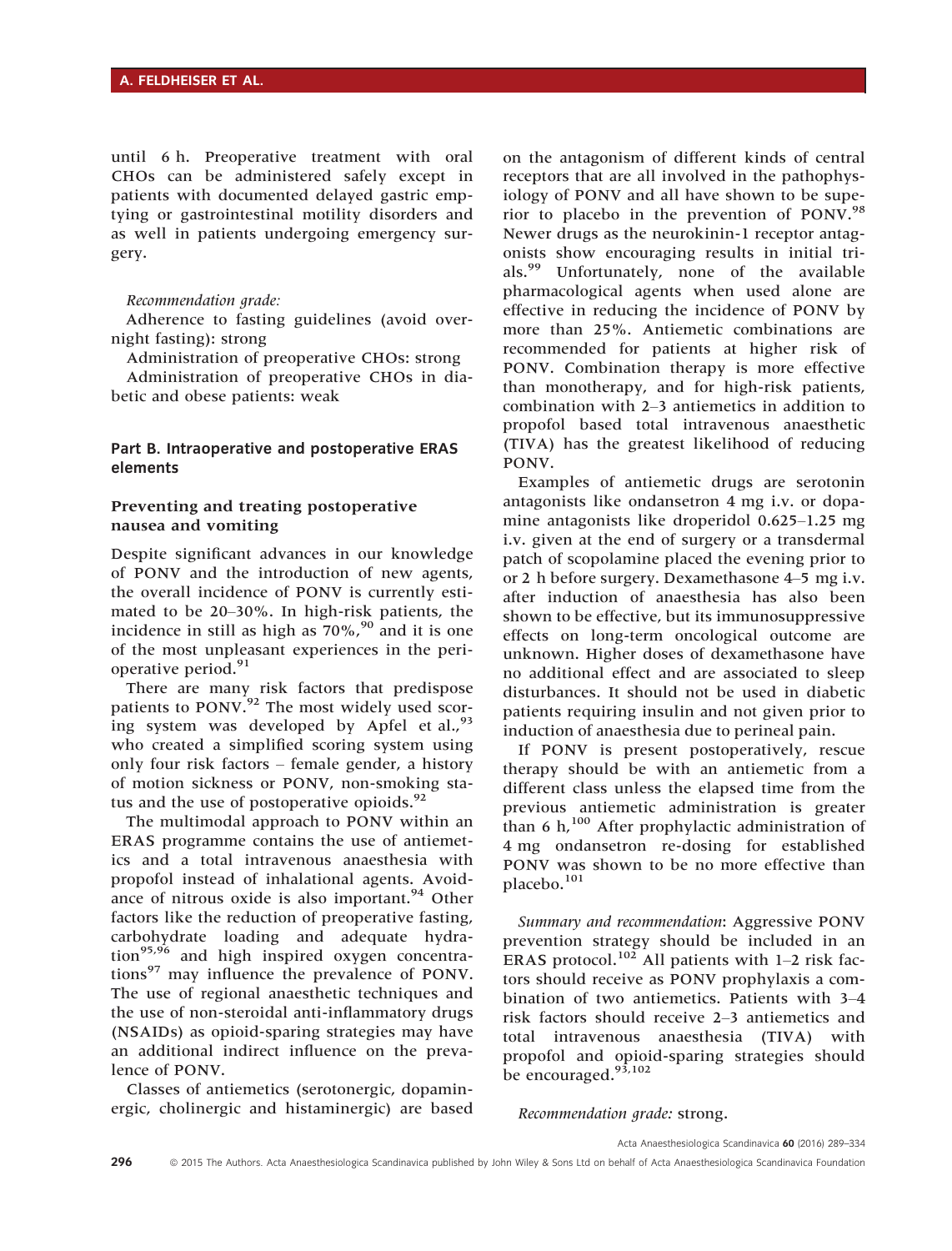until 6 h. Preoperative treatment with oral CHOs can be administered safely except in patients with documented delayed gastric emptying or gastrointestinal motility disorders and as well in patients undergoing emergency surgery.

### Recommendation grade:

Adherence to fasting guidelines (avoid overnight fasting): strong

Administration of preoperative CHOs: strong

Administration of preoperative CHOs in diabetic and obese patients: weak

## Part B. Intraoperative and postoperative ERAS elements

## Preventing and treating postoperative nausea and vomiting

Despite significant advances in our knowledge of PONV and the introduction of new agents, the overall incidence of PONV is currently estimated to be 20–30%. In high-risk patients, the incidence in still as high as  $70\%$ ,  $90^{\circ}$  and it is one of the most unpleasant experiences in the perioperative period.<sup>91</sup>

There are many risk factors that predispose patients to PONV.<sup>92</sup> The most widely used scoring system was developed by Apfel et al.,<sup>93</sup> who created a simplified scoring system using only four risk factors – female gender, a history of motion sickness or PONV, non-smoking status and the use of postoperative opioids.<sup>92</sup>

The multimodal approach to PONV within an ERAS programme contains the use of antiemetics and a total intravenous anaesthesia with propofol instead of inhalational agents. Avoidance of nitrous oxide is also important.<sup>94</sup> Other factors like the reduction of preoperative fasting, carbohydrate loading and adequate hydration<sup>95,96</sup> and high inspired oxygen concentrations<sup>97</sup> may influence the prevalence of PONV. The use of regional anaesthetic techniques and the use of non-steroidal anti-inflammatory drugs (NSAIDs) as opioid-sparing strategies may have an additional indirect influence on the prevalence of PONV.

Classes of antiemetics (serotonergic, dopaminergic, cholinergic and histaminergic) are based on the antagonism of different kinds of central receptors that are all involved in the pathophysiology of PONV and all have shown to be superior to placebo in the prevention of PONV.<sup>98</sup> Newer drugs as the neurokinin-1 receptor antagonists show encouraging results in initial trials.<sup>99</sup> Unfortunately, none of the available pharmacological agents when used alone are effective in reducing the incidence of PONV by more than 25%. Antiemetic combinations are recommended for patients at higher risk of PONV. Combination therapy is more effective than monotherapy, and for high-risk patients, combination with 2–3 antiemetics in addition to propofol based total intravenous anaesthetic (TIVA) has the greatest likelihood of reducing PONV.

Examples of antiemetic drugs are serotonin antagonists like ondansetron 4 mg i.v. or dopamine antagonists like droperidol 0.625–1.25 mg i.v. given at the end of surgery or a transdermal patch of scopolamine placed the evening prior to or 2 h before surgery. Dexamethasone 4–5 mg i.v. after induction of anaesthesia has also been shown to be effective, but its immunosuppressive effects on long-term oncological outcome are unknown. Higher doses of dexamethasone have no additional effect and are associated to sleep disturbances. It should not be used in diabetic patients requiring insulin and not given prior to induction of anaesthesia due to perineal pain.

If PONV is present postoperatively, rescue therapy should be with an antiemetic from a different class unless the elapsed time from the previous antiemetic administration is greater than 6  $h$ ,<sup>100</sup> After prophylactic administration of 4 mg ondansetron re-dosing for established PONV was shown to be no more effective than placebo.<sup>101</sup>

Summary and recommendation: Aggressive PONV prevention strategy should be included in an ERAS protocol.<sup>102</sup> All patients with 1–2 risk factors should receive as PONV prophylaxis a combination of two antiemetics. Patients with 3–4 risk factors should receive 2–3 antiemetics and total intravenous anaesthesia (TIVA) with propofol and opioid-sparing strategies should be encouraged.<sup>93,102</sup>

Recommendation grade: strong.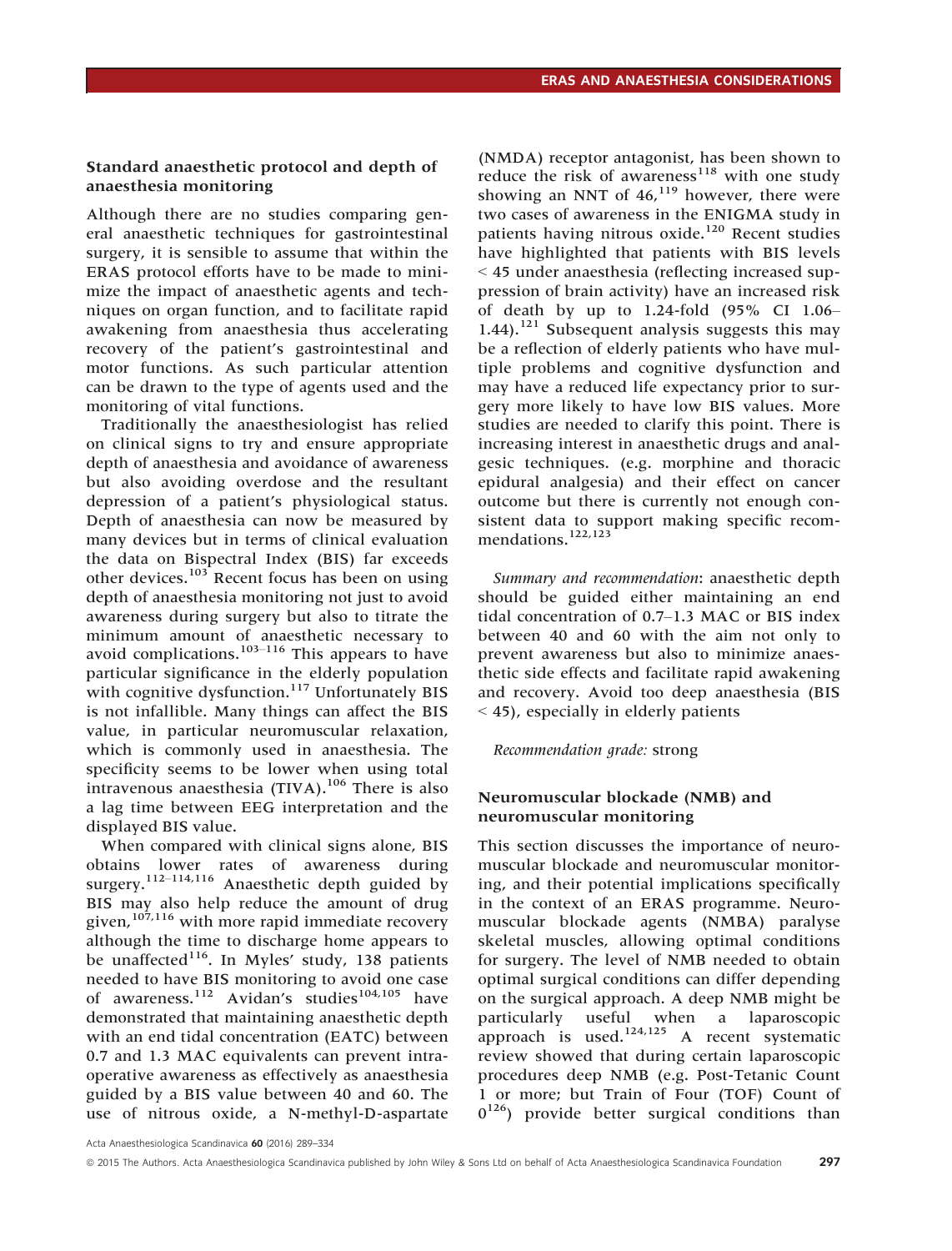## Standard anaesthetic protocol and depth of anaesthesia monitoring

Although there are no studies comparing general anaesthetic techniques for gastrointestinal surgery, it is sensible to assume that within the ERAS protocol efforts have to be made to minimize the impact of anaesthetic agents and techniques on organ function, and to facilitate rapid awakening from anaesthesia thus accelerating recovery of the patient's gastrointestinal and motor functions. As such particular attention can be drawn to the type of agents used and the monitoring of vital functions.

Traditionally the anaesthesiologist has relied on clinical signs to try and ensure appropriate depth of anaesthesia and avoidance of awareness but also avoiding overdose and the resultant depression of a patient's physiological status. Depth of anaesthesia can now be measured by many devices but in terms of clinical evaluation the data on Bispectral Index (BIS) far exceeds other devices.<sup>103</sup> Recent focus has been on using depth of anaesthesia monitoring not just to avoid awareness during surgery but also to titrate the minimum amount of anaesthetic necessary to avoid complications.<sup>103–116</sup> This appears to have particular significance in the elderly population with cognitive dysfunction.<sup>117</sup> Unfortunately BIS is not infallible. Many things can affect the BIS value, in particular neuromuscular relaxation, which is commonly used in anaesthesia. The specificity seems to be lower when using total intravenous anaesthesia (TIVA).<sup>106</sup> There is also a lag time between EEG interpretation and the displayed BIS value.

When compared with clinical signs alone, BIS obtains lower rates of awareness during surgery.<sup>112–114,116</sup> Anaesthetic depth guided by BIS may also help reduce the amount of drug given,  $10^{7,116}$  with more rapid immediate recovery although the time to discharge home appears to be unaffected<sup>116</sup>. In Myles' study, 138 patients needed to have BIS monitoring to avoid one case of awareness.<sup>112</sup> Avidan's studies<sup>104,105</sup> have demonstrated that maintaining anaesthetic depth with an end tidal concentration (EATC) between 0.7 and 1.3 MAC equivalents can prevent intraoperative awareness as effectively as anaesthesia guided by a BIS value between 40 and 60. The use of nitrous oxide, a N-methyl-D-aspartate

(NMDA) receptor antagonist, has been shown to reduce the risk of awareness $118$  with one study showing an NNT of  $46<sup>119</sup>$  however, there were two cases of awareness in the ENIGMA study in patients having nitrous oxide.<sup>120</sup> Recent studies have highlighted that patients with BIS levels < 45 under anaesthesia (reflecting increased suppression of brain activity) have an increased risk of death by up to 1.24-fold (95% CI 1.06– 1.44).<sup>121</sup> Subsequent analysis suggests this may be a reflection of elderly patients who have multiple problems and cognitive dysfunction and may have a reduced life expectancy prior to surgery more likely to have low BIS values. More studies are needed to clarify this point. There is increasing interest in anaesthetic drugs and analgesic techniques. (e.g. morphine and thoracic epidural analgesia) and their effect on cancer outcome but there is currently not enough consistent data to support making specific recommendations.<sup>122,123</sup>

Summary and recommendation: anaesthetic depth should be guided either maintaining an end tidal concentration of 0.7–1.3 MAC or BIS index between 40 and 60 with the aim not only to prevent awareness but also to minimize anaesthetic side effects and facilitate rapid awakening and recovery. Avoid too deep anaesthesia (BIS < 45), especially in elderly patients

Recommendation grade: strong

## Neuromuscular blockade (NMB) and neuromuscular monitoring

This section discusses the importance of neuromuscular blockade and neuromuscular monitoring, and their potential implications specifically in the context of an ERAS programme. Neuromuscular blockade agents (NMBA) paralyse skeletal muscles, allowing optimal conditions for surgery. The level of NMB needed to obtain optimal surgical conditions can differ depending on the surgical approach. A deep NMB might be particularly useful when a laparoscopic approach is used. $124,125$  A recent systematic review showed that during certain laparoscopic procedures deep NMB (e.g. Post-Tetanic Count 1 or more; but Train of Four (TOF) Count of  $0^{126}$ ) provide better surgical conditions than

Acta Anaesthesiologica Scandinavica 60 (2016) 289–334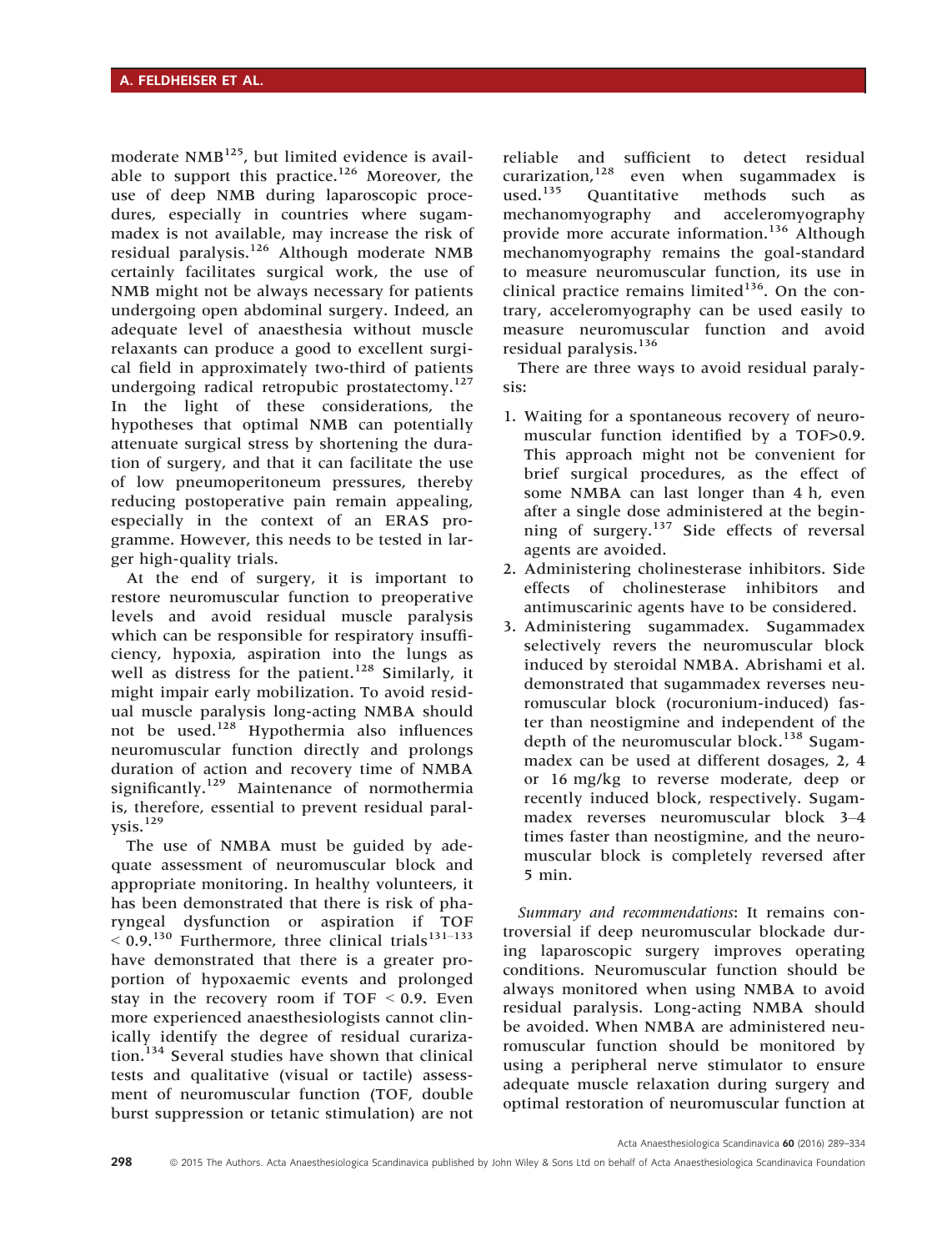moderate NMB<sup>125</sup>, but limited evidence is available to support this practice.<sup>126</sup> Moreover, the use of deep NMB during laparoscopic procedures, especially in countries where sugammadex is not available, may increase the risk of residual paralysis.<sup>126</sup> Although moderate NMB certainly facilitates surgical work, the use of NMB might not be always necessary for patients undergoing open abdominal surgery. Indeed, an adequate level of anaesthesia without muscle relaxants can produce a good to excellent surgical field in approximately two-third of patients undergoing radical retropubic prostatectomy. $127$ In the light of these considerations, the hypotheses that optimal NMB can potentially attenuate surgical stress by shortening the duration of surgery, and that it can facilitate the use of low pneumoperitoneum pressures, thereby reducing postoperative pain remain appealing, especially in the context of an ERAS programme. However, this needs to be tested in larger high-quality trials.

At the end of surgery, it is important to restore neuromuscular function to preoperative levels and avoid residual muscle paralysis which can be responsible for respiratory insufficiency, hypoxia, aspiration into the lungs as well as distress for the patient.<sup>128</sup> Similarly, it might impair early mobilization. To avoid residual muscle paralysis long-acting NMBA should not be used.<sup>128</sup> Hypothermia also influences neuromuscular function directly and prolongs duration of action and recovery time of NMBA significantly.<sup>129</sup> Maintenance of normothermia is, therefore, essential to prevent residual paralysis.<sup>129</sup>

The use of NMBA must be guided by adequate assessment of neuromuscular block and appropriate monitoring. In healthy volunteers, it has been demonstrated that there is risk of pharyngeal dysfunction or aspiration if TOF  $< 0.9$ ,  $^{130}$  Furthermore, three clinical trials<sup>131-133</sup> have demonstrated that there is a greater proportion of hypoxaemic events and prolonged stay in the recovery room if  $TOF < 0.9$ . Even more experienced anaesthesiologists cannot clinically identify the degree of residual curarization.<sup>134</sup> Several studies have shown that clinical tests and qualitative (visual or tactile) assessment of neuromuscular function (TOF, double burst suppression or tetanic stimulation) are not

reliable and sufficient to detect residual curarization,<sup>128</sup> even when sugammadex is used.<sup>135</sup> Quantitative methods such as mechanomyography and acceleromyography provide more accurate information.<sup>136</sup> Although mechanomyography remains the goal-standard to measure neuromuscular function, its use in clinical practice remains limited<sup>136</sup>. On the contrary, acceleromyography can be used easily to measure neuromuscular function and avoid residual paralysis.<sup>136</sup>

There are three ways to avoid residual paralysis:

- 1. Waiting for a spontaneous recovery of neuromuscular function identified by a TOF>0.9. This approach might not be convenient for brief surgical procedures, as the effect of some NMBA can last longer than 4 h, even after a single dose administered at the beginning of surgery.<sup>137</sup> Side effects of reversal agents are avoided.
- 2. Administering cholinesterase inhibitors. Side effects of cholinesterase inhibitors and antimuscarinic agents have to be considered.
- 3. Administering sugammadex. Sugammadex selectively revers the neuromuscular block induced by steroidal NMBA. Abrishami et al. demonstrated that sugammadex reverses neuromuscular block (rocuronium-induced) faster than neostigmine and independent of the depth of the neuromuscular block.<sup>138</sup> Sugammadex can be used at different dosages, 2, 4 or 16 mg/kg to reverse moderate, deep or recently induced block, respectively. Sugammadex reverses neuromuscular block 3–4 times faster than neostigmine, and the neuromuscular block is completely reversed after 5 min.

Summary and recommendations: It remains controversial if deep neuromuscular blockade during laparoscopic surgery improves operating conditions. Neuromuscular function should be always monitored when using NMBA to avoid residual paralysis. Long-acting NMBA should be avoided. When NMBA are administered neuromuscular function should be monitored by using a peripheral nerve stimulator to ensure adequate muscle relaxation during surgery and optimal restoration of neuromuscular function at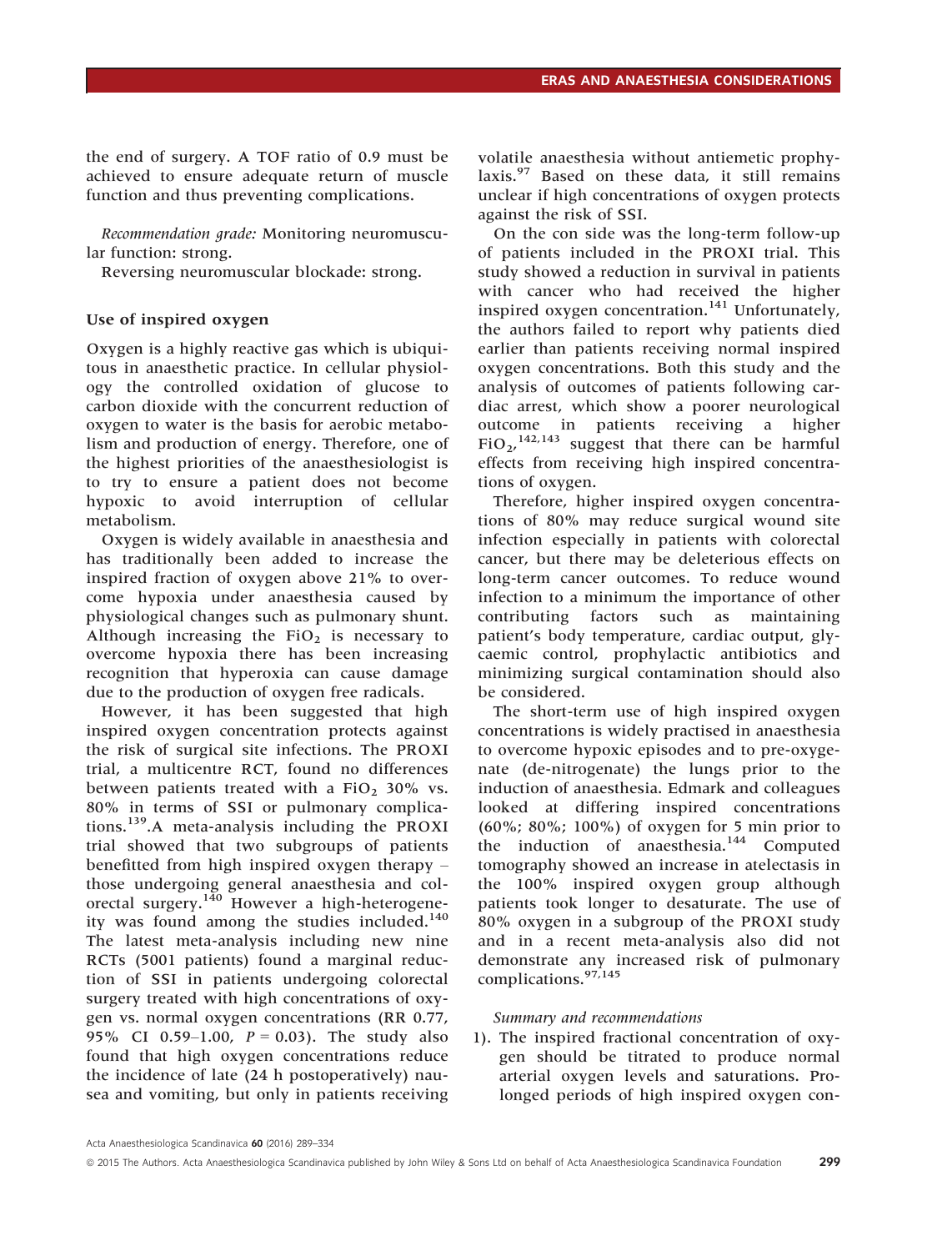© 2015 The Authors. Acta Anaesthesiologica Scandinavica published by John Wiley & Sons Ltd on behalf of Acta Anaesthesiologica Scandinavica Foundation 299

ERAS AND ANAESTHESIA CONSIDERATIONS

the end of surgery. A TOF ratio of 0.9 must be achieved to ensure adequate return of muscle function and thus preventing complications.

Recommendation grade: Monitoring neuromuscular function: strong.

Reversing neuromuscular blockade: strong.

# Use of inspired oxygen

Oxygen is a highly reactive gas which is ubiquitous in anaesthetic practice. In cellular physiology the controlled oxidation of glucose to carbon dioxide with the concurrent reduction of oxygen to water is the basis for aerobic metabolism and production of energy. Therefore, one of the highest priorities of the anaesthesiologist is to try to ensure a patient does not become hypoxic to avoid interruption of cellular metabolism.

Oxygen is widely available in anaesthesia and has traditionally been added to increase the inspired fraction of oxygen above 21% to overcome hypoxia under anaesthesia caused by physiological changes such as pulmonary shunt. Although increasing the  $FiO<sub>2</sub>$  is necessary to overcome hypoxia there has been increasing recognition that hyperoxia can cause damage due to the production of oxygen free radicals.

However, it has been suggested that high inspired oxygen concentration protects against the risk of surgical site infections. The PROXI trial, a multicentre RCT, found no differences between patients treated with a FiO<sub>2</sub> 30% vs. 80% in terms of SSI or pulmonary complications.139.A meta-analysis including the PROXI trial showed that two subgroups of patients benefitted from high inspired oxygen therapy – those undergoing general anaesthesia and colorectal surgery.140 However a high-heterogeneity was found among the studies included. $140$ The latest meta-analysis including new nine RCTs (5001 patients) found a marginal reduction of SSI in patients undergoing colorectal surgery treated with high concentrations of oxygen vs. normal oxygen concentrations (RR 0.77, 95% CI 0.59–1.00,  $P = 0.03$ ). The study also found that high oxygen concentrations reduce the incidence of late (24 h postoperatively) nausea and vomiting, but only in patients receiving

volatile anaesthesia without antiemetic prophylaxis.<sup>97</sup> Based on these data, it still remains unclear if high concentrations of oxygen protects against the risk of SSI.

On the con side was the long-term follow-up of patients included in the PROXI trial. This study showed a reduction in survival in patients with cancer who had received the higher inspired oxygen concentration.<sup>141</sup> Unfortunately, the authors failed to report why patients died earlier than patients receiving normal inspired oxygen concentrations. Both this study and the analysis of outcomes of patients following cardiac arrest, which show a poorer neurological outcome in patients receiving a higher  $FiO<sub>2</sub>$ ,  $^{142,143}$  suggest that there can be harmful effects from receiving high inspired concentrations of oxygen.

Therefore, higher inspired oxygen concentrations of 80% may reduce surgical wound site infection especially in patients with colorectal cancer, but there may be deleterious effects on long-term cancer outcomes. To reduce wound infection to a minimum the importance of other contributing factors such as maintaining patient's body temperature, cardiac output, glycaemic control, prophylactic antibiotics and minimizing surgical contamination should also be considered.

The short-term use of high inspired oxygen concentrations is widely practised in anaesthesia to overcome hypoxic episodes and to pre-oxygenate (de-nitrogenate) the lungs prior to the induction of anaesthesia. Edmark and colleagues looked at differing inspired concentrations (60%; 80%; 100%) of oxygen for 5 min prior to the induction of anaesthesia.<sup>144</sup> Computed tomography showed an increase in atelectasis in the 100% inspired oxygen group although patients took longer to desaturate. The use of 80% oxygen in a subgroup of the PROXI study and in a recent meta-analysis also did not demonstrate any increased risk of pulmonary complications.97,145

# Summary and recommendations

1). The inspired fractional concentration of oxygen should be titrated to produce normal arterial oxygen levels and saturations. Prolonged periods of high inspired oxygen con-

Acta Anaesthesiologica Scandinavica 60 (2016) 289–334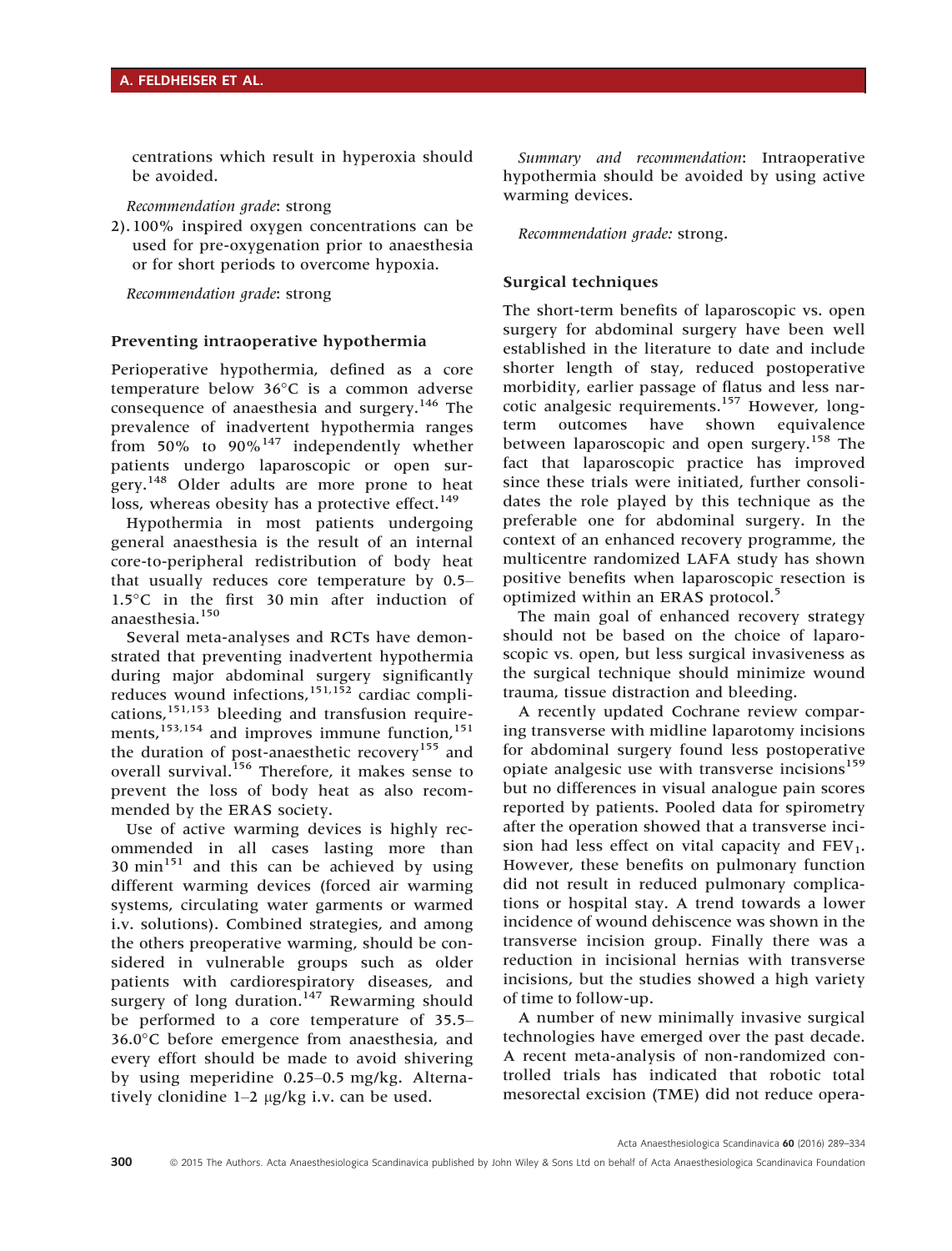centrations which result in hyperoxia should be avoided.

Recommendation grade: strong

2). 100% inspired oxygen concentrations can be used for pre-oxygenation prior to anaesthesia or for short periods to overcome hypoxia.

Recommendation grade: strong

### Preventing intraoperative hypothermia

Perioperative hypothermia, defined as a core temperature below 36°C is a common adverse consequence of anaesthesia and surgery.<sup>146</sup> The prevalence of inadvertent hypothermia ranges from 50% to  $90\%$ <sup>147</sup> independently whether patients undergo laparoscopic or open surgery.<sup>148</sup> Older adults are more prone to heat loss, whereas obesity has a protective effect.<sup>149</sup>

Hypothermia in most patients undergoing general anaesthesia is the result of an internal core-to-peripheral redistribution of body heat that usually reduces core temperature by 0.5– 1.5°C in the first 30 min after induction of anaesthesia.<sup>150</sup>

Several meta-analyses and RCTs have demonstrated that preventing inadvertent hypothermia during major abdominal surgery significantly reduces wound infections, $151,152$  cardiac complications,<sup>151,153</sup> bleeding and transfusion requirements, $153,154$  and improves immune function, $151$ the duration of post-anaesthetic recovery<sup>155</sup> and overall survival.<sup>156</sup> Therefore, it makes sense to prevent the loss of body heat as also recommended by the ERAS society.

Use of active warming devices is highly recommended in all cases lasting more than 30 min<sup>151</sup> and this can be achieved by using different warming devices (forced air warming systems, circulating water garments or warmed i.v. solutions). Combined strategies, and among the others preoperative warming, should be considered in vulnerable groups such as older patients with cardiorespiratory diseases, and surgery of long duration.<sup>147</sup> Rewarming should be performed to a core temperature of 35.5– 36.0°C before emergence from anaesthesia, and every effort should be made to avoid shivering by using meperidine 0.25–0.5 mg/kg. Alternatively clonidine  $1-2 \mu g/kg$  i.v. can be used.

Summary and recommendation: Intraoperative hypothermia should be avoided by using active warming devices.

Recommendation grade: strong.

## Surgical techniques

The short-term benefits of laparoscopic vs. open surgery for abdominal surgery have been well established in the literature to date and include shorter length of stay, reduced postoperative morbidity, earlier passage of flatus and less narcotic analgesic requirements.<sup>157</sup> However, longterm outcomes have shown equivalence between laparoscopic and open surgery.<sup>158</sup> The fact that laparoscopic practice has improved since these trials were initiated, further consolidates the role played by this technique as the preferable one for abdominal surgery. In the context of an enhanced recovery programme, the multicentre randomized LAFA study has shown positive benefits when laparoscopic resection is optimized within an ERAS protocol.<sup>5</sup>

The main goal of enhanced recovery strategy should not be based on the choice of laparoscopic vs. open, but less surgical invasiveness as the surgical technique should minimize wound trauma, tissue distraction and bleeding.

A recently updated Cochrane review comparing transverse with midline laparotomy incisions for abdominal surgery found less postoperative opiate analgesic use with transverse incisions<sup>159</sup> but no differences in visual analogue pain scores reported by patients. Pooled data for spirometry after the operation showed that a transverse incision had less effect on vital capacity and  $FEV_1$ . However, these benefits on pulmonary function did not result in reduced pulmonary complications or hospital stay. A trend towards a lower incidence of wound dehiscence was shown in the transverse incision group. Finally there was a reduction in incisional hernias with transverse incisions, but the studies showed a high variety of time to follow-up.

A number of new minimally invasive surgical technologies have emerged over the past decade. A recent meta-analysis of non-randomized controlled trials has indicated that robotic total mesorectal excision (TME) did not reduce opera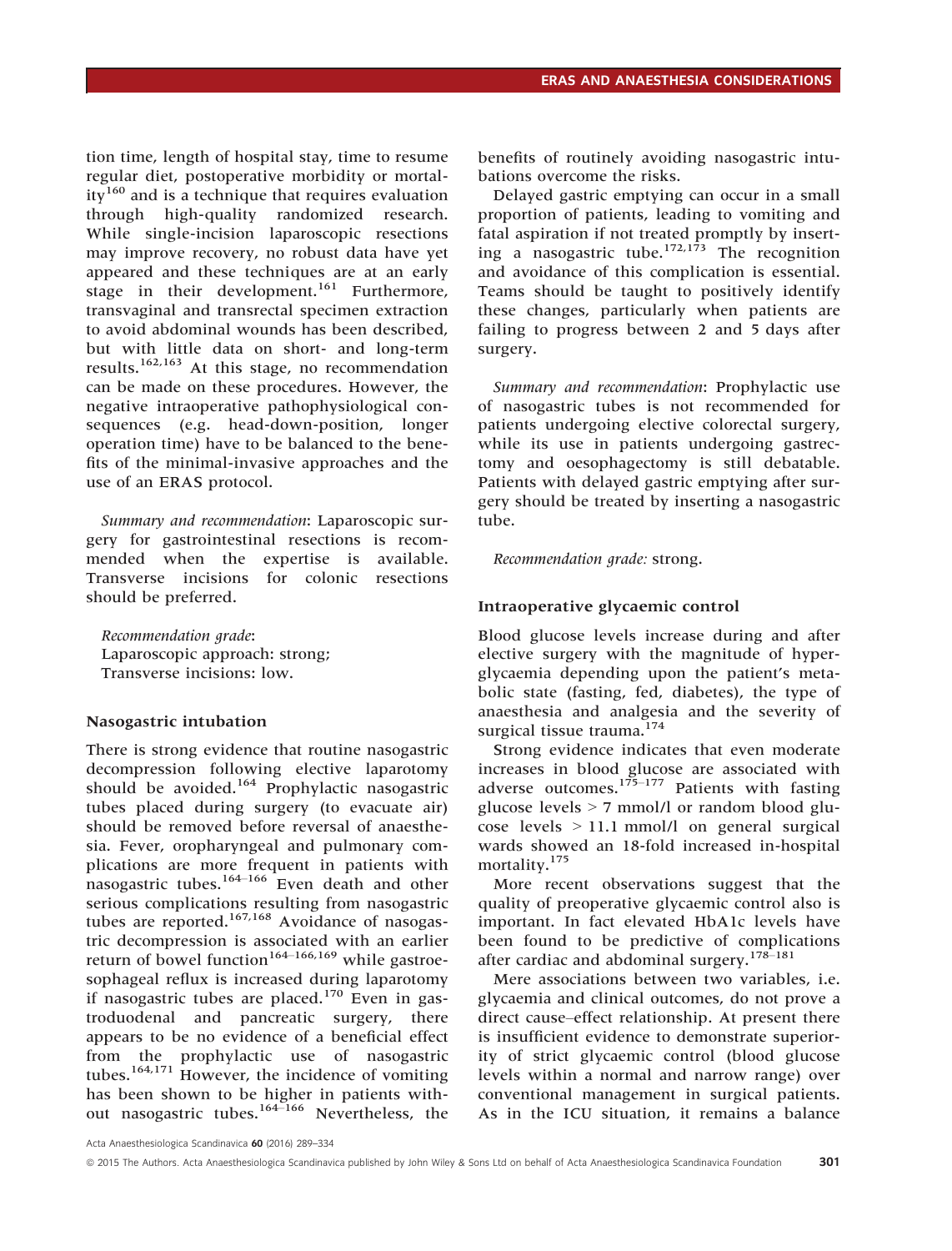tion time, length of hospital stay, time to resume regular diet, postoperative morbidity or mortal $ity^{160}$  and is a technique that requires evaluation through high-quality randomized research. While single-incision laparoscopic resections may improve recovery, no robust data have yet appeared and these techniques are at an early stage in their development.<sup>161</sup> Furthermore, transvaginal and transrectal specimen extraction to avoid abdominal wounds has been described, but with little data on short- and long-term results.162,163 At this stage, no recommendation can be made on these procedures. However, the negative intraoperative pathophysiological consequences (e.g. head-down-position, longer operation time) have to be balanced to the benefits of the minimal-invasive approaches and the use of an ERAS protocol.

Summary and recommendation: Laparoscopic surgery for gastrointestinal resections is recommended when the expertise is available. Transverse incisions for colonic resections should be preferred.

Recommendation grade: Laparoscopic approach: strong; Transverse incisions: low.

## Nasogastric intubation

There is strong evidence that routine nasogastric decompression following elective laparotomy should be avoided.<sup>164</sup> Prophylactic nasogastric tubes placed during surgery (to evacuate air) should be removed before reversal of anaesthesia. Fever, oropharyngeal and pulmonary complications are more frequent in patients with nasogastric tubes.<sup>164–166</sup> Even death and other serious complications resulting from nasogastric tubes are reported.<sup>167,168</sup> Avoidance of nasogastric decompression is associated with an earlier return of bowel function<sup>164–166,169</sup> while gastroesophageal reflux is increased during laparotomy if nasogastric tubes are placed.<sup>170</sup> Even in gastroduodenal and pancreatic surgery, there appears to be no evidence of a beneficial effect from the prophylactic use of nasogastric tubes.<sup>164,171</sup> However, the incidence of vomiting has been shown to be higher in patients without nasogastric tubes.<sup>164–166</sup> Nevertheless, the

benefits of routinely avoiding nasogastric intubations overcome the risks.

Delayed gastric emptying can occur in a small proportion of patients, leading to vomiting and fatal aspiration if not treated promptly by inserting a nasogastric tube.<sup>172,173</sup> The recognition and avoidance of this complication is essential. Teams should be taught to positively identify these changes, particularly when patients are failing to progress between 2 and 5 days after surgery.

Summary and recommendation: Prophylactic use of nasogastric tubes is not recommended for patients undergoing elective colorectal surgery, while its use in patients undergoing gastrectomy and oesophagectomy is still debatable. Patients with delayed gastric emptying after surgery should be treated by inserting a nasogastric tube.

Recommendation grade: strong.

## Intraoperative glycaemic control

Blood glucose levels increase during and after elective surgery with the magnitude of hyperglycaemia depending upon the patient's metabolic state (fasting, fed, diabetes), the type of anaesthesia and analgesia and the severity of surgical tissue trauma.<sup>174</sup>

Strong evidence indicates that even moderate increases in blood glucose are associated with adverse outcomes.<sup>175–177</sup> Patients with fasting glucose levels > 7 mmol/l or random blood glucose levels > 11.1 mmol/l on general surgical wards showed an 18-fold increased in-hospital mortality.<sup>175</sup>

More recent observations suggest that the quality of preoperative glycaemic control also is important. In fact elevated HbA1c levels have been found to be predictive of complications after cardiac and abdominal surgery.<sup>178–181</sup>

Mere associations between two variables, i.e. glycaemia and clinical outcomes, do not prove a direct cause–effect relationship. At present there is insufficient evidence to demonstrate superiority of strict glycaemic control (blood glucose levels within a normal and narrow range) over conventional management in surgical patients. As in the ICU situation, it remains a balance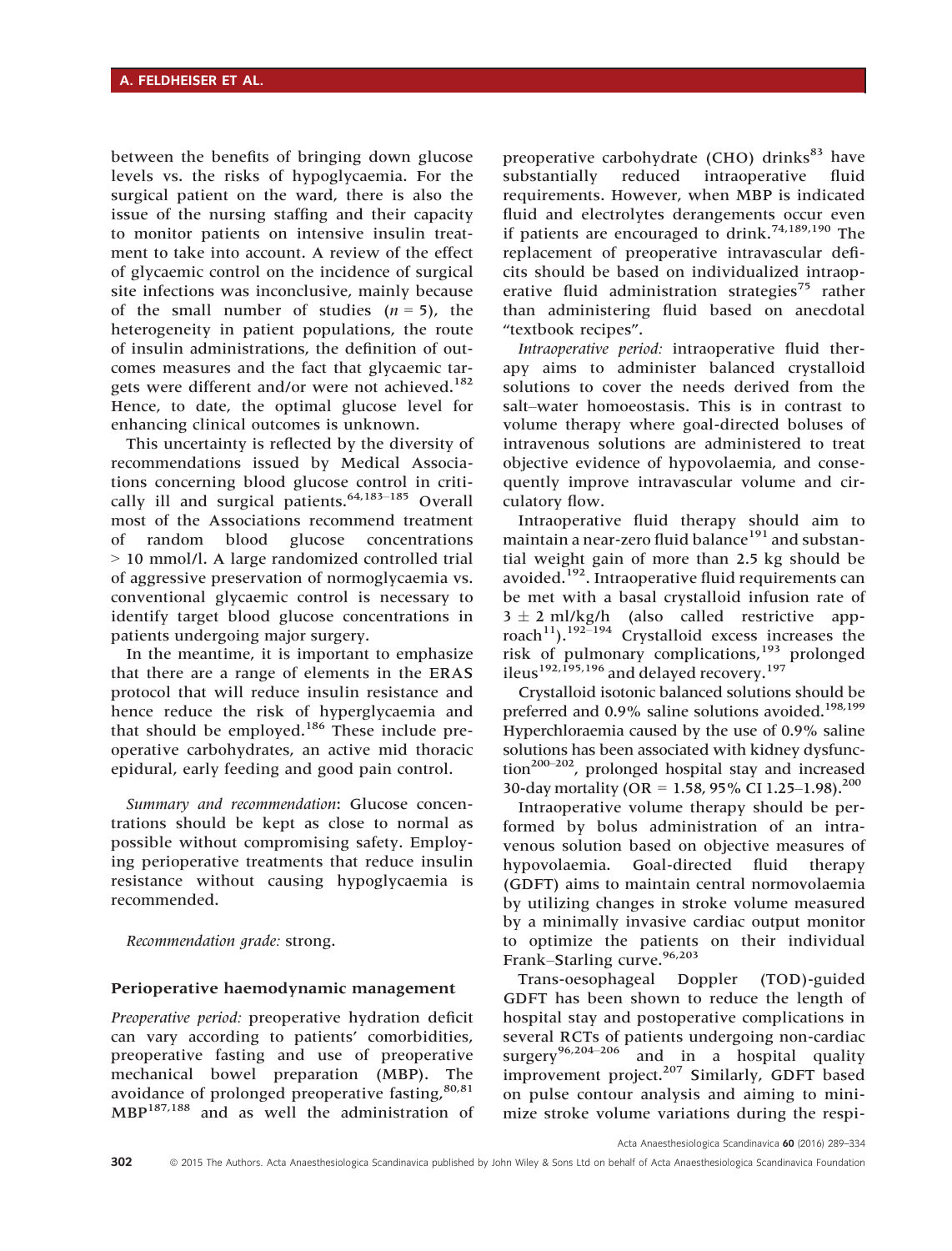between the benefits of bringing down glucose levels vs. the risks of hypoglycaemia. For the surgical patient on the ward, there is also the issue of the nursing staffing and their capacity to monitor patients on intensive insulin treatment to take into account. A review of the effect of glycaemic control on the incidence of surgical site infections was inconclusive, mainly because of the small number of studies  $(n = 5)$ , the heterogeneity in patient populations, the route of insulin administrations, the definition of outcomes measures and the fact that glycaemic targets were different and/or were not achieved.<sup>182</sup> Hence, to date, the optimal glucose level for enhancing clinical outcomes is unknown.

This uncertainty is reflected by the diversity of recommendations issued by Medical Associations concerning blood glucose control in critically ill and surgical patients.64,183–<sup>185</sup> Overall most of the Associations recommend treatment of random blood glucose concentrations > 10 mmol/l. A large randomized controlled trial of aggressive preservation of normoglycaemia vs. conventional glycaemic control is necessary to identify target blood glucose concentrations in patients undergoing major surgery.

In the meantime, it is important to emphasize that there are a range of elements in the ERAS protocol that will reduce insulin resistance and hence reduce the risk of hyperglycaemia and that should be employed.<sup>186</sup> These include preoperative carbohydrates, an active mid thoracic epidural, early feeding and good pain control.

Summary and recommendation: Glucose concentrations should be kept as close to normal as possible without compromising safety. Employing perioperative treatments that reduce insulin resistance without causing hypoglycaemia is recommended.

Recommendation grade: strong.

## Perioperative haemodynamic management

Preoperative period: preoperative hydration deficit can vary according to patients' comorbidities, preoperative fasting and use of preoperative mechanical bowel preparation (MBP). The avoidance of prolonged preoperative fasting, 80,81 MBP187,188 and as well the administration of preoperative carbohydrate (CHO) drinks<sup>83</sup> have substantially reduced intraoperative fluid requirements. However, when MBP is indicated fluid and electrolytes derangements occur even if patients are encouraged to drink.<sup>74,189,190</sup> The replacement of preoperative intravascular deficits should be based on individualized intraoperative fluid administration strategies<sup>75</sup> rather than administering fluid based on anecdotal "textbook recipes".

Intraoperative period: intraoperative fluid therapy aims to administer balanced crystalloid solutions to cover the needs derived from the salt–water homoeostasis. This is in contrast to volume therapy where goal-directed boluses of intravenous solutions are administered to treat objective evidence of hypovolaemia, and consequently improve intravascular volume and circulatory flow.

Intraoperative fluid therapy should aim to maintain a near-zero fluid balance<sup>191</sup> and substantial weight gain of more than 2.5 kg should be avoided.192. Intraoperative fluid requirements can be met with a basal crystalloid infusion rate of  $3 \pm 2$  ml/kg/h (also called restrictive approach<sup>11</sup>).<sup>192–194</sup> Crystalloid excess increases the risk of pulmonary complications,<sup>193</sup> prolonged ileus<sup>192,195,196</sup> and delayed recovery.<sup>197</sup>

Crystalloid isotonic balanced solutions should be preferred and 0.9% saline solutions avoided.<sup>198,199</sup> Hyperchloraemia caused by the use of 0.9% saline solutions has been associated with kidney dysfunc- $\mu$ <sub>200–202</sub>, prolonged hospital stay and increased 30-day mortality (OR = 1.58, 95% CI 1.25-1.98).<sup>200</sup>

Intraoperative volume therapy should be performed by bolus administration of an intravenous solution based on objective measures of hypovolaemia. Goal-directed fluid therapy (GDFT) aims to maintain central normovolaemia by utilizing changes in stroke volume measured by a minimally invasive cardiac output monitor to optimize the patients on their individual Frank–Starling curve.<sup>96,203</sup>

Trans-oesophageal Doppler (TOD)-guided GDFT has been shown to reduce the length of hospital stay and postoperative complications in several RCTs of patients undergoing non-cardiac  $surgery<sup>96,204-206</sup>$  and in a hospital quality improvement project.<sup>207</sup> Similarly, GDFT based on pulse contour analysis and aiming to minimize stroke volume variations during the respi-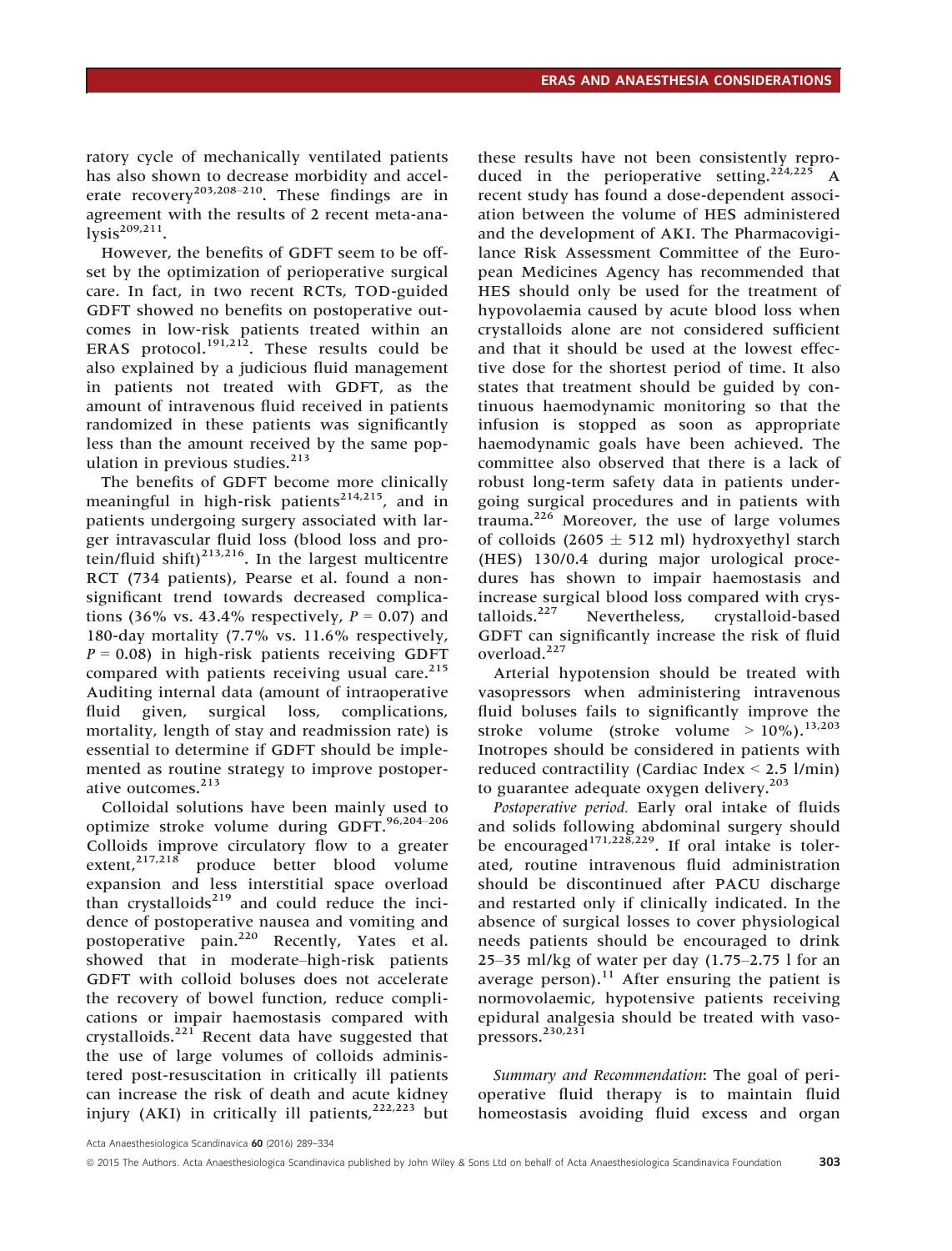ratory cycle of mechanically ventilated patients has also shown to decrease morbidity and accelerate recovery<sup>203,208-210</sup>. These findings are in agreement with the results of 2 recent meta-ana $lvsis^{209,211}$ .

However, the benefits of GDFT seem to be offset by the optimization of perioperative surgical care. In fact, in two recent RCTs, TOD-guided GDFT showed no benefits on postoperative outcomes in low-risk patients treated within an ERAS protocol.<sup>191,212</sup>. These results could be also explained by a judicious fluid management in patients not treated with GDFT, as the amount of intravenous fluid received in patients randomized in these patients was significantly less than the amount received by the same population in previous studies.<sup>213</sup>

The benefits of GDFT become more clinically meaningful in high-risk patients<sup>214,215</sup>, and in patients undergoing surgery associated with larger intravascular fluid loss (blood loss and protein/fluid shift) $^{213,216}$ . In the largest multicentre RCT (734 patients), Pearse et al. found a nonsignificant trend towards decreased complications (36% vs. 43.4% respectively,  $P = 0.07$ ) and 180-day mortality (7.7% vs. 11.6% respectively,  $P = 0.08$ ) in high-risk patients receiving GDFT compared with patients receiving usual care.<sup>215</sup> Auditing internal data (amount of intraoperative fluid given, surgical loss, complications, mortality, length of stay and readmission rate) is essential to determine if GDFT should be implemented as routine strategy to improve postoperative outcomes.<sup>213</sup>

Colloidal solutions have been mainly used to optimize stroke volume during GDFT.<sup>96,204-206</sup> Colloids improve circulatory flow to a greater extent, $2^{17,218}$  produce better blood volume produce better blood volume expansion and less interstitial space overload than crystalloids $2^{19}$  and could reduce the incidence of postoperative nausea and vomiting and postoperative pain.<sup>220</sup> Recently, Yates et al. showed that in moderate–high-risk patients GDFT with colloid boluses does not accelerate the recovery of bowel function, reduce complications or impair haemostasis compared with crystalloids. $221$  Recent data have suggested that the use of large volumes of colloids administered post-resuscitation in critically ill patients can increase the risk of death and acute kidney injury (AKI) in critically ill patients, $222,223$  but

these results have not been consistently reproduced in the perioperative setting.<sup>224,225</sup> A recent study has found a dose-dependent association between the volume of HES administered and the development of AKI. The Pharmacovigilance Risk Assessment Committee of the European Medicines Agency has recommended that HES should only be used for the treatment of hypovolaemia caused by acute blood loss when crystalloids alone are not considered sufficient and that it should be used at the lowest effective dose for the shortest period of time. It also states that treatment should be guided by continuous haemodynamic monitoring so that the infusion is stopped as soon as appropriate haemodynamic goals have been achieved. The committee also observed that there is a lack of robust long-term safety data in patients undergoing surgical procedures and in patients with trauma. $^{226}$  Moreover, the use of large volumes of colloids (2605  $\pm$  512 ml) hydroxyethyl starch (HES) 130/0.4 during major urological procedures has shown to impair haemostasis and increase surgical blood loss compared with crys-<br>talloids.<sup>227</sup> Nevertheless. crystalloid-based Nevertheless, crystalloid-based GDFT can significantly increase the risk of fluid overload.<sup>227</sup>

Arterial hypotension should be treated with vasopressors when administering intravenous fluid boluses fails to significantly improve the stroke volume (stroke volume  $> 10\%$ ).<sup>13,203</sup> Inotropes should be considered in patients with reduced contractility (Cardiac Index < 2.5 l/min) to guarantee adequate oxygen delivery.<sup>203</sup>

Postoperative period. Early oral intake of fluids and solids following abdominal surgery should be encouraged<sup>171,228,229</sup>. If oral intake is tolerated, routine intravenous fluid administration should be discontinued after PACU discharge and restarted only if clinically indicated. In the absence of surgical losses to cover physiological needs patients should be encouraged to drink 25–35 ml/kg of water per day  $(1.75-2.75)$  l for an average person).<sup>11</sup> After ensuring the patient is normovolaemic, hypotensive patients receiving epidural analgesia should be treated with vasopressors.<sup>230,231</sup>

Summary and Recommendation: The goal of perioperative fluid therapy is to maintain fluid homeostasis avoiding fluid excess and organ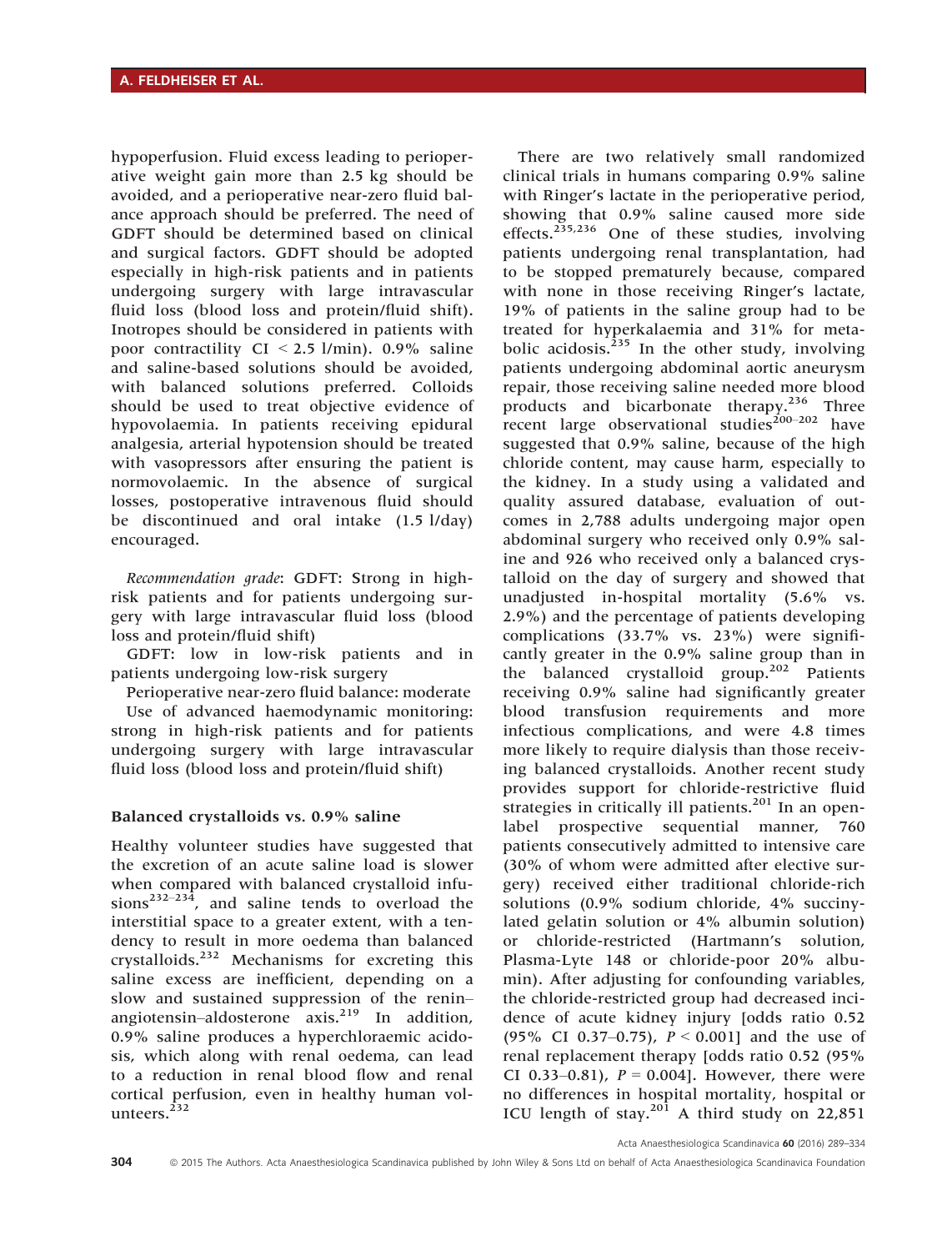hypoperfusion. Fluid excess leading to perioperative weight gain more than 2.5 kg should be avoided, and a perioperative near-zero fluid balance approach should be preferred. The need of GDFT should be determined based on clinical and surgical factors. GDFT should be adopted especially in high-risk patients and in patients undergoing surgery with large intravascular fluid loss (blood loss and protein/fluid shift). Inotropes should be considered in patients with poor contractility  $CI < 2.5$  l/min). 0.9% saline and saline-based solutions should be avoided, with balanced solutions preferred. Colloids should be used to treat objective evidence of hypovolaemia. In patients receiving epidural analgesia, arterial hypotension should be treated with vasopressors after ensuring the patient is normovolaemic. In the absence of surgical losses, postoperative intravenous fluid should be discontinued and oral intake (1.5 l/day) encouraged.

Recommendation grade: GDFT: Strong in highrisk patients and for patients undergoing surgery with large intravascular fluid loss (blood loss and protein/fluid shift)

GDFT: low in low-risk patients and in patients undergoing low-risk surgery

Perioperative near-zero fluid balance: moderate Use of advanced haemodynamic monitoring: strong in high-risk patients and for patients undergoing surgery with large intravascular fluid loss (blood loss and protein/fluid shift)

## Balanced crystalloids vs. 0.9% saline

Healthy volunteer studies have suggested that the excretion of an acute saline load is slower when compared with balanced crystalloid infusions<sup>232–234</sup>, and saline tends to overload the interstitial space to a greater extent, with a tendency to result in more oedema than balanced crystalloids.<sup>232</sup> Mechanisms for excreting this saline excess are inefficient, depending on a slow and sustained suppression of the renin– angiotensin–aldosterone axis.<sup>219</sup> In addition, 0.9% saline produces a hyperchloraemic acidosis, which along with renal oedema, can lead to a reduction in renal blood flow and renal cortical perfusion, even in healthy human volunteers.<sup>232</sup>

There are two relatively small randomized clinical trials in humans comparing 0.9% saline with Ringer's lactate in the perioperative period, showing that 0.9% saline caused more side effects.<sup>235,236</sup> One of these studies, involving patients undergoing renal transplantation, had to be stopped prematurely because, compared with none in those receiving Ringer's lactate. 19% of patients in the saline group had to be treated for hyperkalaemia and 31% for metabolic acidosis. $235$  In the other study, involving patients undergoing abdominal aortic aneurysm repair, those receiving saline needed more blood products and bicarbonate therapy.<sup>236</sup> Three recent large observational studies<sup>200-202</sup> have suggested that 0.9% saline, because of the high chloride content, may cause harm, especially to the kidney. In a study using a validated and quality assured database, evaluation of outcomes in 2,788 adults undergoing major open abdominal surgery who received only 0.9% saline and 926 who received only a balanced crystalloid on the day of surgery and showed that unadjusted in-hospital mortality (5.6% vs. 2.9%) and the percentage of patients developing complications (33.7% vs. 23%) were significantly greater in the 0.9% saline group than in the balanced crystalloid group.<sup>202</sup> Patients receiving 0.9% saline had significantly greater blood transfusion requirements and more infectious complications, and were 4.8 times more likely to require dialysis than those receiving balanced crystalloids. Another recent study provides support for chloride-restrictive fluid strategies in critically ill patients.<sup>201</sup> In an openlabel prospective sequential manner, 760 patients consecutively admitted to intensive care (30% of whom were admitted after elective surgery) received either traditional chloride-rich solutions (0.9% sodium chloride, 4% succinylated gelatin solution or 4% albumin solution) or chloride-restricted (Hartmann's solution, Plasma-Lyte 148 or chloride-poor 20% albumin). After adjusting for confounding variables, the chloride-restricted group had decreased incidence of acute kidney injury [odds ratio 0.52 (95% CI 0.37–0.75),  $P < 0.001$  and the use of renal replacement therapy [odds ratio 0.52 (95% CI 0.33–0.81),  $P = 0.004$ . However, there were no differences in hospital mortality, hospital or ICU length of stay.<sup>201</sup> A third study on 22,851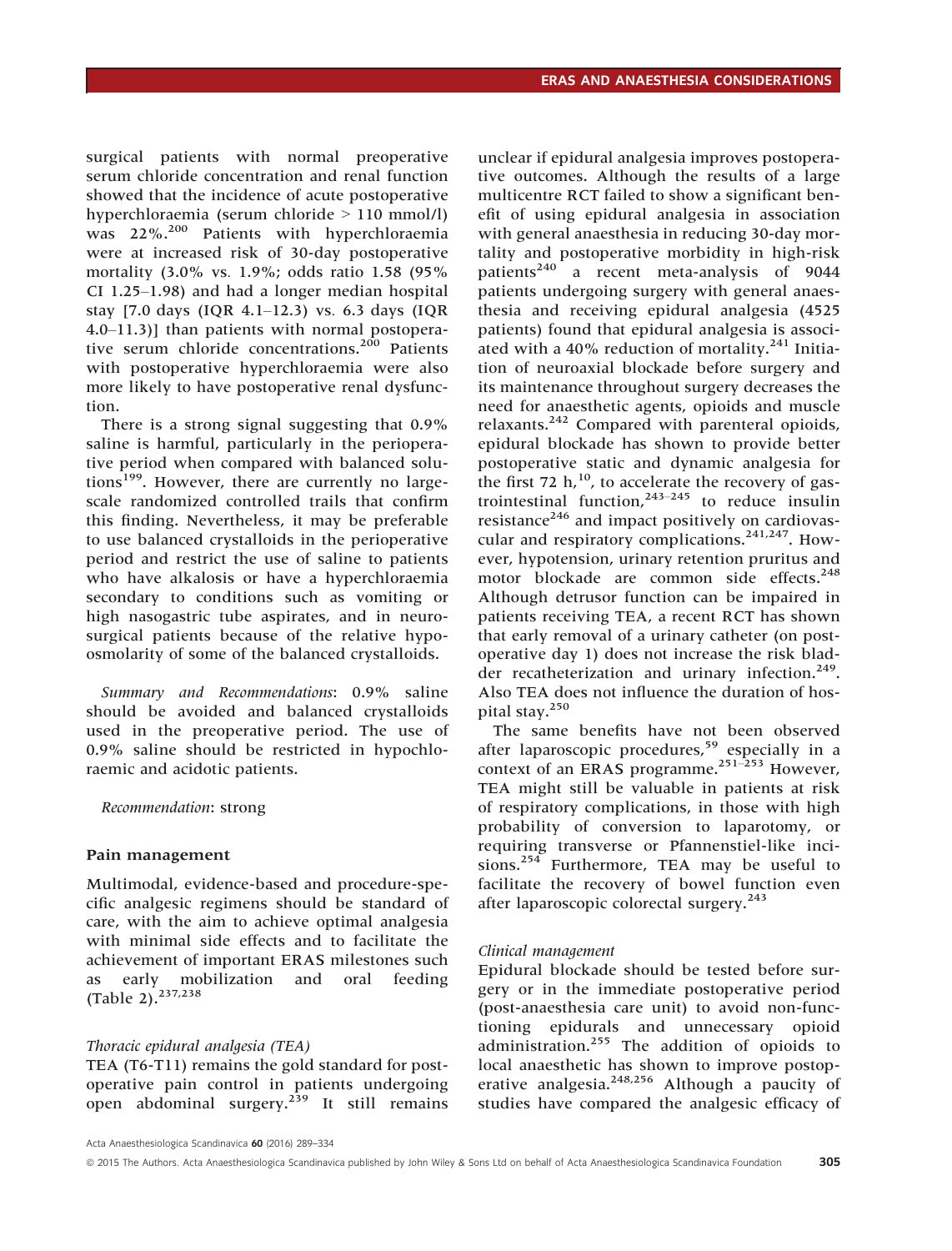surgical patients with normal preoperative serum chloride concentration and renal function showed that the incidence of acute postoperative hyperchloraemia (serum chloride > 110 mmol/l) was 22%.<sup>200</sup> Patients with hyperchloraemia were at increased risk of 30-day postoperative mortality (3.0% vs. 1.9%; odds ratio 1.58 (95% CI 1.25–1.98) and had a longer median hospital stay [7.0 days (IQR 4.1–12.3) vs. 6.3 days (IQR 4.0–11.3)] than patients with normal postoperative serum chloride concentrations.<sup>200</sup> Patients with postoperative hyperchloraemia were also more likely to have postoperative renal dysfunction.

There is a strong signal suggesting that 0.9% saline is harmful, particularly in the perioperative period when compared with balanced solutions<sup>199</sup>. However, there are currently no largescale randomized controlled trails that confirm this finding. Nevertheless, it may be preferable to use balanced crystalloids in the perioperative period and restrict the use of saline to patients who have alkalosis or have a hyperchloraemia secondary to conditions such as vomiting or high nasogastric tube aspirates, and in neurosurgical patients because of the relative hypoosmolarity of some of the balanced crystalloids.

Summary and Recommendations: 0.9% saline should be avoided and balanced crystalloids used in the preoperative period. The use of 0.9% saline should be restricted in hypochloraemic and acidotic patients.

Recommendation: strong

### Pain management

Multimodal, evidence-based and procedure-specific analgesic regimens should be standard of care, with the aim to achieve optimal analgesia with minimal side effects and to facilitate the achievement of important ERAS milestones such as early mobilization and oral feeding (Table 2). $2^{37,238}$ 

## Thoracic epidural analgesia (TEA)

TEA (T6-T11) remains the gold standard for postoperative pain control in patients undergoing open abdominal surgery.<sup>239</sup> It still remains

unclear if epidural analgesia improves postoperative outcomes. Although the results of a large multicentre RCT failed to show a significant benefit of using epidural analgesia in association with general anaesthesia in reducing 30-day mortality and postoperative morbidity in high-risk patients<sup>240</sup> a recent meta-analysis of  $9044$ patients undergoing surgery with general anaesthesia and receiving epidural analgesia (4525 patients) found that epidural analgesia is associated with a 40% reduction of mortality.<sup>241</sup> Initiation of neuroaxial blockade before surgery and its maintenance throughout surgery decreases the need for anaesthetic agents, opioids and muscle relaxants.<sup>242</sup> Compared with parenteral opioids, epidural blockade has shown to provide better postoperative static and dynamic analgesia for the first 72  $h$ ,<sup>10</sup>, to accelerate the recovery of gastrointestinal function,  $243-245$  to reduce insulin resistance<sup>246</sup> and impact positively on cardiovascular and respiratory complications. $241,247$ . However, hypotension, urinary retention pruritus and motor blockade are common side effects.<sup>248</sup> Although detrusor function can be impaired in patients receiving TEA, a recent RCT has shown that early removal of a urinary catheter (on postoperative day 1) does not increase the risk bladder recatheterization and urinary infection.<sup>249</sup>. Also TEA does not influence the duration of hospital stay.<sup>250</sup>

The same benefits have not been observed after laparoscopic procedures,<sup>59</sup> especially in a context of an ERAS programme.<sup>251–253</sup> However, TEA might still be valuable in patients at risk of respiratory complications, in those with high probability of conversion to laparotomy, or requiring transverse or Pfannenstiel-like incisions.<sup>254</sup> Furthermore, TEA may be useful to facilitate the recovery of bowel function even after laparoscopic colorectal surgery.<sup>243</sup>

### Clinical management

Epidural blockade should be tested before surgery or in the immediate postoperative period (post-anaesthesia care unit) to avoid non-functioning epidurals and unnecessary opioid administration.<sup>255</sup> The addition of opioids to local anaesthetic has shown to improve postoperative analgesia.<sup>248,256</sup> Although a paucity of studies have compared the analgesic efficacy of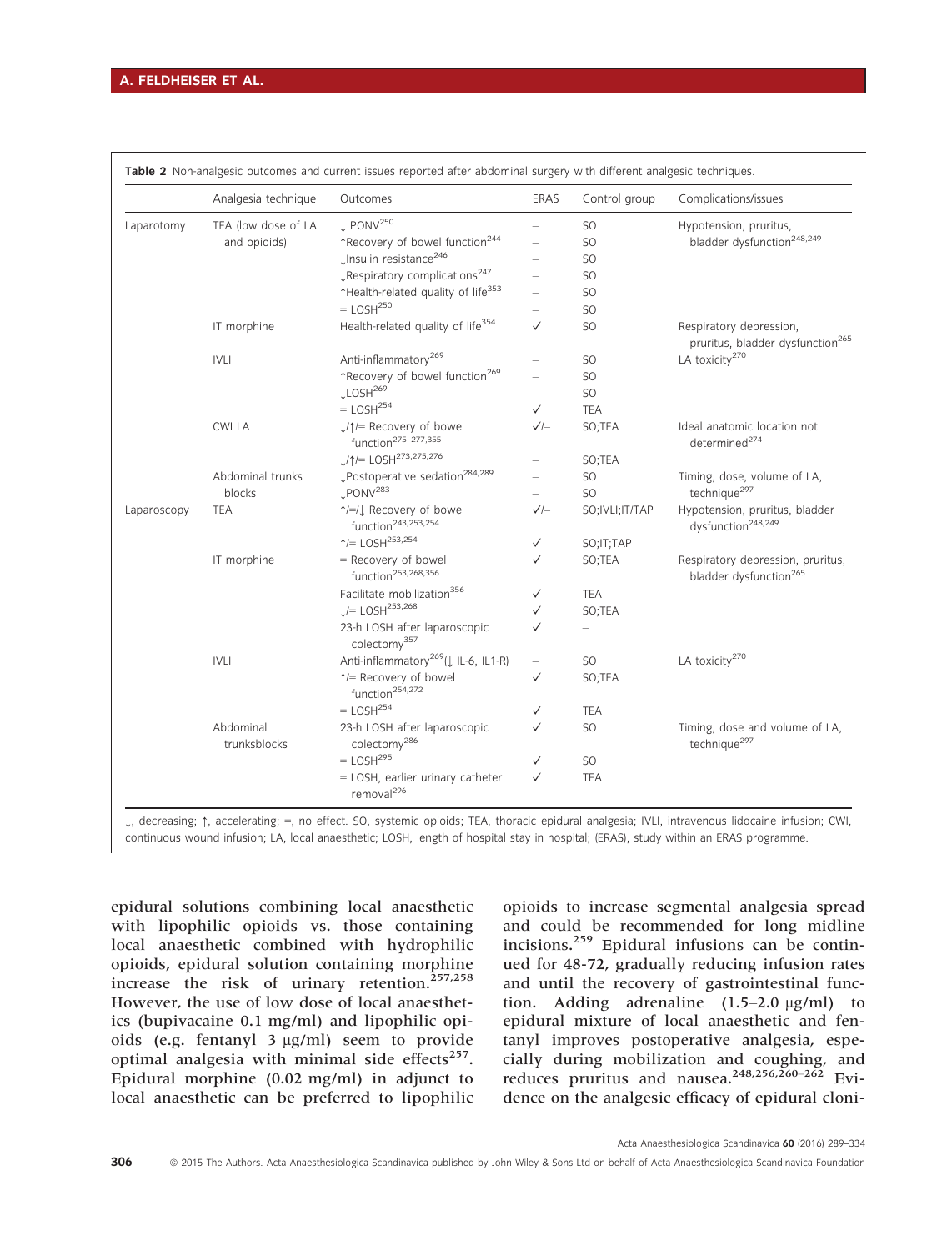|             | Analgesia technique        | Outcomes                                                            | ERAS                     | Control group    | Complications/issues                                                    |
|-------------|----------------------------|---------------------------------------------------------------------|--------------------------|------------------|-------------------------------------------------------------------------|
| Laparotomy  | TEA (low dose of LA        | $\downarrow$ PONV <sup>250</sup>                                    | $\overline{\phantom{0}}$ | SO               | Hypotension, pruritus,                                                  |
|             | and opioids)               | ↑Recovery of bowel function <sup>244</sup>                          | $\overline{a}$           | SO               | bladder dysfunction <sup>248,249</sup>                                  |
|             |                            | Insulin resistance <sup>246</sup>                                   |                          | SO               |                                                                         |
|             |                            | IRespiratory complications <sup>247</sup>                           |                          | SO               |                                                                         |
|             |                            | ↑Health-related quality of life <sup>353</sup>                      | $\overline{\phantom{0}}$ | SO               |                                                                         |
|             |                            | $=$ LOSH <sup>250</sup>                                             | $\overline{\phantom{0}}$ | SO               |                                                                         |
|             | IT morphine                | Health-related quality of life <sup>354</sup>                       | $\checkmark$             | SO               | Respiratory depression,<br>pruritus, bladder dysfunction <sup>265</sup> |
|             | <b>IVLI</b>                | Anti-inflammatory <sup>269</sup>                                    |                          | SO               | LA toxicity <sup>270</sup>                                              |
|             |                            | ↑Recovery of bowel function <sup>269</sup>                          |                          | SO               |                                                                         |
|             |                            | LOSH <sup>269</sup>                                                 |                          | SO               |                                                                         |
|             |                            | $=$ LOSH <sup>254</sup>                                             | $\checkmark$             | <b>TEA</b>       |                                                                         |
|             | CWI LA                     | I/ $\uparrow$ Recovery of bowel<br>function <sup>275-277</sup> ,355 | $\sqrt{2}$               | SO;TEA           | Ideal anatomic location not<br>determined <sup>274</sup>                |
|             |                            | $1/1 =$ LOSH <sup>273,275,276</sup>                                 |                          | SO;TEA           |                                                                         |
|             | Abdominal trunks<br>blocks | Postoperative sedation <sup>284,289</sup><br>JPONV <sup>283</sup>   |                          | SO<br>SO         | Timing, dose, volume of LA,<br>technique <sup>297</sup>                 |
| Laparoscopy | <b>TEA</b>                 | ↑/=/↓ Recovery of bowel<br>function <sup>243,253,254</sup>          | $\sqrt{2}$               | SO; IVLI; IT/TAP | Hypotension, pruritus, bladder<br>dysfunction <sup>248,249</sup>        |
|             |                            | $\uparrow$ /= LOSH <sup>253,254</sup>                               | ✓                        | SO;IT;TAP        |                                                                         |
|             | IT morphine                | = Recovery of bowel<br>function <sup>253,268,356</sup>              | ✓                        | SO;TEA           | Respiratory depression, pruritus,<br>bladder dysfunction <sup>265</sup> |
|             |                            | Facilitate mobilization <sup>356</sup>                              | $\checkmark$             | <b>TEA</b>       |                                                                         |
|             |                            | $L =$ LOSH <sup>253,268</sup>                                       | ✓                        | SO;TEA           |                                                                         |
|             |                            | 23-h LOSH after laparoscopic<br>colectomy <sup>357</sup>            | $\checkmark$             | $\overline{a}$   |                                                                         |
|             | <b>IVLI</b>                | Anti-inflammatory <sup>269</sup> (U IL-6, IL1-R)                    | $\overline{\phantom{0}}$ | SO               | LA toxicity <sup>270</sup>                                              |
|             |                            | ↑/= Recovery of bowel<br>function <sup>254,272</sup>                | ✓                        | SO;TEA           |                                                                         |
|             |                            | $=$ LOSH <sup>254</sup>                                             | ✓                        | <b>TEA</b>       |                                                                         |
|             | Abdominal<br>trunksblocks  | 23-h LOSH after laparoscopic<br>colectomy <sup>286</sup>            | $\checkmark$             | SO               | Timing, dose and volume of LA,<br>technique <sup>297</sup>              |
|             |                            | $=$ LOSH <sup>295</sup>                                             | ✓                        | SO <sub>1</sub>  |                                                                         |
|             |                            | = LOSH, earlier urinary catheter<br>removal <sup>296</sup>          | ✓                        | <b>TEA</b>       |                                                                         |

Table 2 Non-analgesic outcomes and current issues reported after abdominal surgery with different analgesic techniques

;, decreasing; ↑, accelerating; =, no effect. SO, systemic opioids; TEA, thoracic epidural analgesia; IVLI, intravenous lidocaine infusion; CWI, continuous wound infusion; LA, local anaesthetic; LOSH, length of hospital stay in hospital; (ERAS), study within an ERAS programme.

epidural solutions combining local anaesthetic with lipophilic opioids vs. those containing local anaesthetic combined with hydrophilic opioids, epidural solution containing morphine increase the risk of urinary retention.<sup>257,258</sup> However, the use of low dose of local anaesthetics (bupivacaine 0.1 mg/ml) and lipophilic opioids (e.g. fentanyl 3 µg/ml) seem to provide optimal analgesia with minimal side effects<sup>257</sup>. Epidural morphine (0.02 mg/ml) in adjunct to local anaesthetic can be preferred to lipophilic

opioids to increase segmental analgesia spread and could be recommended for long midline incisions.<sup>259</sup> Epidural infusions can be continued for 48-72, gradually reducing infusion rates and until the recovery of gastrointestinal function. Adding adrenaline  $(1.5-2.0 \text{ µg/ml})$  to epidural mixture of local anaesthetic and fentanyl improves postoperative analgesia, especially during mobilization and coughing, and reduces pruritus and nausea.<sup>248,256,260-262</sup> Evidence on the analgesic efficacy of epidural cloni-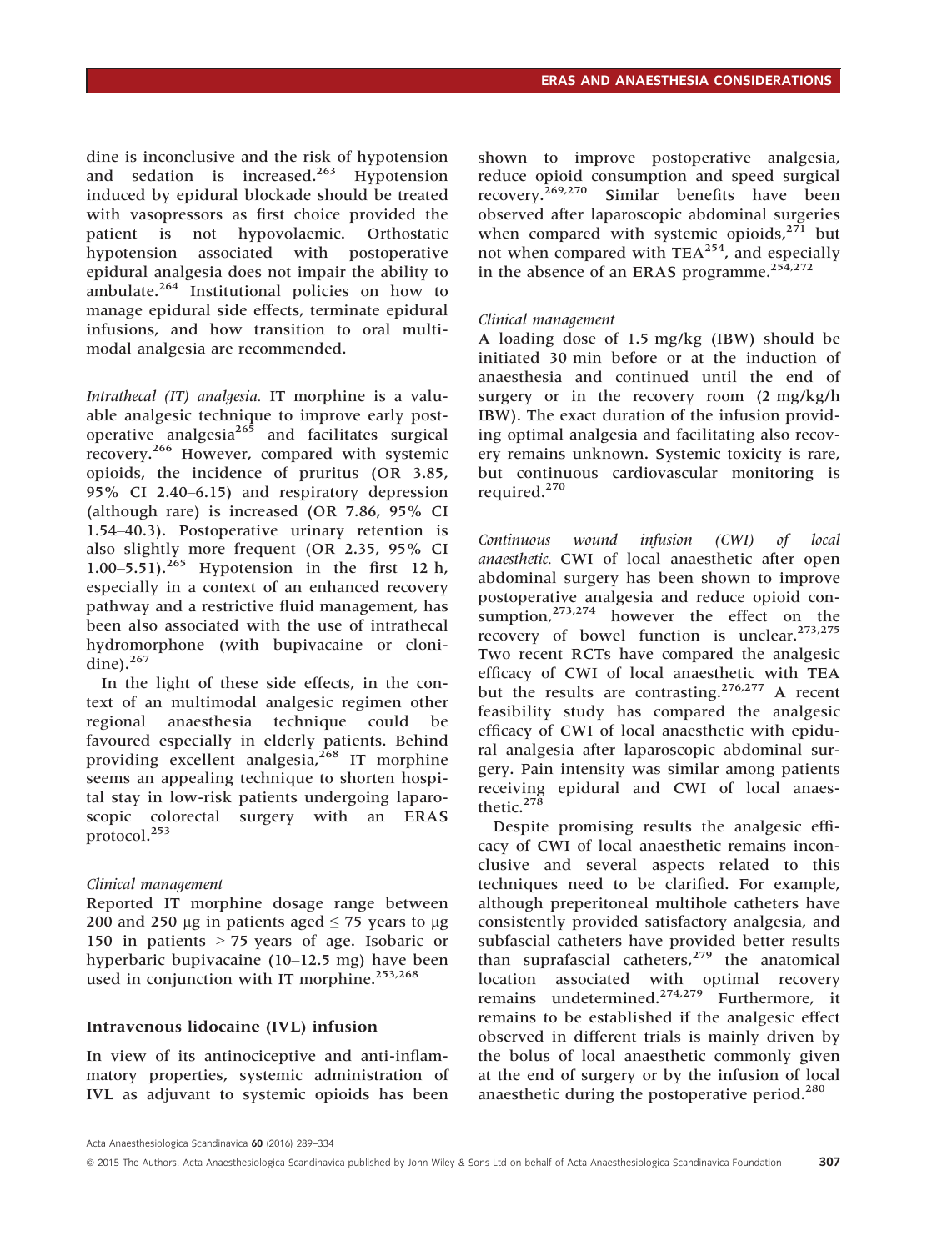dine is inconclusive and the risk of hypotension and sedation is increased. $263$  Hypotension induced by epidural blockade should be treated with vasopressors as first choice provided the patient is not hypovolaemic. Orthostatic<br>hypotension associated with postoperative hypotension associated with postoperative epidural analgesia does not impair the ability to ambulate.<sup>264</sup> Institutional policies on how to manage epidural side effects, terminate epidural infusions, and how transition to oral multimodal analgesia are recommended.

Intrathecal (IT) analgesia. IT morphine is a valuable analgesic technique to improve early postoperative analgesia<sup>265</sup> and facilitates surgical recovery.<sup>266</sup> However, compared with systemic opioids, the incidence of pruritus (OR 3.85, 95% CI 2.40–6.15) and respiratory depression (although rare) is increased (OR 7.86, 95% CI 1.54–40.3). Postoperative urinary retention is also slightly more frequent (OR 2.35, 95% CI 1.00–5.51).<sup>265</sup> Hypotension in the first 12 h, especially in a context of an enhanced recovery pathway and a restrictive fluid management, has been also associated with the use of intrathecal hydromorphone (with bupivacaine or clonidine). $267$ 

In the light of these side effects, in the context of an multimodal analgesic regimen other regional anaesthesia technique could be favoured especially in elderly patients. Behind providing excellent analgesia, $2^{68}$  IT morphine seems an appealing technique to shorten hospital stay in low-risk patients undergoing laparoscopic colorectal surgery with an ERAS protocol.253

# Clinical management

Reported IT morphine dosage range between 200 and 250 µg in patients aged  $\leq$  75 years to µg 150 in patients > 75 years of age. Isobaric or hyperbaric bupivacaine (10–12.5 mg) have been used in conjunction with IT morphine.<sup>253,268</sup>

# Intravenous lidocaine (IVL) infusion

In view of its antinociceptive and anti-inflammatory properties, systemic administration of IVL as adjuvant to systemic opioids has been shown to improve postoperative analgesia, reduce opioid consumption and speed surgical<br>recovery.<sup>269,270</sup> Similar benefits have been Similar benefits have been observed after laparoscopic abdominal surgeries when compared with systemic opioids, $271$  but not when compared with TEA<sup>254</sup>, and especially in the absence of an ERAS programme.<sup>254,272</sup>

## Clinical management

A loading dose of 1.5 mg/kg (IBW) should be initiated 30 min before or at the induction of anaesthesia and continued until the end of surgery or in the recovery room (2 mg/kg/h IBW). The exact duration of the infusion providing optimal analgesia and facilitating also recovery remains unknown. Systemic toxicity is rare, but continuous cardiovascular monitoring is required.<sup>270</sup>

Continuous wound infusion (CWI) of local anaesthetic. CWI of local anaesthetic after open abdominal surgery has been shown to improve postoperative analgesia and reduce opioid consumption, $273,274$  however the effect on the recovery of bowel function is unclear.<sup>273,275</sup> Two recent RCTs have compared the analgesic efficacy of CWI of local anaesthetic with TEA but the results are contrasting. $276,277$  A recent feasibility study has compared the analgesic efficacy of CWI of local anaesthetic with epidural analgesia after laparoscopic abdominal surgery. Pain intensity was similar among patients receiving epidural and CWI of local anaesthetic.<sup>278</sup>

Despite promising results the analgesic efficacy of CWI of local anaesthetic remains inconclusive and several aspects related to this techniques need to be clarified. For example, although preperitoneal multihole catheters have consistently provided satisfactory analgesia, and subfascial catheters have provided better results than suprafascial catheters, $279$  the anatomical location associated with optimal recovery remains undetermined.<sup>274,279</sup> Furthermore, it remains to be established if the analgesic effect observed in different trials is mainly driven by the bolus of local anaesthetic commonly given at the end of surgery or by the infusion of local anaesthetic during the postoperative period.<sup>280</sup>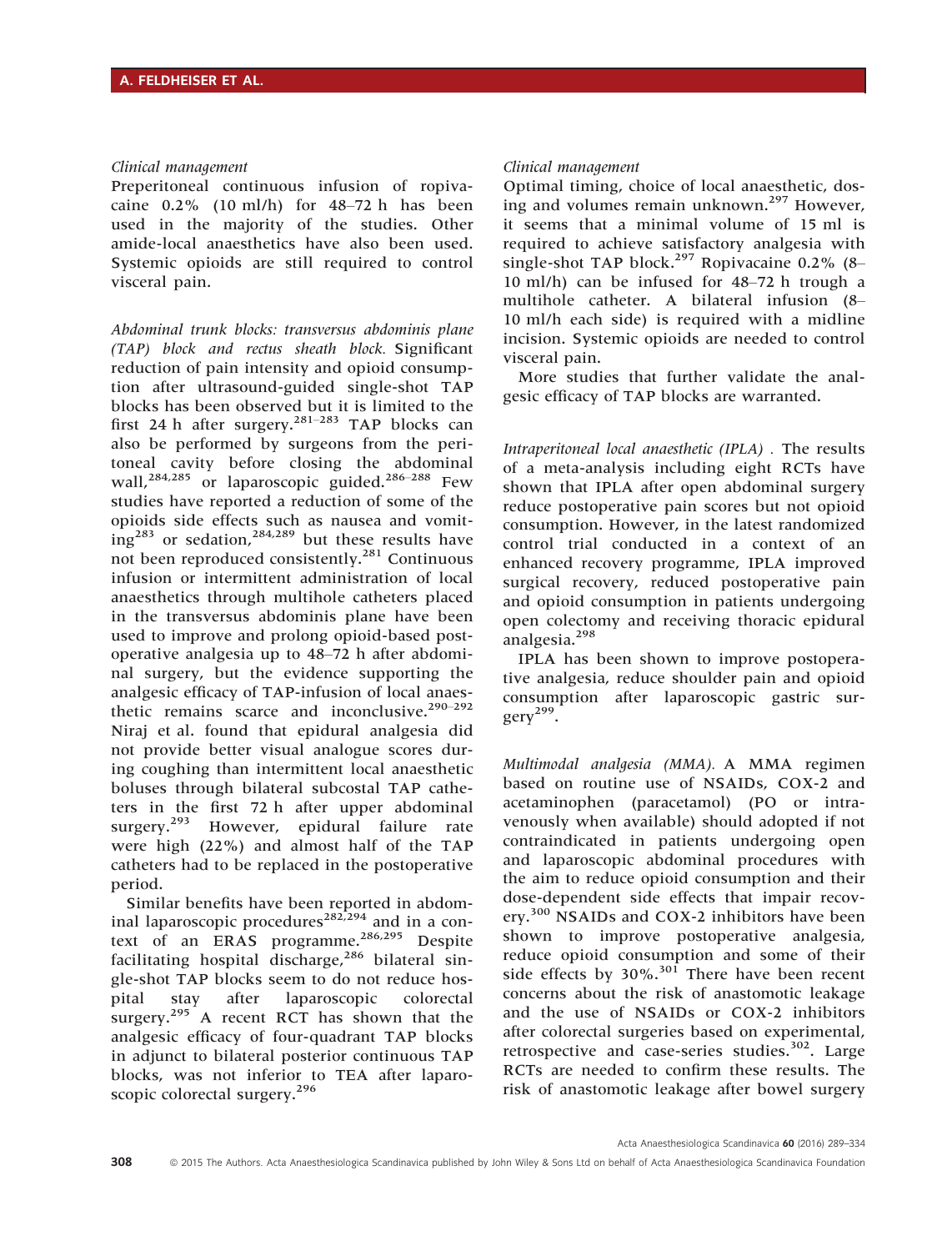### Clinical management

Preperitoneal continuous infusion of ropivacaine  $0.2\%$  (10 ml/h) for  $48-72$  h has been used in the majority of the studies. Other amide-local anaesthetics have also been used. Systemic opioids are still required to control visceral pain.

Abdominal trunk blocks: transversus abdominis plane (TAP) block and rectus sheath block. Significant reduction of pain intensity and opioid consumption after ultrasound-guided single-shot TAP blocks has been observed but it is limited to the first 24 h after surgery.<sup>281–283</sup> TAP blocks can also be performed by surgeons from the peritoneal cavity before closing the abdominal wall,<sup>284,285</sup> or laparoscopic guided.<sup>286-288</sup> Few studies have reported a reduction of some of the opioids side effects such as nausea and vomit $ing^{283}$  or sedation,<sup>284,289</sup> but these results have not been reproduced consistently.<sup>281</sup> Continuous infusion or intermittent administration of local anaesthetics through multihole catheters placed in the transversus abdominis plane have been used to improve and prolong opioid-based postoperative analgesia up to 48–72 h after abdominal surgery, but the evidence supporting the analgesic efficacy of TAP-infusion of local anaesthetic remains scarce and inconclusive. $290-292$ Niraj et al. found that epidural analgesia did not provide better visual analogue scores during coughing than intermittent local anaesthetic boluses through bilateral subcostal TAP catheters in the first 72 h after upper abdominal surgery.<sup>293</sup> However, epidural failure rate were high (22%) and almost half of the TAP catheters had to be replaced in the postoperative period.

Similar benefits have been reported in abdominal laparoscopic procedures<sup>282,294</sup> and in a context of an ERAS programme.<sup>286,295</sup> Despite facilitating hospital discharge,<sup>286</sup> bilateral single-shot TAP blocks seem to do not reduce hospital stay after laparoscopic colorectal surgery.<sup>295</sup> A recent RCT has shown that the analgesic efficacy of four-quadrant TAP blocks in adjunct to bilateral posterior continuous TAP blocks, was not inferior to TEA after laparoscopic colorectal surgery.<sup>296</sup>

### Clinical management

Optimal timing, choice of local anaesthetic, dosing and volumes remain unknown.<sup>297</sup> However, it seems that a minimal volume of 15 ml is required to achieve satisfactory analgesia with single-shot TAP block.<sup>297</sup> Ropivacaine 0.2% (8– 10 ml/h) can be infused for 48–72 h trough a multihole catheter. A bilateral infusion (8– 10 ml/h each side) is required with a midline incision. Systemic opioids are needed to control visceral pain.

More studies that further validate the analgesic efficacy of TAP blocks are warranted.

Intraperitoneal local anaesthetic (IPLA) . The results of a meta-analysis including eight RCTs have shown that IPLA after open abdominal surgery reduce postoperative pain scores but not opioid consumption. However, in the latest randomized control trial conducted in a context of an enhanced recovery programme, IPLA improved surgical recovery, reduced postoperative pain and opioid consumption in patients undergoing open colectomy and receiving thoracic epidural analgesia.<sup>298</sup>

IPLA has been shown to improve postoperative analgesia, reduce shoulder pain and opioid consumption after laparoscopic gastric sur $g$ erv<sup>299</sup>.

Multimodal analgesia (MMA). A MMA regimen based on routine use of NSAIDs, COX-2 and acetaminophen (paracetamol) (PO or intravenously when available) should adopted if not contraindicated in patients undergoing open and laparoscopic abdominal procedures with the aim to reduce opioid consumption and their dose-dependent side effects that impair recovery.<sup>300</sup> NSAIDs and COX-2 inhibitors have been shown to improve postoperative analgesia, reduce opioid consumption and some of their side effects by  $30\%$ .<sup>301</sup> There have been recent concerns about the risk of anastomotic leakage and the use of NSAIDs or COX-2 inhibitors after colorectal surgeries based on experimental, retrospective and case-series studies.<sup>302</sup>. Large RCTs are needed to confirm these results. The risk of anastomotic leakage after bowel surgery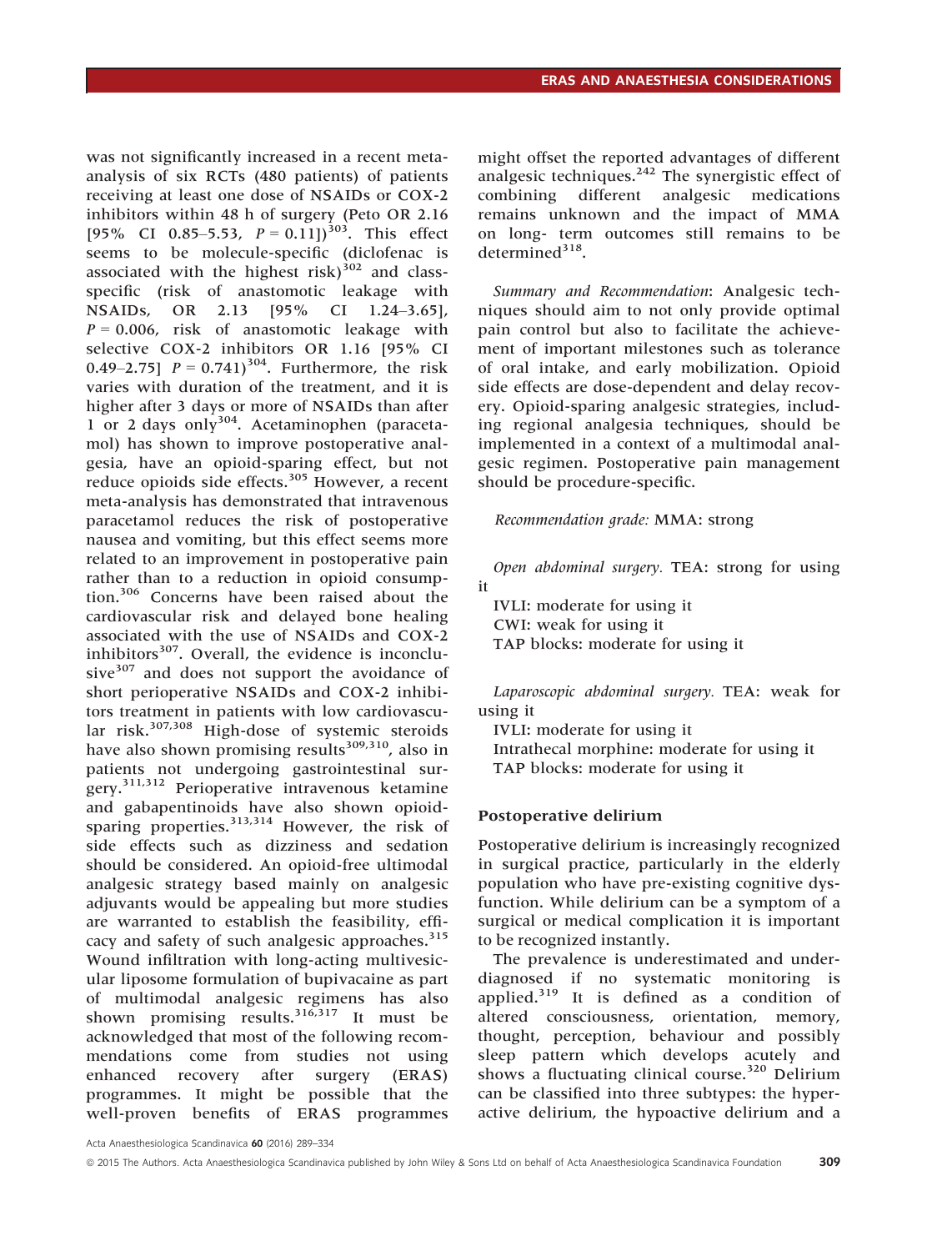was not significantly increased in a recent metaanalysis of six RCTs (480 patients) of patients receiving at least one dose of NSAIDs or COX-2 inhibitors within 48 h of surgery (Peto OR 2.16 [95% CI 0.85–5.53,  $P = 0.11$ ] $^{303}$ . This effect seems to be molecule-specific (diclofenac is associated with the highest risk) $302$  and classspecific (risk of anastomotic leakage with NSAIDs, OR 2.13 [95% CI 1.24–3.65],  $P = 0.006$ , risk of anastomotic leakage with selective COX-2 inhibitors OR 1.16 [95% CI 0.49–2.75]  $P = 0.741$ <sup>304</sup>. Furthermore, the risk varies with duration of the treatment, and it is higher after 3 days or more of NSAIDs than after 1 or 2 days only<sup>304</sup>. Acetaminophen (paracetamol) has shown to improve postoperative analgesia, have an opioid-sparing effect, but not reduce opioids side effects.<sup>305</sup> However, a recent meta-analysis has demonstrated that intravenous paracetamol reduces the risk of postoperative nausea and vomiting, but this effect seems more related to an improvement in postoperative pain rather than to a reduction in opioid consumption.<sup>306</sup> Concerns have been raised about the cardiovascular risk and delayed bone healing associated with the use of NSAIDs and COX-2 inhibitors $307$ . Overall, the evidence is inconclusive<sup>307</sup> and does not support the avoidance of short perioperative NSAIDs and COX-2 inhibitors treatment in patients with low cardiovascular risk.<sup>307,308</sup> High-dose of systemic steroids have also shown promising results<sup>309,310</sup>, also in patients not undergoing gastrointestinal surgery.311,312 Perioperative intravenous ketamine and gabapentinoids have also shown opioidsparing properties.  $313,314$  However, the risk of side effects such as dizziness and sedation should be considered. An opioid-free ultimodal analgesic strategy based mainly on analgesic adjuvants would be appealing but more studies are warranted to establish the feasibility, efficacy and safety of such analgesic approaches.<sup>315</sup> Wound infiltration with long-acting multivesicular liposome formulation of bupivacaine as part of multimodal analgesic regimens has also shown promising results.  $316,317$  It must be acknowledged that most of the following recommendations come from studies not using enhanced recovery after surgery (ERAS) programmes. It might be possible that the well-proven benefits of ERAS programmes

might offset the reported advantages of different analgesic techniques. $242$  The synergistic effect of combining different analgesic medications remains unknown and the impact of MMA on long- term outcomes still remains to be determined $318$ .

Summary and Recommendation: Analgesic techniques should aim to not only provide optimal pain control but also to facilitate the achievement of important milestones such as tolerance of oral intake, and early mobilization. Opioid side effects are dose-dependent and delay recovery. Opioid-sparing analgesic strategies, including regional analgesia techniques, should be implemented in a context of a multimodal analgesic regimen. Postoperative pain management should be procedure-specific.

Recommendation grade: MMA: strong

Open abdominal surgery. TEA: strong for using it

IVLI: moderate for using it CWI: weak for using it TAP blocks: moderate for using it

Laparoscopic abdominal surgery. TEA: weak for using it

IVLI: moderate for using it Intrathecal morphine: moderate for using it TAP blocks: moderate for using it

## Postoperative delirium

Postoperative delirium is increasingly recognized in surgical practice, particularly in the elderly population who have pre-existing cognitive dysfunction. While delirium can be a symptom of a surgical or medical complication it is important to be recognized instantly.

The prevalence is underestimated and underdiagnosed if no systematic monitoring is applied. $319$  It is defined as a condition of altered consciousness, orientation, memory, thought, perception, behaviour and possibly sleep pattern which develops acutely and shows a fluctuating clinical course.<sup>320</sup> Delirium can be classified into three subtypes: the hyperactive delirium, the hypoactive delirium and a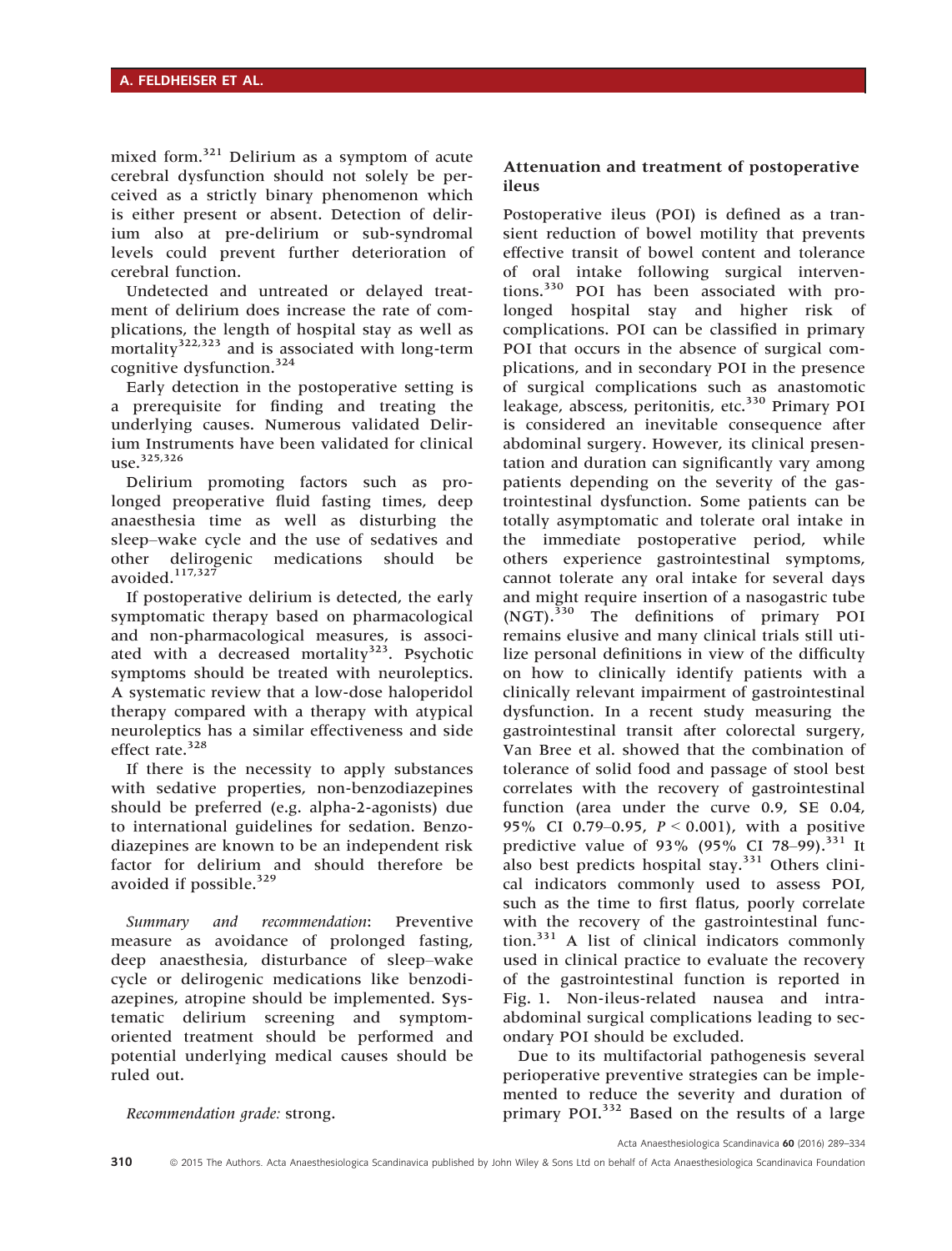mixed form.321 Delirium as a symptom of acute cerebral dysfunction should not solely be perceived as a strictly binary phenomenon which is either present or absent. Detection of delirium also at pre-delirium or sub-syndromal levels could prevent further deterioration of cerebral function.

Undetected and untreated or delayed treatment of delirium does increase the rate of complications, the length of hospital stay as well as mortality<sup>322,323</sup> and is associated with long-term cognitive dysfunction.<sup>324</sup>

Early detection in the postoperative setting is a prerequisite for finding and treating the underlying causes. Numerous validated Delirium Instruments have been validated for clinical use.325,326

Delirium promoting factors such as prolonged preoperative fluid fasting times, deep anaesthesia time as well as disturbing the sleep–wake cycle and the use of sedatives and other delirogenic medications should be avoided. $117,327$ 

If postoperative delirium is detected, the early symptomatic therapy based on pharmacological and non-pharmacological measures, is associated with a decreased mortality $323$ . Psychotic symptoms should be treated with neuroleptics. A systematic review that a low-dose haloperidol therapy compared with a therapy with atypical neuroleptics has a similar effectiveness and side effect rate.<sup>328</sup>

If there is the necessity to apply substances with sedative properties, non-benzodiazepines should be preferred (e.g. alpha-2-agonists) due to international guidelines for sedation. Benzodiazepines are known to be an independent risk factor for delirium and should therefore be avoided if possible.<sup>329</sup>

Summary and recommendation: Preventive measure as avoidance of prolonged fasting, deep anaesthesia, disturbance of sleep–wake cycle or delirogenic medications like benzodiazepines, atropine should be implemented. Systematic delirium screening and symptomoriented treatment should be performed and potential underlying medical causes should be ruled out.

## Attenuation and treatment of postoperative ileus

Postoperative ileus (POI) is defined as a transient reduction of bowel motility that prevents effective transit of bowel content and tolerance of oral intake following surgical interventions.<sup>330</sup> POI has been associated with prolonged hospital stay and higher risk of complications. POI can be classified in primary POI that occurs in the absence of surgical complications, and in secondary POI in the presence of surgical complications such as anastomotic leakage, abscess, peritonitis, etc.<sup>330</sup> Primary POI is considered an inevitable consequence after abdominal surgery. However, its clinical presentation and duration can significantly vary among patients depending on the severity of the gastrointestinal dysfunction. Some patients can be totally asymptomatic and tolerate oral intake in the immediate postoperative period, while others experience gastrointestinal symptoms, cannot tolerate any oral intake for several days and might require insertion of a nasogastric tube (NGT).<sup>330</sup> The definitions of primary POI remains elusive and many clinical trials still utilize personal definitions in view of the difficulty on how to clinically identify patients with a clinically relevant impairment of gastrointestinal dysfunction. In a recent study measuring the gastrointestinal transit after colorectal surgery, Van Bree et al. showed that the combination of tolerance of solid food and passage of stool best correlates with the recovery of gastrointestinal function (area under the curve 0.9, SE 0.04, 95% CI 0.79–0.95,  $P < 0.001$ ), with a positive predictive value of 93% (95% CI 78–99).<sup>331</sup> It also best predicts hospital stay.<sup>331</sup> Others clinical indicators commonly used to assess POI, such as the time to first flatus, poorly correlate with the recovery of the gastrointestinal function.<sup>331</sup> A list of clinical indicators commonly used in clinical practice to evaluate the recovery of the gastrointestinal function is reported in Fig. 1. Non-ileus-related nausea and intraabdominal surgical complications leading to secondary POI should be excluded.

Due to its multifactorial pathogenesis several perioperative preventive strategies can be implemented to reduce the severity and duration of primary POI.<sup>332</sup> Based on the results of a large

Recommendation grade: strong.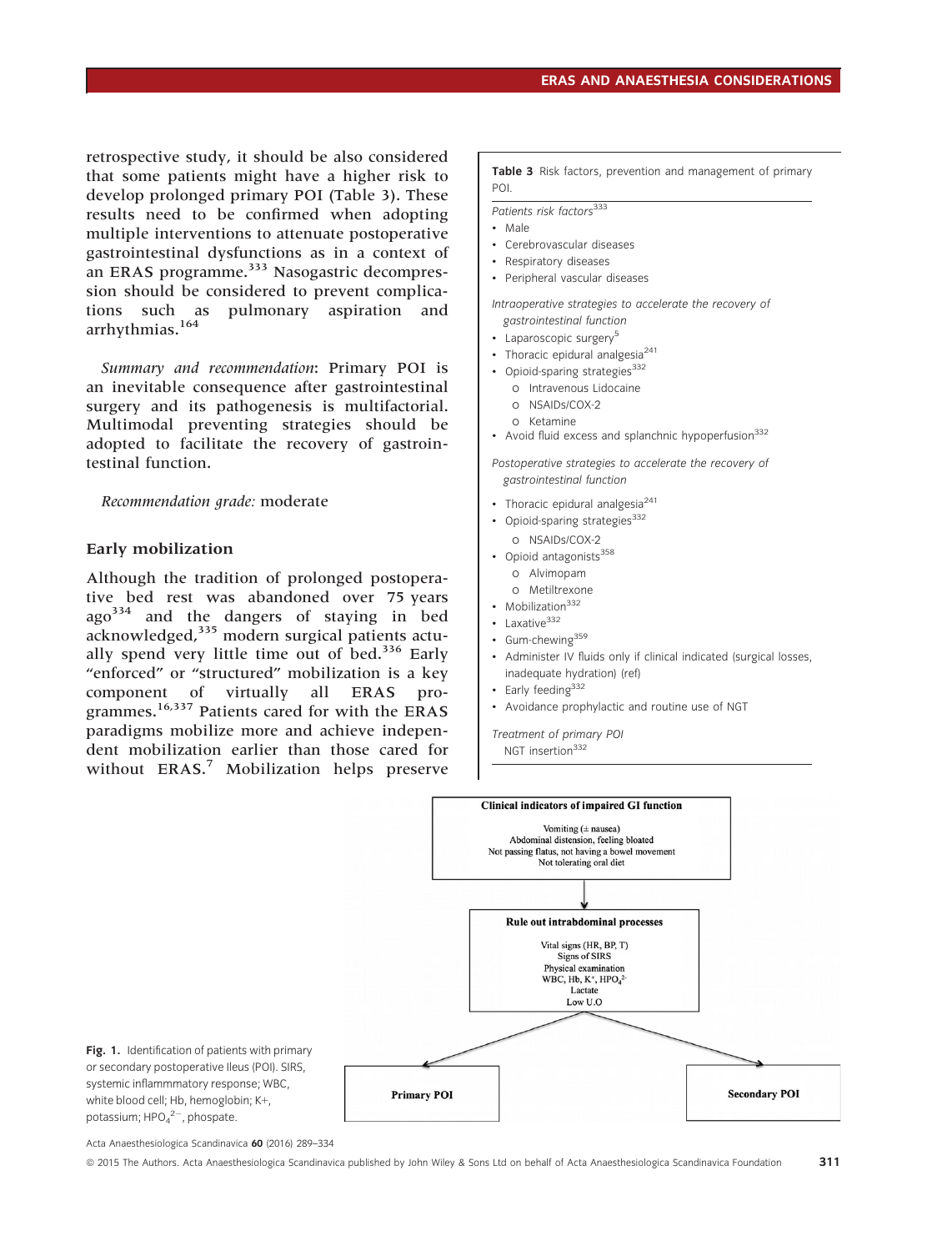retrospective study, it should be also considered that some patients might have a higher risk to develop prolonged primary POI (Table 3). These results need to be confirmed when adopting multiple interventions to attenuate postoperative gastrointestinal dysfunctions as in a context of an ERAS programme.<sup>333</sup> Nasogastric decompression should be considered to prevent complica-<br>tions such as pulmonary aspiration and such as pulmonary aspiration and arrhythmias.164

Summary and recommendation: Primary POI is an inevitable consequence after gastrointestinal surgery and its pathogenesis is multifactorial. Multimodal preventing strategies should be adopted to facilitate the recovery of gastrointestinal function.

## Recommendation grade: moderate

## Early mobilization

Although the tradition of prolonged postoperative bed rest was abandoned over 75 years ago<sup>334</sup> and the dangers of staying in bed acknowledged,335 modern surgical patients actually spend very little time out of bed.<sup>336</sup> Early "enforced" or "structured" mobilization is a key component of virtually all ERAS programmes.16,337 Patients cared for with the ERAS paradigms mobilize more and achieve independent mobilization earlier than those cared for without ERAS.<sup>7</sup> Mobilization helps preserve

Table 3 Risk factors, prevention and management of primary POI.

Patients risk factors<sup>333</sup>

- Male
- Cerebrovascular diseases
- Respiratory diseases
- Peripheral vascular diseases

Intraoperative strategies to accelerate the recovery of gastrointestinal function

- Laparoscopic surgery<sup>5</sup>
- Thoracic epidural analgesia $^{241}$
- Opioid-sparing strategies $332$ 
	- o Intravenous Lidocaine
	- o NSAIDs/COX-2
	- o Ketamine
- Avoid fluid excess and splanchnic hypoperfusion<sup>332</sup>

Postoperative strategies to accelerate the recovery of gastrointestinal function

- Thoracic epidural analgesia $^{241}$
- Opioid-sparing strategies $332$
- o NSAIDs/COX-2
- Opioid antagonists $358$
- o Alvimopam
- o Metiltrexone
- Mobilization $332$
- Laxative $332$
- $•$  Gum-chewing $359$
- Administer IV fluids only if clinical indicated (surgical losses, inadequate hydration) (ref)
- Early feeding $332$
- Avoidance prophylactic and routine use of NGT

Treatment of primary POI NGT insertion<sup>332</sup>



Fig. 1. Identification of patients with primary or secondary postoperative Ileus (POI). SIRS, systemic inflammmatory response; WBC, white blood cell; Hb, hemoglobin; K+, potassium; HPO<sub>4</sub><sup>2-</sup>, phospate.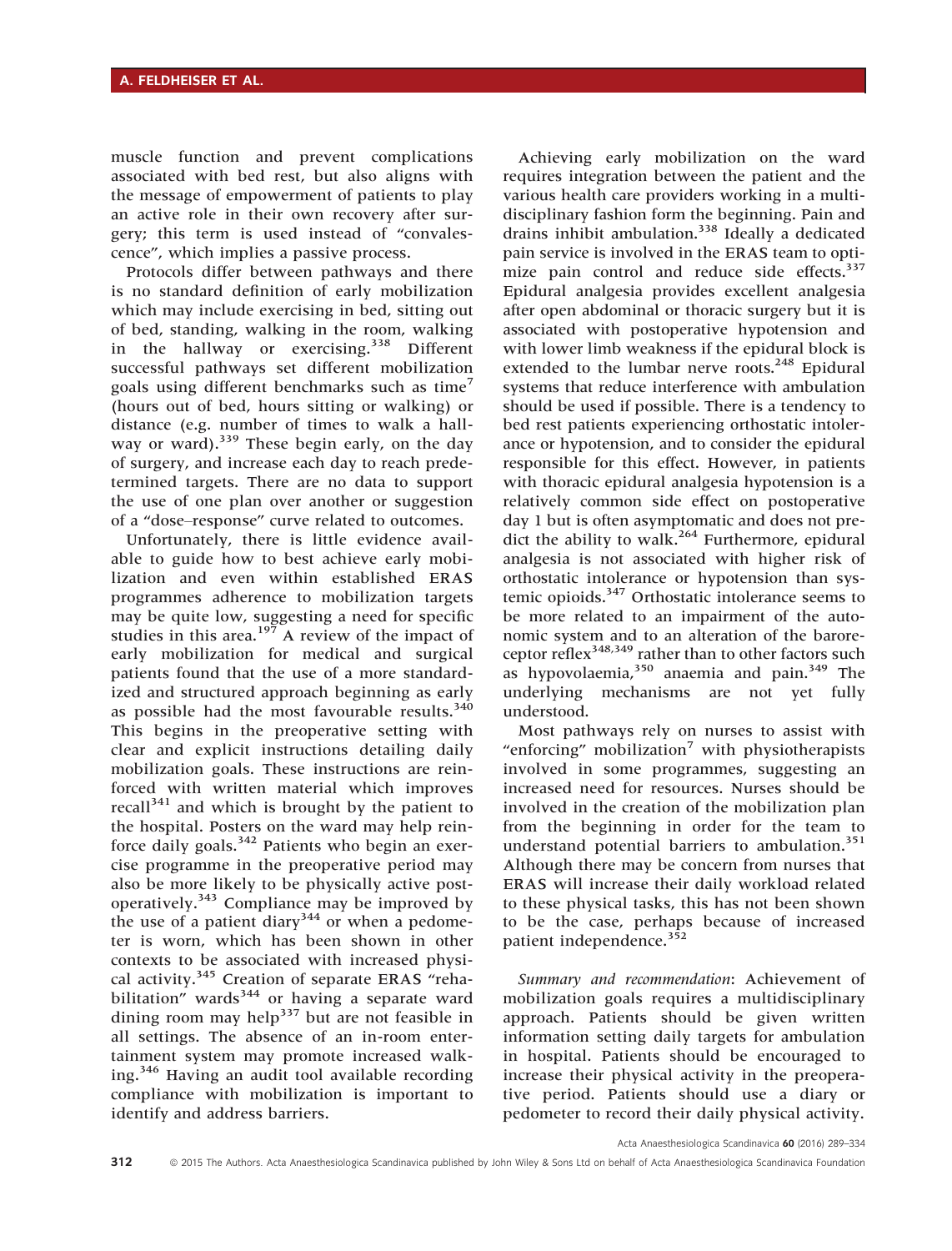muscle function and prevent complications associated with bed rest, but also aligns with the message of empowerment of patients to play an active role in their own recovery after surgery; this term is used instead of "convalescence", which implies a passive process.

Protocols differ between pathways and there is no standard definition of early mobilization which may include exercising in bed, sitting out of bed, standing, walking in the room, walking in the hallway or exercising.<sup>338</sup> Different successful pathways set different mobilization goals using different benchmarks such as time<sup>7</sup> (hours out of bed, hours sitting or walking) or distance (e.g. number of times to walk a hallway or ward).<sup>339</sup> These begin early, on the day of surgery, and increase each day to reach predetermined targets. There are no data to support the use of one plan over another or suggestion of a "dose–response" curve related to outcomes.

Unfortunately, there is little evidence available to guide how to best achieve early mobilization and even within established ERAS programmes adherence to mobilization targets may be quite low, suggesting a need for specific studies in this area.<sup>197</sup> A review of the impact of early mobilization for medical and surgical patients found that the use of a more standardized and structured approach beginning as early as possible had the most favourable results.<sup>340</sup> This begins in the preoperative setting with clear and explicit instructions detailing daily mobilization goals. These instructions are reinforced with written material which improves recall $341$  and which is brought by the patient to the hospital. Posters on the ward may help reinforce daily goals.<sup>342</sup> Patients who begin an exercise programme in the preoperative period may also be more likely to be physically active postoperatively.<sup>343</sup> Compliance may be improved by the use of a patient diary<sup>344</sup> or when a pedometer is worn, which has been shown in other contexts to be associated with increased physical activity.<sup>345</sup> Creation of separate ERAS "rehabilitation" wards<sup>344</sup> or having a separate ward dining room may help<sup>337</sup> but are not feasible in all settings. The absence of an in-room entertainment system may promote increased walking.<sup>346</sup> Having an audit tool available recording compliance with mobilization is important to identify and address barriers.

Achieving early mobilization on the ward requires integration between the patient and the various health care providers working in a multidisciplinary fashion form the beginning. Pain and drains inhibit ambulation.338 Ideally a dedicated pain service is involved in the ERAS team to optimize pain control and reduce side effects.<sup>337</sup> Epidural analgesia provides excellent analgesia after open abdominal or thoracic surgery but it is associated with postoperative hypotension and with lower limb weakness if the epidural block is extended to the lumbar nerve roots.<sup>248</sup> Epidural systems that reduce interference with ambulation should be used if possible. There is a tendency to bed rest patients experiencing orthostatic intolerance or hypotension, and to consider the epidural responsible for this effect. However, in patients with thoracic epidural analgesia hypotension is a relatively common side effect on postoperative day 1 but is often asymptomatic and does not predict the ability to walk.<sup>264</sup> Furthermore, epidural analgesia is not associated with higher risk of orthostatic intolerance or hypotension than systemic opioids.<sup>347</sup> Orthostatic intolerance seems to be more related to an impairment of the autonomic system and to an alteration of the baroreceptor reflex<sup>348,349</sup> rather than to other factors such as hypovolaemia, $350$  anaemia and pain. $349$  The underlying mechanisms are not yet fully understood.

Most pathways rely on nurses to assist with "enforcing" mobilization<sup>7</sup> with physiotherapists involved in some programmes, suggesting an increased need for resources. Nurses should be involved in the creation of the mobilization plan from the beginning in order for the team to understand potential barriers to ambulation.<sup>351</sup> Although there may be concern from nurses that ERAS will increase their daily workload related to these physical tasks, this has not been shown to be the case, perhaps because of increased patient independence.<sup>352</sup>

Summary and recommendation: Achievement of mobilization goals requires a multidisciplinary approach. Patients should be given written information setting daily targets for ambulation in hospital. Patients should be encouraged to increase their physical activity in the preoperative period. Patients should use a diary or pedometer to record their daily physical activity.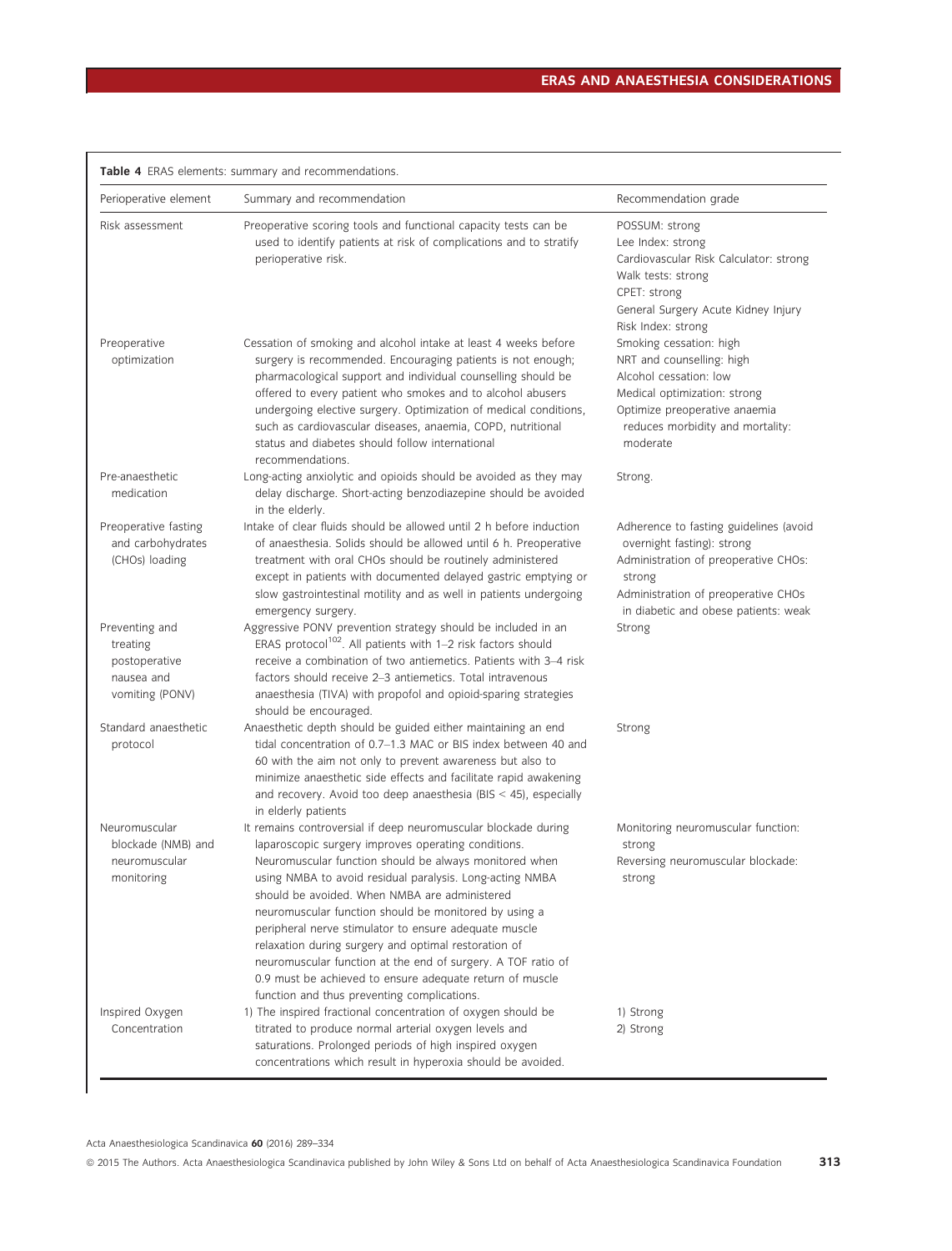| Table 4 ERAS elements: summary and recommendations.                          |                                                                                                                                                                                                                                                                                                                                                                                                                                                                                                                                                                                                                                                   |                                                                                                                                                                                                       |
|------------------------------------------------------------------------------|---------------------------------------------------------------------------------------------------------------------------------------------------------------------------------------------------------------------------------------------------------------------------------------------------------------------------------------------------------------------------------------------------------------------------------------------------------------------------------------------------------------------------------------------------------------------------------------------------------------------------------------------------|-------------------------------------------------------------------------------------------------------------------------------------------------------------------------------------------------------|
| Perioperative element                                                        | Summary and recommendation                                                                                                                                                                                                                                                                                                                                                                                                                                                                                                                                                                                                                        | Recommendation grade                                                                                                                                                                                  |
| Risk assessment                                                              | Preoperative scoring tools and functional capacity tests can be<br>used to identify patients at risk of complications and to stratify<br>perioperative risk.                                                                                                                                                                                                                                                                                                                                                                                                                                                                                      | POSSUM: strong<br>Lee Index: strong<br>Cardiovascular Risk Calculator: strong<br>Walk tests: strong<br>CPET: strong<br>General Surgery Acute Kidney Injury<br>Risk Index: strong                      |
| Preoperative<br>optimization                                                 | Cessation of smoking and alcohol intake at least 4 weeks before<br>surgery is recommended. Encouraging patients is not enough;<br>pharmacological support and individual counselling should be<br>offered to every patient who smokes and to alcohol abusers<br>undergoing elective surgery. Optimization of medical conditions,<br>such as cardiovascular diseases, anaemia, COPD, nutritional<br>status and diabetes should follow international<br>recommendations.                                                                                                                                                                            | Smoking cessation: high<br>NRT and counselling: high<br>Alcohol cessation: low<br>Medical optimization: strong<br>Optimize preoperative anaemia<br>reduces morbidity and mortality:<br>moderate       |
| Pre-anaesthetic<br>medication                                                | Long-acting anxiolytic and opioids should be avoided as they may<br>delay discharge. Short-acting benzodiazepine should be avoided<br>in the elderly.                                                                                                                                                                                                                                                                                                                                                                                                                                                                                             | Strong.                                                                                                                                                                                               |
| Preoperative fasting<br>and carbohydrates<br>(CHOs) loading                  | Intake of clear fluids should be allowed until 2 h before induction<br>of anaesthesia. Solids should be allowed until 6 h. Preoperative<br>treatment with oral CHOs should be routinely administered<br>except in patients with documented delayed gastric emptying or<br>slow gastrointestinal motility and as well in patients undergoing<br>emergency surgery.                                                                                                                                                                                                                                                                                 | Adherence to fasting guidelines (avoid<br>overnight fasting): strong<br>Administration of preoperative CHOs:<br>strong<br>Administration of preoperative CHOs<br>in diabetic and obese patients: weak |
| Preventing and<br>treating<br>postoperative<br>nausea and<br>vomiting (PONV) | Aggressive PONV prevention strategy should be included in an<br>ERAS protocol <sup>102</sup> . All patients with 1-2 risk factors should<br>receive a combination of two antiemetics. Patients with 3-4 risk<br>factors should receive 2-3 antiemetics. Total intravenous<br>anaesthesia (TIVA) with propofol and opioid-sparing strategies<br>should be encouraged.                                                                                                                                                                                                                                                                              | Strong                                                                                                                                                                                                |
| Standard anaesthetic<br>protocol                                             | Anaesthetic depth should be guided either maintaining an end<br>tidal concentration of 0.7-1.3 MAC or BIS index between 40 and<br>60 with the aim not only to prevent awareness but also to<br>minimize anaesthetic side effects and facilitate rapid awakening<br>and recovery. Avoid too deep anaesthesia (BIS $<$ 45), especially<br>in elderly patients                                                                                                                                                                                                                                                                                       | Strong                                                                                                                                                                                                |
| Neuromuscular<br>blockade (NMB) and<br>neuromuscular<br>monitoring           | It remains controversial if deep neuromuscular blockade during<br>laparoscopic surgery improves operating conditions.<br>Neuromuscular function should be always monitored when<br>using NMBA to avoid residual paralysis. Long-acting NMBA<br>should be avoided. When NMBA are administered<br>neuromuscular function should be monitored by using a<br>peripheral nerve stimulator to ensure adequate muscle<br>relaxation during surgery and optimal restoration of<br>neuromuscular function at the end of surgery. A TOF ratio of<br>0.9 must be achieved to ensure adequate return of muscle<br>function and thus preventing complications. | Monitoring neuromuscular function:<br>strong<br>Reversing neuromuscular blockade:<br>strong                                                                                                           |
| Inspired Oxygen<br>Concentration                                             | 1) The inspired fractional concentration of oxygen should be<br>titrated to produce normal arterial oxygen levels and<br>saturations. Prolonged periods of high inspired oxygen<br>concentrations which result in hyperoxia should be avoided.                                                                                                                                                                                                                                                                                                                                                                                                    | 1) Strong<br>2) Strong                                                                                                                                                                                |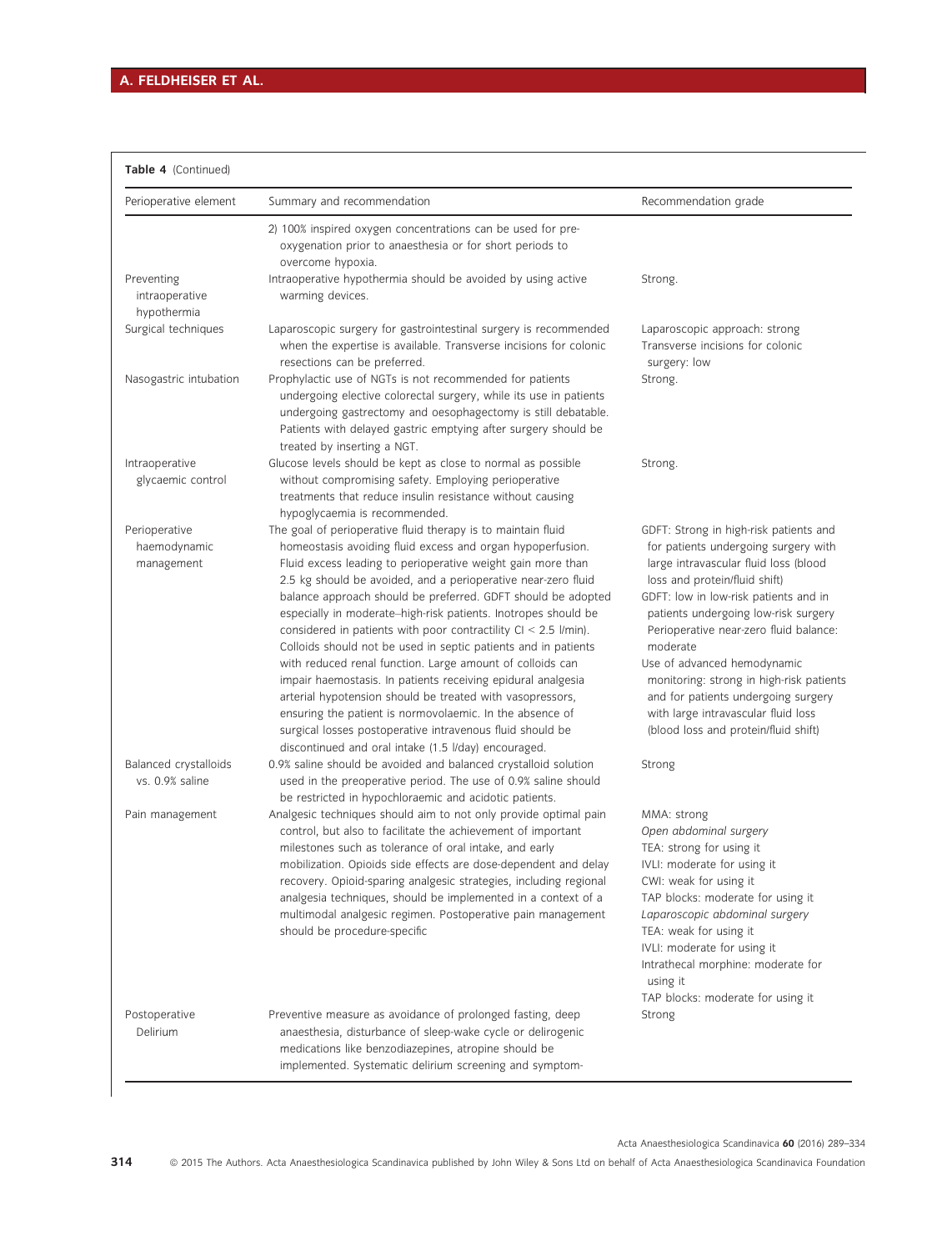## Table 4 (Continued)

| Perioperative element                       | Summary and recommendation                                                                                                                                                                                                                                                                                                                                                                                                                                                                                                                                                                                                                                                                                                                                                                                                                                                                                     | Recommendation grade                                                                                                                                                                                                                                                                                                                                                                                                                                                                             |
|---------------------------------------------|----------------------------------------------------------------------------------------------------------------------------------------------------------------------------------------------------------------------------------------------------------------------------------------------------------------------------------------------------------------------------------------------------------------------------------------------------------------------------------------------------------------------------------------------------------------------------------------------------------------------------------------------------------------------------------------------------------------------------------------------------------------------------------------------------------------------------------------------------------------------------------------------------------------|--------------------------------------------------------------------------------------------------------------------------------------------------------------------------------------------------------------------------------------------------------------------------------------------------------------------------------------------------------------------------------------------------------------------------------------------------------------------------------------------------|
|                                             | 2) 100% inspired oxygen concentrations can be used for pre-<br>oxygenation prior to anaesthesia or for short periods to<br>overcome hypoxia.                                                                                                                                                                                                                                                                                                                                                                                                                                                                                                                                                                                                                                                                                                                                                                   |                                                                                                                                                                                                                                                                                                                                                                                                                                                                                                  |
| Preventing<br>intraoperative<br>hypothermia | Intraoperative hypothermia should be avoided by using active<br>warming devices.                                                                                                                                                                                                                                                                                                                                                                                                                                                                                                                                                                                                                                                                                                                                                                                                                               | Strong.                                                                                                                                                                                                                                                                                                                                                                                                                                                                                          |
| Surgical techniques                         | Laparoscopic surgery for gastrointestinal surgery is recommended<br>when the expertise is available. Transverse incisions for colonic<br>resections can be preferred.                                                                                                                                                                                                                                                                                                                                                                                                                                                                                                                                                                                                                                                                                                                                          | Laparoscopic approach: strong<br>Transverse incisions for colonic<br>surgery: low                                                                                                                                                                                                                                                                                                                                                                                                                |
| Nasogastric intubation                      | Prophylactic use of NGTs is not recommended for patients<br>undergoing elective colorectal surgery, while its use in patients<br>undergoing gastrectomy and oesophagectomy is still debatable.<br>Patients with delayed gastric emptying after surgery should be<br>treated by inserting a NGT.                                                                                                                                                                                                                                                                                                                                                                                                                                                                                                                                                                                                                | Strong.                                                                                                                                                                                                                                                                                                                                                                                                                                                                                          |
| Intraoperative<br>glycaemic control         | Glucose levels should be kept as close to normal as possible<br>without compromising safety. Employing perioperative<br>treatments that reduce insulin resistance without causing<br>hypoglycaemia is recommended.                                                                                                                                                                                                                                                                                                                                                                                                                                                                                                                                                                                                                                                                                             | Strong.                                                                                                                                                                                                                                                                                                                                                                                                                                                                                          |
| Perioperative<br>haemodynamic<br>management | The goal of perioperative fluid therapy is to maintain fluid<br>homeostasis avoiding fluid excess and organ hypoperfusion.<br>Fluid excess leading to perioperative weight gain more than<br>2.5 kg should be avoided, and a perioperative near-zero fluid<br>balance approach should be preferred. GDFT should be adopted<br>especially in moderate-high-risk patients. Inotropes should be<br>considered in patients with poor contractility $CI < 2.5$ l/min).<br>Colloids should not be used in septic patients and in patients<br>with reduced renal function. Large amount of colloids can<br>impair haemostasis. In patients receiving epidural analgesia<br>arterial hypotension should be treated with vasopressors,<br>ensuring the patient is normovolaemic. In the absence of<br>surgical losses postoperative intravenous fluid should be<br>discontinued and oral intake (1.5 l/day) encouraged. | GDFT: Strong in high-risk patients and<br>for patients undergoing surgery with<br>large intravascular fluid loss (blood<br>loss and protein/fluid shift)<br>GDFT: low in low-risk patients and in<br>patients undergoing low-risk surgery<br>Perioperative near-zero fluid balance:<br>moderate<br>Use of advanced hemodynamic<br>monitoring: strong in high-risk patients<br>and for patients undergoing surgery<br>with large intravascular fluid loss<br>(blood loss and protein/fluid shift) |
| Balanced crystalloids<br>vs. 0.9% saline    | 0.9% saline should be avoided and balanced crystalloid solution<br>used in the preoperative period. The use of 0.9% saline should<br>be restricted in hypochloraemic and acidotic patients.                                                                                                                                                                                                                                                                                                                                                                                                                                                                                                                                                                                                                                                                                                                    | Strong                                                                                                                                                                                                                                                                                                                                                                                                                                                                                           |
| Pain management                             | Analgesic techniques should aim to not only provide optimal pain<br>control, but also to facilitate the achievement of important<br>milestones such as tolerance of oral intake, and early<br>mobilization. Opioids side effects are dose-dependent and delay<br>recovery. Opioid-sparing analgesic strategies, including regional<br>analgesia techniques, should be implemented in a context of a<br>multimodal analgesic regimen. Postoperative pain management<br>should be procedure-specific                                                                                                                                                                                                                                                                                                                                                                                                             | MMA: strong<br>Open abdominal surgery<br>TEA: strong for using it<br>IVLI: moderate for using it<br>CWI: weak for using it<br>TAP blocks: moderate for using it<br>Laparoscopic abdominal surgery<br>TEA: weak for using it<br>IVLI: moderate for using it<br>Intrathecal morphine: moderate for<br>using it<br>TAP blocks: moderate for using it                                                                                                                                                |
| Postoperative<br>Delirium                   | Preventive measure as avoidance of prolonged fasting, deep<br>anaesthesia, disturbance of sleep-wake cycle or delirogenic<br>medications like benzodiazepines, atropine should be<br>implemented. Systematic delirium screening and symptom-                                                                                                                                                                                                                                                                                                                                                                                                                                                                                                                                                                                                                                                                   | Strong                                                                                                                                                                                                                                                                                                                                                                                                                                                                                           |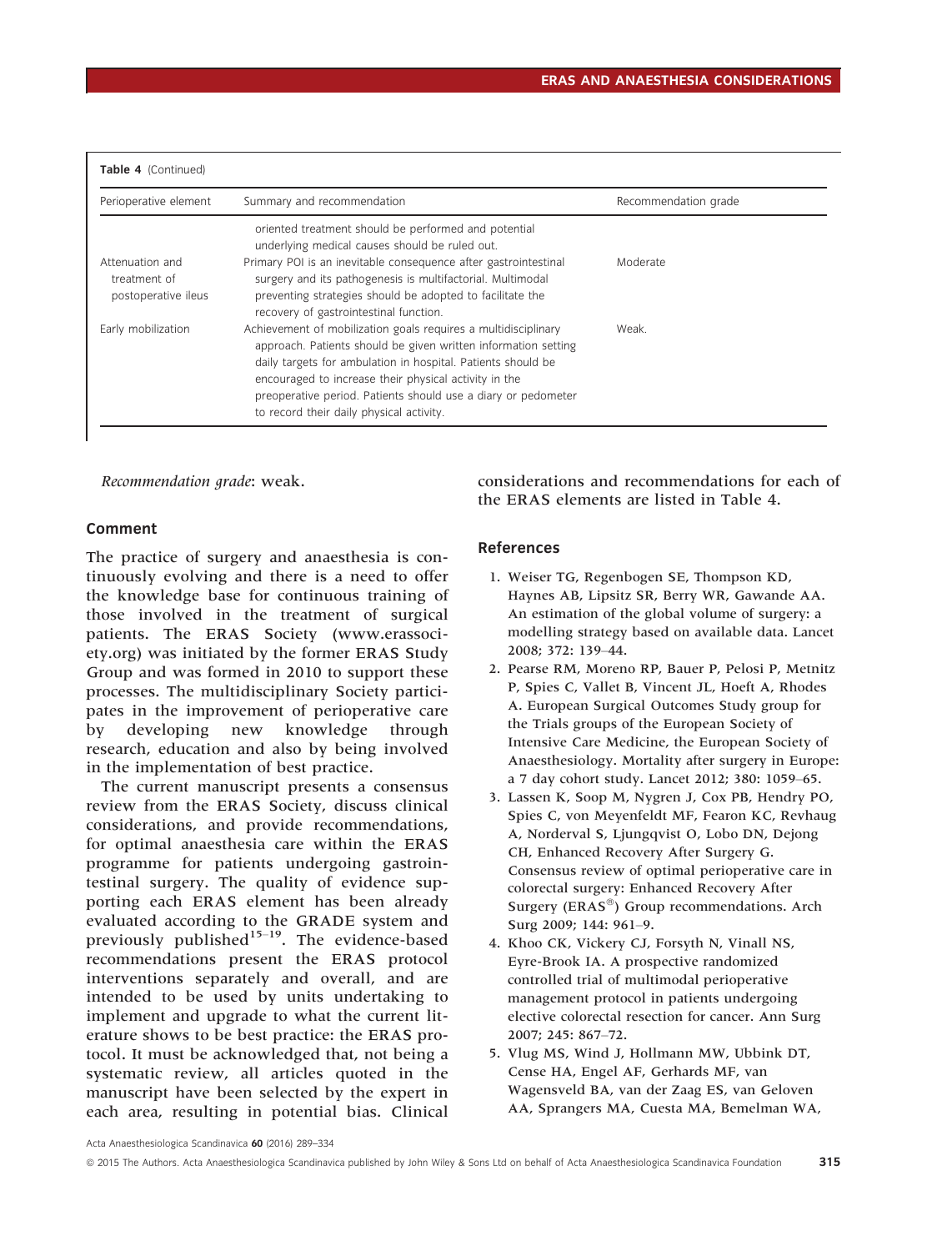| Perioperative element                                  | Summary and recommendation                                                                                                                                                                                                                                                                                                                                             | Recommendation grade |
|--------------------------------------------------------|------------------------------------------------------------------------------------------------------------------------------------------------------------------------------------------------------------------------------------------------------------------------------------------------------------------------------------------------------------------------|----------------------|
|                                                        | oriented treatment should be performed and potential<br>underlying medical causes should be ruled out.                                                                                                                                                                                                                                                                 |                      |
| Attenuation and<br>treatment of<br>postoperative ileus | Primary POI is an inevitable consequence after gastrointestinal<br>surgery and its pathogenesis is multifactorial. Multimodal<br>preventing strategies should be adopted to facilitate the<br>recovery of gastrointestinal function.                                                                                                                                   | Moderate             |
| Early mobilization                                     | Achievement of mobilization goals requires a multidisciplinary<br>approach. Patients should be given written information setting<br>daily targets for ambulation in hospital. Patients should be<br>encouraged to increase their physical activity in the<br>preoperative period. Patients should use a diary or pedometer<br>to record their daily physical activity. | Weak.                |

Recommendation grade: weak.

### Comment

The practice of surgery and anaesthesia is continuously evolving and there is a need to offer the knowledge base for continuous training of those involved in the treatment of surgical patients. The ERAS Society [\(www.erassoci](http://www.erassociety.org)[ety.org](http://www.erassociety.org)) was initiated by the former ERAS Study Group and was formed in 2010 to support these processes. The multidisciplinary Society participates in the improvement of perioperative care by developing new knowledge through research, education and also by being involved in the implementation of best practice.

The current manuscript presents a consensus review from the ERAS Society, discuss clinical considerations, and provide recommendations, for optimal anaesthesia care within the ERAS programme for patients undergoing gastrointestinal surgery. The quality of evidence supporting each ERAS element has been already evaluated according to the GRADE system and previously published<sup>15-19</sup>. The evidence-based recommendations present the ERAS protocol interventions separately and overall, and are intended to be used by units undertaking to implement and upgrade to what the current literature shows to be best practice: the ERAS protocol. It must be acknowledged that, not being a systematic review, all articles quoted in the manuscript have been selected by the expert in each area, resulting in potential bias. Clinical References

1. Weiser TG, Regenbogen SE, Thompson KD, Haynes AB, Lipsitz SR, Berry WR, Gawande AA. An estimation of the global volume of surgery: a modelling strategy based on available data. Lancet 2008; 372: 139–44.

considerations and recommendations for each of

the ERAS elements are listed in Table 4.

- 2. Pearse RM, Moreno RP, Bauer P, Pelosi P, Metnitz P, Spies C, Vallet B, Vincent JL, Hoeft A, Rhodes A. European Surgical Outcomes Study group for the Trials groups of the European Society of Intensive Care Medicine, the European Society of Anaesthesiology. Mortality after surgery in Europe: a 7 day cohort study. Lancet 2012; 380: 1059–65.
- 3. Lassen K, Soop M, Nygren J, Cox PB, Hendry PO, Spies C, von Meyenfeldt MF, Fearon KC, Revhaug A, Norderval S, Ljungqvist O, Lobo DN, Dejong CH, Enhanced Recovery After Surgery G. Consensus review of optimal perioperative care in colorectal surgery: Enhanced Recovery After Surgery ( $ERAS^{\circledR}$ ) Group recommendations. Arch Surg 2009; 144: 961–9.
- 4. Khoo CK, Vickery CJ, Forsyth N, Vinall NS, Eyre-Brook IA. A prospective randomized controlled trial of multimodal perioperative management protocol in patients undergoing elective colorectal resection for cancer. Ann Surg 2007; 245: 867–72.
- 5. Vlug MS, Wind J, Hollmann MW, Ubbink DT, Cense HA, Engel AF, Gerhards MF, van Wagensveld BA, van der Zaag ES, van Geloven AA, Sprangers MA, Cuesta MA, Bemelman WA,

Acta Anaesthesiologica Scandinavica 60 (2016) 289–334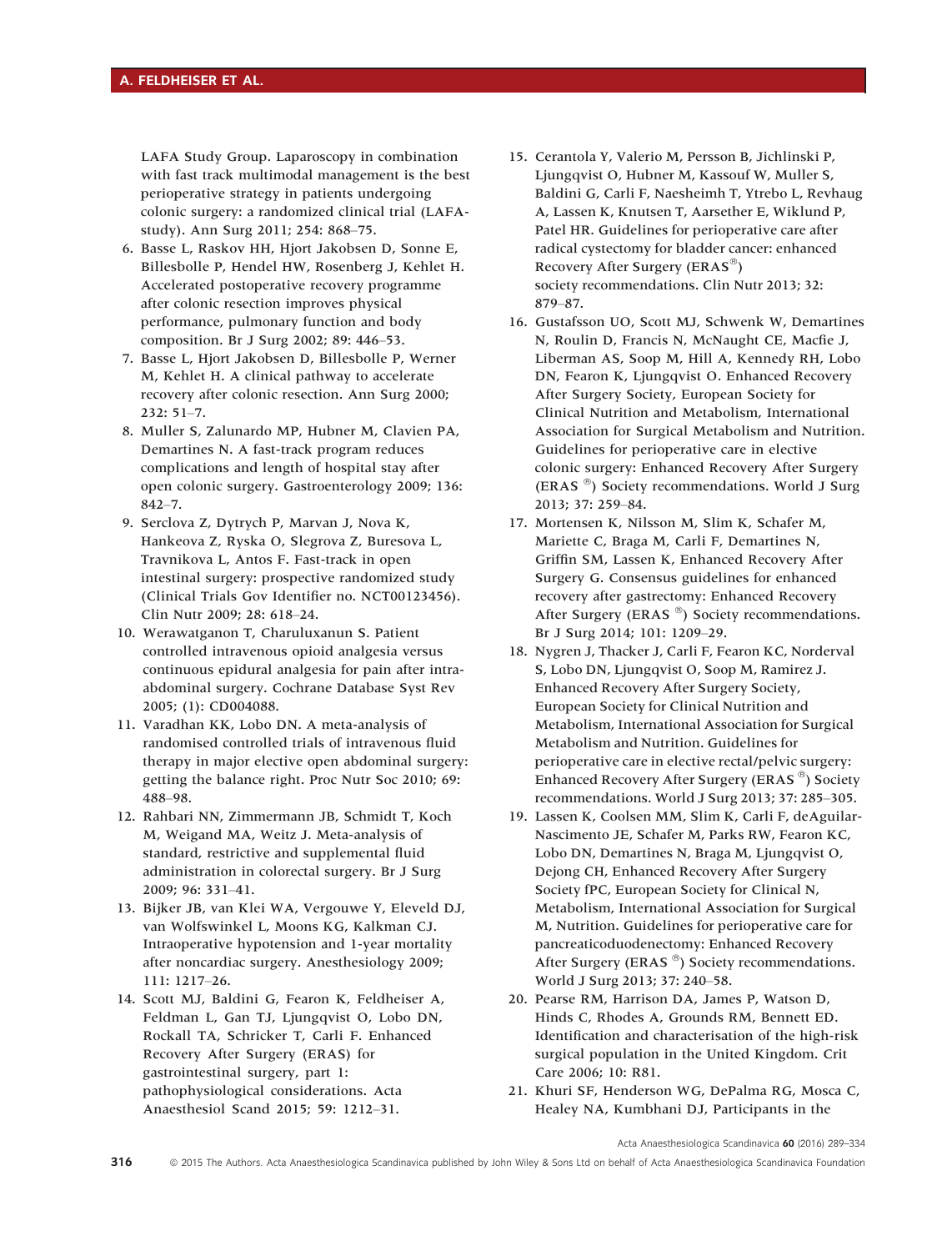LAFA Study Group. Laparoscopy in combination with fast track multimodal management is the best perioperative strategy in patients undergoing colonic surgery: a randomized clinical trial (LAFAstudy). Ann Surg 2011; 254: 868–75.

- 6. Basse L, Raskov HH, Hjort Jakobsen D, Sonne E, Billesbolle P, Hendel HW, Rosenberg J, Kehlet H. Accelerated postoperative recovery programme after colonic resection improves physical performance, pulmonary function and body composition. Br J Surg 2002; 89: 446–53.
- 7. Basse L, Hjort Jakobsen D, Billesbolle P, Werner M, Kehlet H. A clinical pathway to accelerate recovery after colonic resection. Ann Surg 2000; 232: 51–7.
- 8. Muller S, Zalunardo MP, Hubner M, Clavien PA, Demartines N. A fast-track program reduces complications and length of hospital stay after open colonic surgery. Gastroenterology 2009; 136: 842–7.
- 9. Serclova Z, Dytrych P, Marvan J, Nova K, Hankeova Z, Ryska O, Slegrova Z, Buresova L, Travnikova L, Antos F. Fast-track in open intestinal surgery: prospective randomized study (Clinical Trials Gov Identifier no. NCT00123456). Clin Nutr 2009; 28: 618–24.
- 10. Werawatganon T, Charuluxanun S. Patient controlled intravenous opioid analgesia versus continuous epidural analgesia for pain after intraabdominal surgery. Cochrane Database Syst Rev 2005; (1): CD004088.
- 11. Varadhan KK, Lobo DN. A meta-analysis of randomised controlled trials of intravenous fluid therapy in major elective open abdominal surgery: getting the balance right. Proc Nutr Soc 2010; 69: 488–98.
- 12. Rahbari NN, Zimmermann JB, Schmidt T, Koch M, Weigand MA, Weitz J. Meta-analysis of standard, restrictive and supplemental fluid administration in colorectal surgery. Br J Surg 2009; 96: 331–41.
- 13. Bijker JB, van Klei WA, Vergouwe Y, Eleveld DJ, van Wolfswinkel L, Moons KG, Kalkman CJ. Intraoperative hypotension and 1-year mortality after noncardiac surgery. Anesthesiology 2009; 111: 1217–26.
- 14. Scott MJ, Baldini G, Fearon K, Feldheiser A, Feldman L, Gan TJ, Ljungqvist O, Lobo DN, Rockall TA, Schricker T, Carli F. Enhanced Recovery After Surgery (ERAS) for gastrointestinal surgery, part 1: pathophysiological considerations. Acta Anaesthesiol Scand 2015; 59: 1212–31.
- 15. Cerantola Y, Valerio M, Persson B, Jichlinski P, Ljungqvist O, Hubner M, Kassouf W, Muller S, Baldini G, Carli F, Naesheimh T, Ytrebo L, Revhaug A, Lassen K, Knutsen T, Aarsether E, Wiklund P, Patel HR. Guidelines for perioperative care after radical cystectomy for bladder cancer: enhanced Recovery After Surgery (ERAS<sup>®</sup>) society recommendations. Clin Nutr 2013; 32: 879–87.
- 16. Gustafsson UO, Scott MJ, Schwenk W, Demartines N, Roulin D, Francis N, McNaught CE, Macfie J, Liberman AS, Soop M, Hill A, Kennedy RH, Lobo DN, Fearon K, Ljungqvist O. Enhanced Recovery After Surgery Society, European Society for Clinical Nutrition and Metabolism, International Association for Surgical Metabolism and Nutrition. Guidelines for perioperative care in elective colonic surgery: Enhanced Recovery After Surgery (ERAS  $\textcircled{\tiny{\textcirc}}$ ) Society recommendations. World J Surg 2013; 37: 259–84.
- 17. Mortensen K, Nilsson M, Slim K, Schafer M, Mariette C, Braga M, Carli F, Demartines N, Griffin SM, Lassen K, Enhanced Recovery After Surgery G. Consensus guidelines for enhanced recovery after gastrectomy: Enhanced Recovery After Surgery (ERAS  $^{\circledR}$ ) Society recommendations. Br J Surg 2014; 101: 1209–29.
- 18. Nygren J, Thacker J, Carli F, Fearon KC, Norderval S, Lobo DN, Ljungqvist O, Soop M, Ramirez J. Enhanced Recovery After Surgery Society, European Society for Clinical Nutrition and Metabolism, International Association for Surgical Metabolism and Nutrition. Guidelines for perioperative care in elective rectal/pelvic surgery: Enhanced Recovery After Surgery (ERAS  $\textcircled{8}$ ) Society recommendations. World J Surg 2013; 37: 285–305.
- 19. Lassen K, Coolsen MM, Slim K, Carli F, deAguilar-Nascimento JE, Schafer M, Parks RW, Fearon KC, Lobo DN, Demartines N, Braga M, Ljungqvist O, Dejong CH, Enhanced Recovery After Surgery Society fPC, European Society for Clinical N, Metabolism, International Association for Surgical M, Nutrition. Guidelines for perioperative care for pancreaticoduodenectomy: Enhanced Recovery After Surgery (ERAS  $\textcircled{\tiny{B}}$ ) Society recommendations. World J Surg 2013; 37: 240–58.
- 20. Pearse RM, Harrison DA, James P, Watson D, Hinds C, Rhodes A, Grounds RM, Bennett ED. Identification and characterisation of the high-risk surgical population in the United Kingdom. Crit Care 2006; 10: R81.
- 21. Khuri SF, Henderson WG, DePalma RG, Mosca C, Healey NA, Kumbhani DJ, Participants in the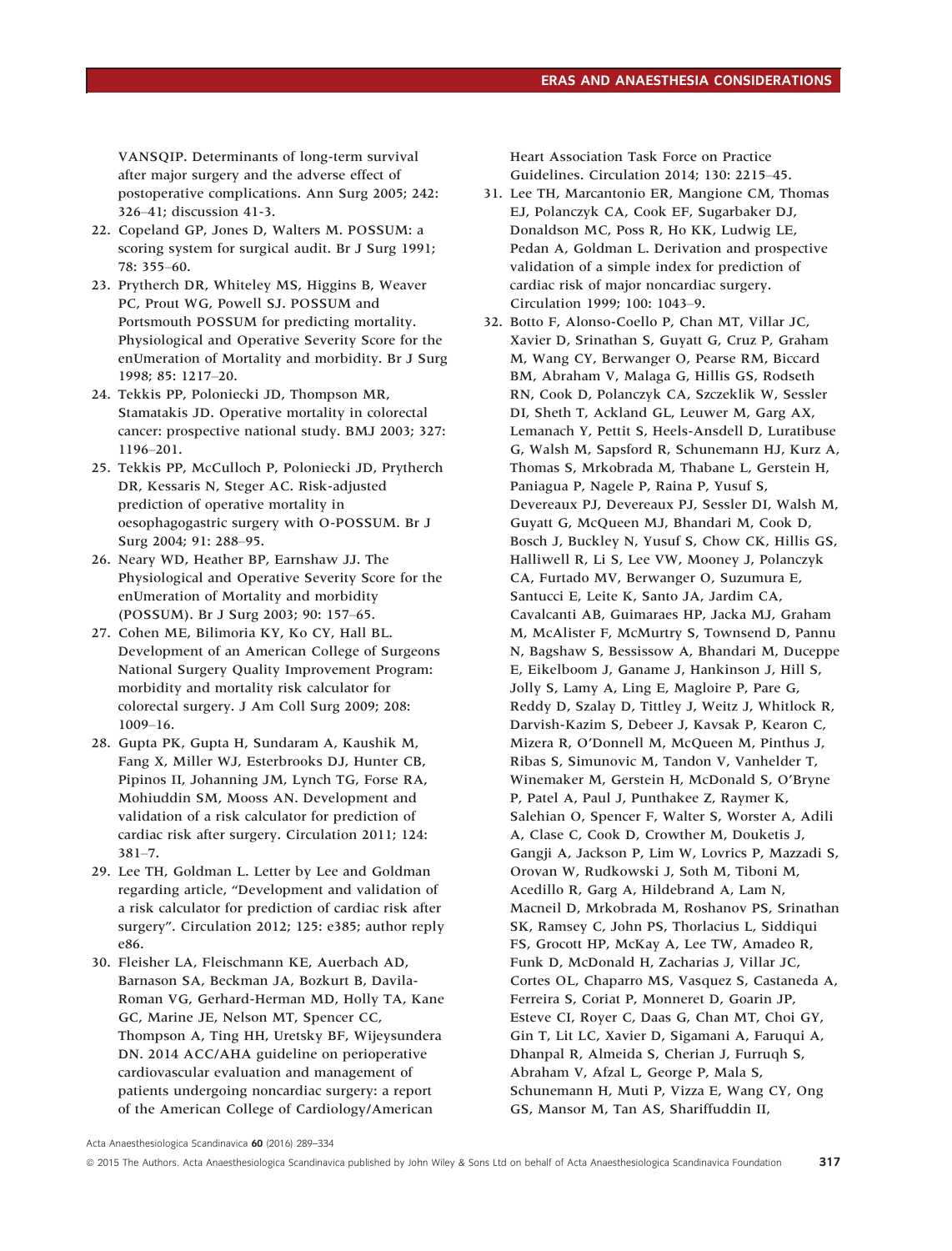VANSQIP. Determinants of long-term survival after major surgery and the adverse effect of postoperative complications. Ann Surg 2005; 242: 326–41; discussion 41-3.

- 22. Copeland GP, Jones D, Walters M. POSSUM: a scoring system for surgical audit. Br J Surg 1991; 78: 355–60.
- 23. Prytherch DR, Whiteley MS, Higgins B, Weaver PC, Prout WG, Powell SJ. POSSUM and Portsmouth POSSUM for predicting mortality. Physiological and Operative Severity Score for the enUmeration of Mortality and morbidity. Br J Surg 1998; 85: 1217–20.
- 24. Tekkis PP, Poloniecki JD, Thompson MR, Stamatakis JD. Operative mortality in colorectal cancer: prospective national study. BMJ 2003; 327: 1196–201.
- 25. Tekkis PP, McCulloch P, Poloniecki JD, Prytherch DR, Kessaris N, Steger AC. Risk-adjusted prediction of operative mortality in oesophagogastric surgery with O-POSSUM. Br J Surg 2004; 91: 288–95.
- 26. Neary WD, Heather BP, Earnshaw JJ. The Physiological and Operative Severity Score for the enUmeration of Mortality and morbidity (POSSUM). Br J Surg 2003; 90: 157–65.
- 27. Cohen ME, Bilimoria KY, Ko CY, Hall BL. Development of an American College of Surgeons National Surgery Quality Improvement Program: morbidity and mortality risk calculator for colorectal surgery. J Am Coll Surg 2009; 208: 1009–16.
- 28. Gupta PK, Gupta H, Sundaram A, Kaushik M, Fang X, Miller WJ, Esterbrooks DJ, Hunter CB, Pipinos II, Johanning JM, Lynch TG, Forse RA, Mohiuddin SM, Mooss AN. Development and validation of a risk calculator for prediction of cardiac risk after surgery. Circulation 2011; 124: 381–7.
- 29. Lee TH, Goldman L. Letter by Lee and Goldman regarding article, "Development and validation of a risk calculator for prediction of cardiac risk after surgery". Circulation 2012; 125: e385; author reply e86.
- 30. Fleisher LA, Fleischmann KE, Auerbach AD, Barnason SA, Beckman JA, Bozkurt B, Davila-Roman VG, Gerhard-Herman MD, Holly TA, Kane GC, Marine JE, Nelson MT, Spencer CC, Thompson A, Ting HH, Uretsky BF, Wijeysundera DN. 2014 ACC/AHA guideline on perioperative cardiovascular evaluation and management of patients undergoing noncardiac surgery: a report of the American College of Cardiology/American

Heart Association Task Force on Practice Guidelines. Circulation 2014; 130: 2215–45.

- 31. Lee TH, Marcantonio ER, Mangione CM, Thomas EJ, Polanczyk CA, Cook EF, Sugarbaker DJ, Donaldson MC, Poss R, Ho KK, Ludwig LE, Pedan A, Goldman L. Derivation and prospective validation of a simple index for prediction of cardiac risk of major noncardiac surgery. Circulation 1999; 100: 1043–9.
- 32. Botto F, Alonso-Coello P, Chan MT, Villar JC, Xavier D, Srinathan S, Guyatt G, Cruz P, Graham M, Wang CY, Berwanger O, Pearse RM, Biccard BM, Abraham V, Malaga G, Hillis GS, Rodseth RN, Cook D, Polanczyk CA, Szczeklik W, Sessler DI, Sheth T, Ackland GL, Leuwer M, Garg AX, Lemanach Y, Pettit S, Heels-Ansdell D, Luratibuse G, Walsh M, Sapsford R, Schunemann HJ, Kurz A, Thomas S, Mrkobrada M, Thabane L, Gerstein H, Paniagua P, Nagele P, Raina P, Yusuf S, Devereaux PJ, Devereaux PJ, Sessler DI, Walsh M, Guyatt G, McQueen MJ, Bhandari M, Cook D, Bosch J, Buckley N, Yusuf S, Chow CK, Hillis GS, Halliwell R, Li S, Lee VW, Mooney J, Polanczyk CA, Furtado MV, Berwanger O, Suzumura E, Santucci E, Leite K, Santo JA, Jardim CA, Cavalcanti AB, Guimaraes HP, Jacka MJ, Graham M, McAlister F, McMurtry S, Townsend D, Pannu N, Bagshaw S, Bessissow A, Bhandari M, Duceppe E, Eikelboom J, Ganame J, Hankinson J, Hill S, Jolly S, Lamy A, Ling E, Magloire P, Pare G, Reddy D, Szalay D, Tittley J, Weitz J, Whitlock R, Darvish-Kazim S, Debeer J, Kavsak P, Kearon C, Mizera R, O'Donnell M, McQueen M, Pinthus J, Ribas S, Simunovic M, Tandon V, Vanhelder T, Winemaker M, Gerstein H, McDonald S, O'Bryne P, Patel A, Paul J, Punthakee Z, Raymer K, Salehian O, Spencer F, Walter S, Worster A, Adili A, Clase C, Cook D, Crowther M, Douketis J, Gangji A, Jackson P, Lim W, Lovrics P, Mazzadi S, Orovan W, Rudkowski J, Soth M, Tiboni M, Acedillo R, Garg A, Hildebrand A, Lam N, Macneil D, Mrkobrada M, Roshanov PS, Srinathan SK, Ramsey C, John PS, Thorlacius L, Siddiqui FS, Grocott HP, McKay A, Lee TW, Amadeo R, Funk D, McDonald H, Zacharias J, Villar JC, Cortes OL, Chaparro MS, Vasquez S, Castaneda A, Ferreira S, Coriat P, Monneret D, Goarin JP, Esteve CI, Royer C, Daas G, Chan MT, Choi GY, Gin T, Lit LC, Xavier D, Sigamani A, Faruqui A, Dhanpal R, Almeida S, Cherian J, Furruqh S, Abraham V, Afzal L, George P, Mala S, Schunemann H, Muti P, Vizza E, Wang CY, Ong GS, Mansor M, Tan AS, Shariffuddin II,

Acta Anaesthesiologica Scandinavica 60 (2016) 289–334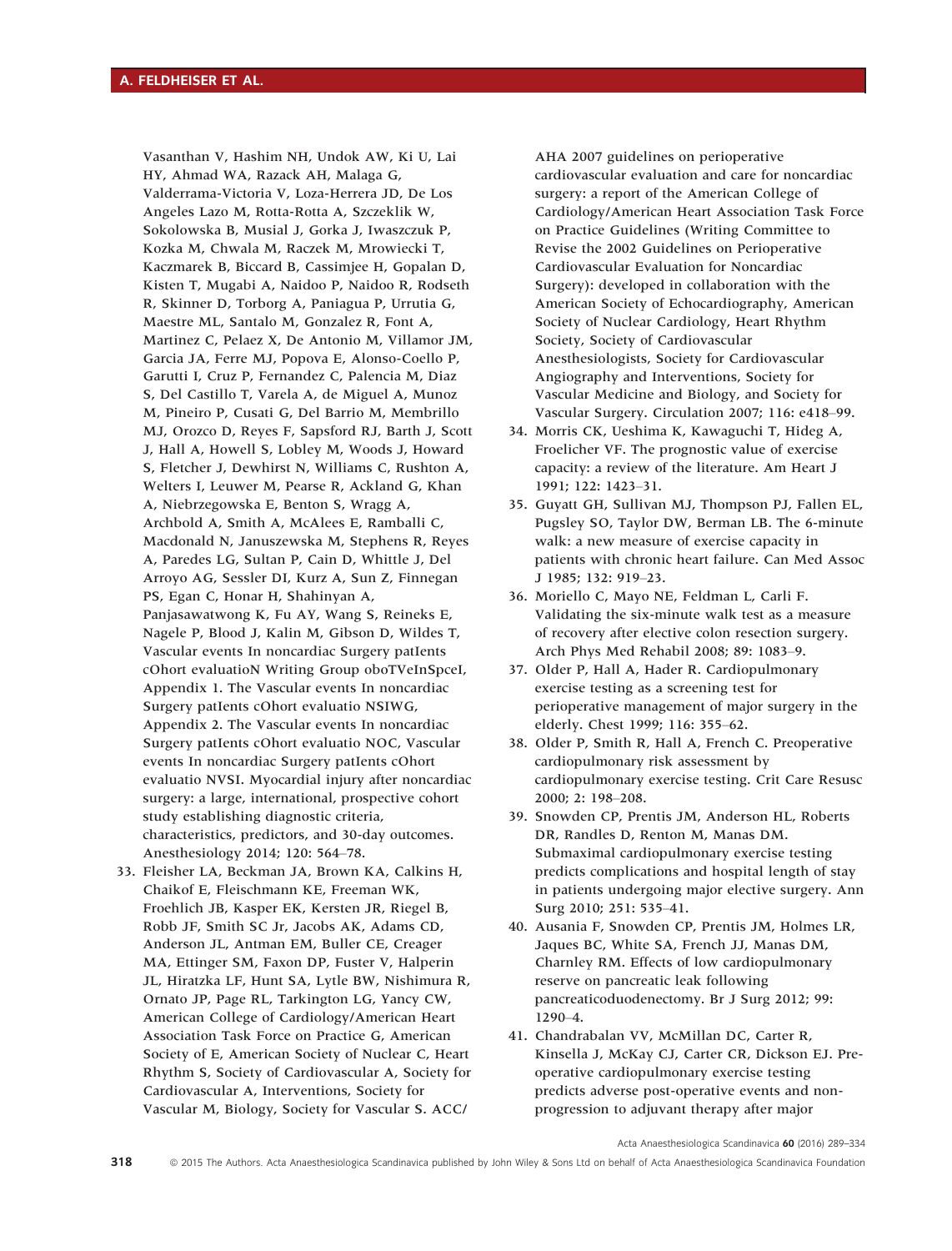Vasanthan V, Hashim NH, Undok AW, Ki U, Lai HY, Ahmad WA, Razack AH, Malaga G, Valderrama-Victoria V, Loza-Herrera JD, De Los Angeles Lazo M, Rotta-Rotta A, Szczeklik W, Sokolowska B, Musial J, Gorka J, Iwaszczuk P, Kozka M, Chwala M, Raczek M, Mrowiecki T, Kaczmarek B, Biccard B, Cassimjee H, Gopalan D, Kisten T, Mugabi A, Naidoo P, Naidoo R, Rodseth R, Skinner D, Torborg A, Paniagua P, Urrutia G, Maestre ML, Santalo M, Gonzalez R, Font A, Martinez C, Pelaez X, De Antonio M, Villamor JM, Garcia JA, Ferre MJ, Popova E, Alonso-Coello P, Garutti I, Cruz P, Fernandez C, Palencia M, Diaz S, Del Castillo T, Varela A, de Miguel A, Munoz M, Pineiro P, Cusati G, Del Barrio M, Membrillo MJ, Orozco D, Reyes F, Sapsford RJ, Barth J, Scott J, Hall A, Howell S, Lobley M, Woods J, Howard S, Fletcher J, Dewhirst N, Williams C, Rushton A, Welters I, Leuwer M, Pearse R, Ackland G, Khan A, Niebrzegowska E, Benton S, Wragg A, Archbold A, Smith A, McAlees E, Ramballi C, Macdonald N, Januszewska M, Stephens R, Reyes A, Paredes LG, Sultan P, Cain D, Whittle J, Del Arroyo AG, Sessler DI, Kurz A, Sun Z, Finnegan PS, Egan C, Honar H, Shahinyan A, Panjasawatwong K, Fu AY, Wang S, Reineks E, Nagele P, Blood J, Kalin M, Gibson D, Wildes T, Vascular events In noncardiac Surgery patIents cOhort evaluatioN Writing Group oboTVeInSpceI, Appendix 1. The Vascular events In noncardiac Surgery patIents cOhort evaluatio NSIWG, Appendix 2. The Vascular events In noncardiac Surgery patIents cOhort evaluatio NOC, Vascular events In noncardiac Surgery patIents cOhort evaluatio NVSI. Myocardial injury after noncardiac surgery: a large, international, prospective cohort study establishing diagnostic criteria, characteristics, predictors, and 30-day outcomes. Anesthesiology 2014; 120: 564–78.

33. Fleisher LA, Beckman JA, Brown KA, Calkins H, Chaikof E, Fleischmann KE, Freeman WK, Froehlich JB, Kasper EK, Kersten JR, Riegel B, Robb JF, Smith SC Jr, Jacobs AK, Adams CD, Anderson JL, Antman EM, Buller CE, Creager MA, Ettinger SM, Faxon DP, Fuster V, Halperin JL, Hiratzka LF, Hunt SA, Lytle BW, Nishimura R, Ornato JP, Page RL, Tarkington LG, Yancy CW, American College of Cardiology/American Heart Association Task Force on Practice G, American Society of E, American Society of Nuclear C, Heart Rhythm S, Society of Cardiovascular A, Society for Cardiovascular A, Interventions, Society for Vascular M, Biology, Society for Vascular S. ACC/

AHA 2007 guidelines on perioperative cardiovascular evaluation and care for noncardiac surgery: a report of the American College of Cardiology/American Heart Association Task Force on Practice Guidelines (Writing Committee to Revise the 2002 Guidelines on Perioperative Cardiovascular Evaluation for Noncardiac Surgery): developed in collaboration with the American Society of Echocardiography, American Society of Nuclear Cardiology, Heart Rhythm Society, Society of Cardiovascular Anesthesiologists, Society for Cardiovascular Angiography and Interventions, Society for Vascular Medicine and Biology, and Society for Vascular Surgery. Circulation 2007; 116: e418–99.

- 34. Morris CK, Ueshima K, Kawaguchi T, Hideg A, Froelicher VF. The prognostic value of exercise capacity: a review of the literature. Am Heart J 1991; 122: 1423–31.
- 35. Guyatt GH, Sullivan MJ, Thompson PJ, Fallen EL, Pugsley SO, Taylor DW, Berman LB. The 6-minute walk: a new measure of exercise capacity in patients with chronic heart failure. Can Med Assoc J 1985; 132: 919–23.
- 36. Moriello C, Mayo NE, Feldman L, Carli F. Validating the six-minute walk test as a measure of recovery after elective colon resection surgery. Arch Phys Med Rehabil 2008; 89: 1083–9.
- 37. Older P, Hall A, Hader R. Cardiopulmonary exercise testing as a screening test for perioperative management of major surgery in the elderly. Chest 1999; 116: 355–62.
- 38. Older P, Smith R, Hall A, French C. Preoperative cardiopulmonary risk assessment by cardiopulmonary exercise testing. Crit Care Resusc 2000; 2: 198–208.
- 39. Snowden CP, Prentis JM, Anderson HL, Roberts DR, Randles D, Renton M, Manas DM. Submaximal cardiopulmonary exercise testing predicts complications and hospital length of stay in patients undergoing major elective surgery. Ann Surg 2010; 251: 535–41.
- 40. Ausania F, Snowden CP, Prentis JM, Holmes LR, Jaques BC, White SA, French JJ, Manas DM, Charnley RM. Effects of low cardiopulmonary reserve on pancreatic leak following pancreaticoduodenectomy. Br J Surg 2012; 99: 1290–4.
- 41. Chandrabalan VV, McMillan DC, Carter R, Kinsella J, McKay CJ, Carter CR, Dickson EJ. Preoperative cardiopulmonary exercise testing predicts adverse post-operative events and nonprogression to adjuvant therapy after major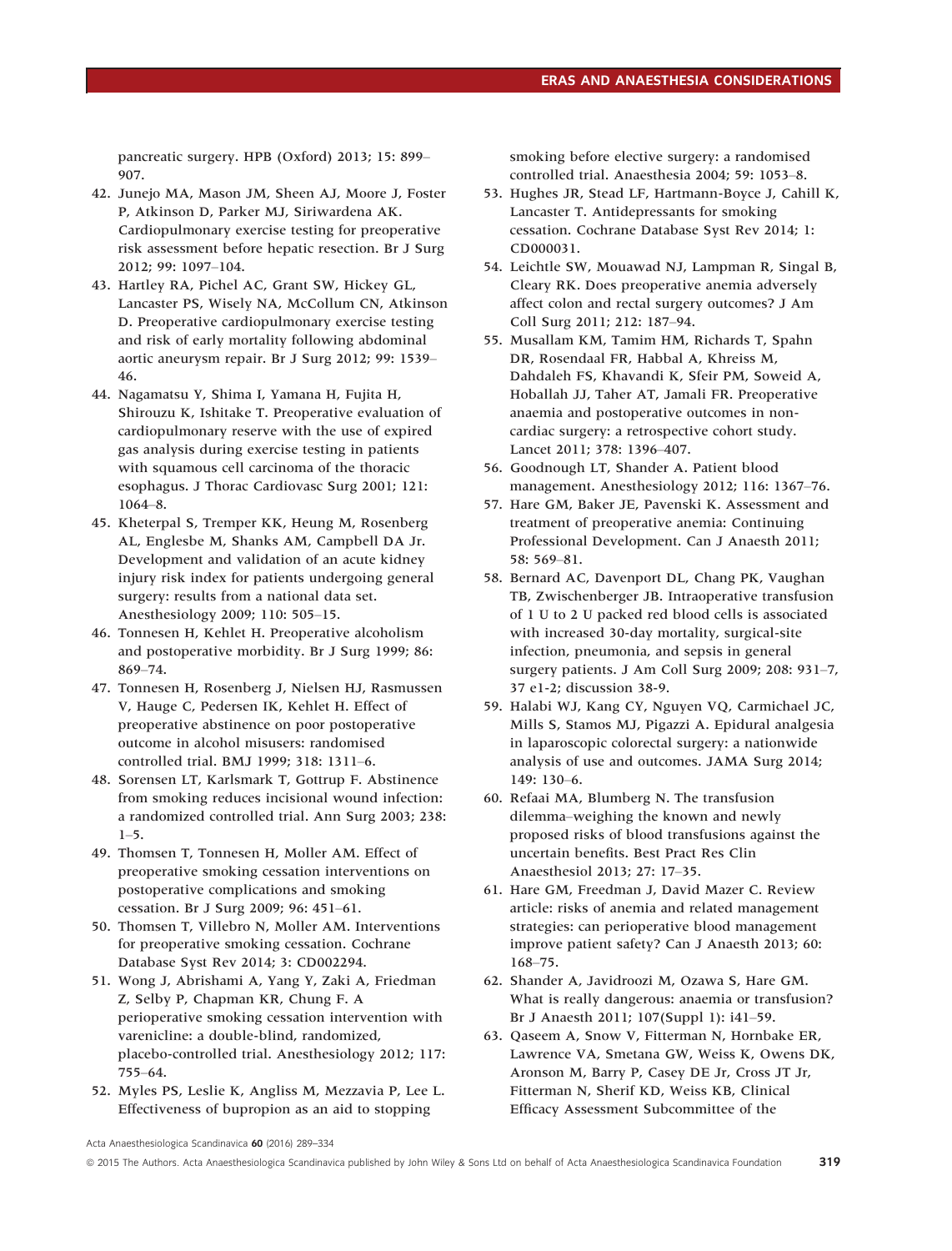pancreatic surgery. HPB (Oxford) 2013; 15: 899– 907.

- 42. Junejo MA, Mason JM, Sheen AJ, Moore J, Foster P, Atkinson D, Parker MJ, Siriwardena AK. Cardiopulmonary exercise testing for preoperative risk assessment before hepatic resection. Br J Surg 2012; 99: 1097–104.
- 43. Hartley RA, Pichel AC, Grant SW, Hickey GL, Lancaster PS, Wisely NA, McCollum CN, Atkinson D. Preoperative cardiopulmonary exercise testing and risk of early mortality following abdominal aortic aneurysm repair. Br J Surg 2012; 99: 1539– 46.
- 44. Nagamatsu Y, Shima I, Yamana H, Fujita H, Shirouzu K, Ishitake T. Preoperative evaluation of cardiopulmonary reserve with the use of expired gas analysis during exercise testing in patients with squamous cell carcinoma of the thoracic esophagus. J Thorac Cardiovasc Surg 2001; 121: 1064–8.
- 45. Kheterpal S, Tremper KK, Heung M, Rosenberg AL, Englesbe M, Shanks AM, Campbell DA Jr. Development and validation of an acute kidney injury risk index for patients undergoing general surgery: results from a national data set. Anesthesiology 2009; 110: 505–15.
- 46. Tonnesen H, Kehlet H. Preoperative alcoholism and postoperative morbidity. Br J Surg 1999; 86: 869–74.
- 47. Tonnesen H, Rosenberg J, Nielsen HJ, Rasmussen V, Hauge C, Pedersen IK, Kehlet H. Effect of preoperative abstinence on poor postoperative outcome in alcohol misusers: randomised controlled trial. BMJ 1999; 318: 1311–6.
- 48. Sorensen LT, Karlsmark T, Gottrup F. Abstinence from smoking reduces incisional wound infection: a randomized controlled trial. Ann Surg 2003; 238:  $1 - 5$ .
- 49. Thomsen T, Tonnesen H, Moller AM. Effect of preoperative smoking cessation interventions on postoperative complications and smoking cessation. Br J Surg 2009; 96: 451–61.
- 50. Thomsen T, Villebro N, Moller AM. Interventions for preoperative smoking cessation. Cochrane Database Syst Rev 2014; 3: CD002294.
- 51. Wong J, Abrishami A, Yang Y, Zaki A, Friedman Z, Selby P, Chapman KR, Chung F. A perioperative smoking cessation intervention with varenicline: a double-blind, randomized, placebo-controlled trial. Anesthesiology 2012; 117: 755–64.
- 52. Myles PS, Leslie K, Angliss M, Mezzavia P, Lee L. Effectiveness of bupropion as an aid to stopping

smoking before elective surgery: a randomised controlled trial. Anaesthesia 2004; 59: 1053–8.

- 53. Hughes JR, Stead LF, Hartmann-Boyce J, Cahill K, Lancaster T. Antidepressants for smoking cessation. Cochrane Database Syst Rev 2014; 1: CD000031.
- 54. Leichtle SW, Mouawad NJ, Lampman R, Singal B, Cleary RK. Does preoperative anemia adversely affect colon and rectal surgery outcomes? J Am Coll Surg 2011; 212: 187–94.
- 55. Musallam KM, Tamim HM, Richards T, Spahn DR, Rosendaal FR, Habbal A, Khreiss M, Dahdaleh FS, Khavandi K, Sfeir PM, Soweid A, Hoballah JJ, Taher AT, Jamali FR. Preoperative anaemia and postoperative outcomes in noncardiac surgery: a retrospective cohort study. Lancet 2011; 378: 1396–407.
- 56. Goodnough LT, Shander A. Patient blood management. Anesthesiology 2012; 116: 1367–76.
- 57. Hare GM, Baker JE, Pavenski K. Assessment and treatment of preoperative anemia: Continuing Professional Development. Can J Anaesth 2011; 58: 569–81.
- 58. Bernard AC, Davenport DL, Chang PK, Vaughan TB, Zwischenberger JB. Intraoperative transfusion of 1 U to 2 U packed red blood cells is associated with increased 30-day mortality, surgical-site infection, pneumonia, and sepsis in general surgery patients. J Am Coll Surg 2009; 208: 931–7, 37 e1-2; discussion 38-9.
- 59. Halabi WJ, Kang CY, Nguyen VQ, Carmichael JC, Mills S, Stamos MJ, Pigazzi A. Epidural analgesia in laparoscopic colorectal surgery: a nationwide analysis of use and outcomes. JAMA Surg 2014; 149: 130–6.
- 60. Refaai MA, Blumberg N. The transfusion dilemma–weighing the known and newly proposed risks of blood transfusions against the uncertain benefits. Best Pract Res Clin Anaesthesiol 2013; 27: 17–35.
- 61. Hare GM, Freedman J, David Mazer C. Review article: risks of anemia and related management strategies: can perioperative blood management improve patient safety? Can J Anaesth 2013; 60: 168–75.
- 62. Shander A, Javidroozi M, Ozawa S, Hare GM. What is really dangerous: anaemia or transfusion? Br J Anaesth 2011; 107(Suppl 1): i41–59.
- 63. Qaseem A, Snow V, Fitterman N, Hornbake ER, Lawrence VA, Smetana GW, Weiss K, Owens DK, Aronson M, Barry P, Casey DE Jr, Cross JT Jr, Fitterman N, Sherif KD, Weiss KB, Clinical Efficacy Assessment Subcommittee of the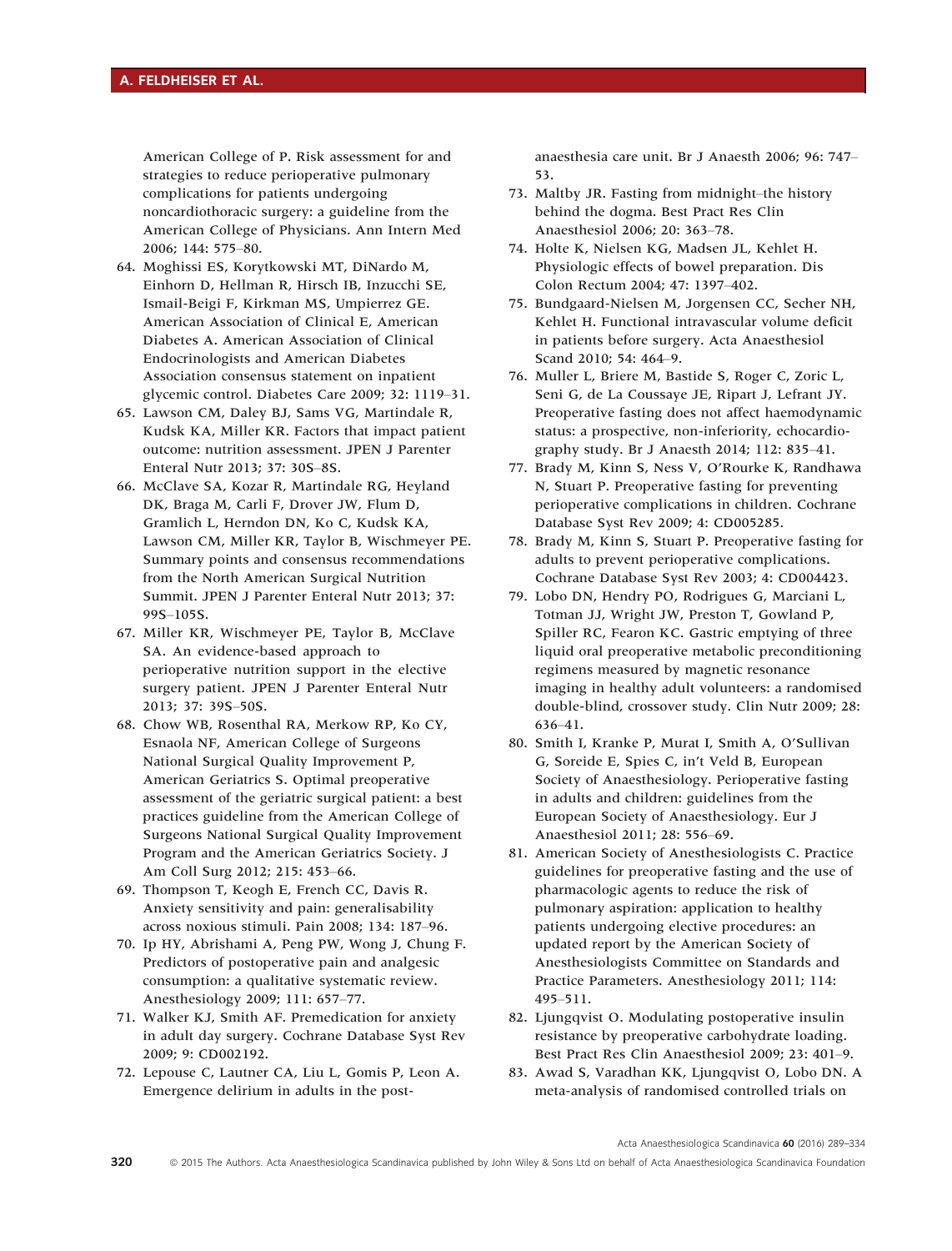American College of P. Risk assessment for and strategies to reduce perioperative pulmonary complications for patients undergoing noncardiothoracic surgery: a guideline from the American College of Physicians. Ann Intern Med 2006; 144: 575–80.

- 64. Moghissi ES, Korytkowski MT, DiNardo M, Einhorn D, Hellman R, Hirsch IB, Inzucchi SE, Ismail-Beigi F, Kirkman MS, Umpierrez GE. American Association of Clinical E, American Diabetes A. American Association of Clinical Endocrinologists and American Diabetes Association consensus statement on inpatient glycemic control. Diabetes Care 2009; 32: 1119–31.
- 65. Lawson CM, Daley BJ, Sams VG, Martindale R, Kudsk KA, Miller KR. Factors that impact patient outcome: nutrition assessment. JPEN J Parenter Enteral Nutr 2013; 37: 30S–8S.
- 66. McClave SA, Kozar R, Martindale RG, Heyland DK, Braga M, Carli F, Drover JW, Flum D, Gramlich L, Herndon DN, Ko C, Kudsk KA, Lawson CM, Miller KR, Taylor B, Wischmeyer PE. Summary points and consensus recommendations from the North American Surgical Nutrition Summit. JPEN J Parenter Enteral Nutr 2013; 37: 99S–105S.
- 67. Miller KR, Wischmeyer PE, Taylor B, McClave SA. An evidence-based approach to perioperative nutrition support in the elective surgery patient. JPEN J Parenter Enteral Nutr 2013; 37: 39S–50S.
- 68. Chow WB, Rosenthal RA, Merkow RP, Ko CY, Esnaola NF, American College of Surgeons National Surgical Quality Improvement P, American Geriatrics S. Optimal preoperative assessment of the geriatric surgical patient: a best practices guideline from the American College of Surgeons National Surgical Quality Improvement Program and the American Geriatrics Society. J Am Coll Surg 2012; 215: 453–66.
- 69. Thompson T, Keogh E, French CC, Davis R. Anxiety sensitivity and pain: generalisability across noxious stimuli. Pain 2008; 134: 187–96.
- 70. Ip HY, Abrishami A, Peng PW, Wong J, Chung F. Predictors of postoperative pain and analgesic consumption: a qualitative systematic review. Anesthesiology 2009; 111: 657–77.
- 71. Walker KJ, Smith AF. Premedication for anxiety in adult day surgery. Cochrane Database Syst Rev 2009; 9: CD002192.
- 72. Lepouse C, Lautner CA, Liu L, Gomis P, Leon A. Emergence delirium in adults in the post-

anaesthesia care unit. Br J Anaesth 2006; 96: 747– 53.

- 73. Maltby JR. Fasting from midnight–the history behind the dogma. Best Pract Res Clin Anaesthesiol 2006; 20: 363–78.
- 74. Holte K, Nielsen KG, Madsen JL, Kehlet H. Physiologic effects of bowel preparation. Dis Colon Rectum 2004; 47: 1397–402.
- 75. Bundgaard-Nielsen M, Jorgensen CC, Secher NH, Kehlet H. Functional intravascular volume deficit in patients before surgery. Acta Anaesthesiol Scand 2010; 54: 464–9.
- 76. Muller L, Briere M, Bastide S, Roger C, Zoric L, Seni G, de La Coussaye JE, Ripart J, Lefrant JY. Preoperative fasting does not affect haemodynamic status: a prospective, non-inferiority, echocardiography study. Br J Anaesth 2014; 112: 835–41.
- 77. Brady M, Kinn S, Ness V, O'Rourke K, Randhawa N, Stuart P. Preoperative fasting for preventing perioperative complications in children. Cochrane Database Syst Rev 2009; 4: CD005285.
- 78. Brady M, Kinn S, Stuart P. Preoperative fasting for adults to prevent perioperative complications. Cochrane Database Syst Rev 2003; 4: CD004423.
- 79. Lobo DN, Hendry PO, Rodrigues G, Marciani L, Totman JJ, Wright JW, Preston T, Gowland P, Spiller RC, Fearon KC. Gastric emptying of three liquid oral preoperative metabolic preconditioning regimens measured by magnetic resonance imaging in healthy adult volunteers: a randomised double-blind, crossover study. Clin Nutr 2009; 28: 636–41.
- 80. Smith I, Kranke P, Murat I, Smith A, O'Sullivan G, Soreide E, Spies C, in't Veld B, European Society of Anaesthesiology. Perioperative fasting in adults and children: guidelines from the European Society of Anaesthesiology. Eur J Anaesthesiol 2011; 28: 556–69.
- 81. American Society of Anesthesiologists C. Practice guidelines for preoperative fasting and the use of pharmacologic agents to reduce the risk of pulmonary aspiration: application to healthy patients undergoing elective procedures: an updated report by the American Society of Anesthesiologists Committee on Standards and Practice Parameters. Anesthesiology 2011; 114: 495–511.
- 82. Ljungqvist O. Modulating postoperative insulin resistance by preoperative carbohydrate loading. Best Pract Res Clin Anaesthesiol 2009; 23: 401–9.
- 83. Awad S, Varadhan KK, Ljungqvist O, Lobo DN. A meta-analysis of randomised controlled trials on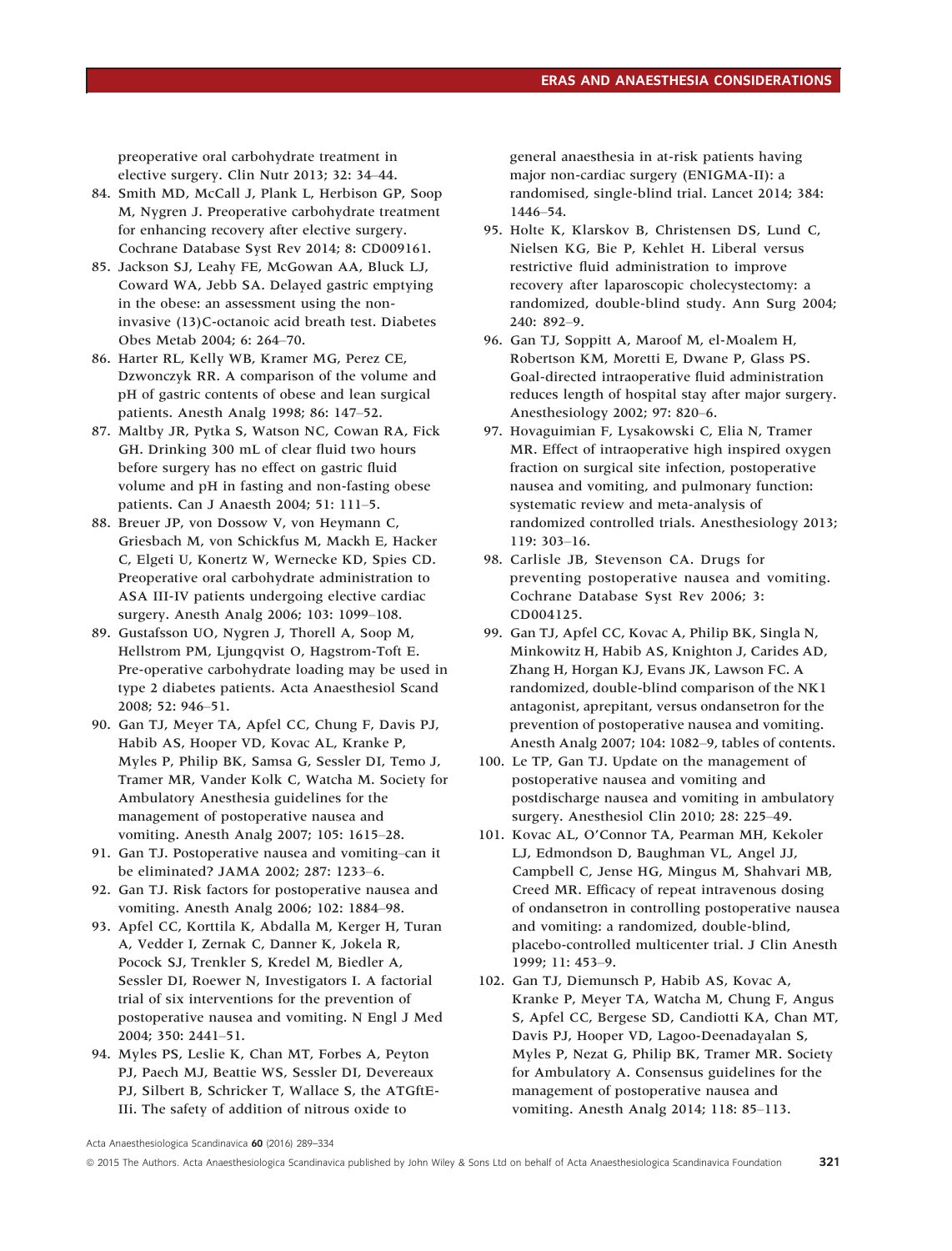preoperative oral carbohydrate treatment in elective surgery. Clin Nutr 2013; 32: 34–44.

- 84. Smith MD, McCall J, Plank L, Herbison GP, Soop M, Nygren J. Preoperative carbohydrate treatment for enhancing recovery after elective surgery. Cochrane Database Syst Rev 2014; 8: CD009161.
- 85. Jackson SJ, Leahy FE, McGowan AA, Bluck LJ, Coward WA, Jebb SA. Delayed gastric emptying in the obese: an assessment using the noninvasive (13)C-octanoic acid breath test. Diabetes Obes Metab 2004; 6: 264–70.
- 86. Harter RL, Kelly WB, Kramer MG, Perez CE, Dzwonczyk RR. A comparison of the volume and pH of gastric contents of obese and lean surgical patients. Anesth Analg 1998; 86: 147–52.
- 87. Maltby JR, Pytka S, Watson NC, Cowan RA, Fick GH. Drinking 300 mL of clear fluid two hours before surgery has no effect on gastric fluid volume and pH in fasting and non-fasting obese patients. Can J Anaesth 2004; 51: 111–5.
- 88. Breuer JP, von Dossow V, von Heymann C, Griesbach M, von Schickfus M, Mackh E, Hacker C, Elgeti U, Konertz W, Wernecke KD, Spies CD. Preoperative oral carbohydrate administration to ASA III-IV patients undergoing elective cardiac surgery. Anesth Analg 2006; 103: 1099–108.
- 89. Gustafsson UO, Nygren J, Thorell A, Soop M, Hellstrom PM, Ljungqvist O, Hagstrom-Toft E. Pre-operative carbohydrate loading may be used in type 2 diabetes patients. Acta Anaesthesiol Scand 2008; 52: 946–51.
- 90. Gan TJ, Meyer TA, Apfel CC, Chung F, Davis PJ, Habib AS, Hooper VD, Kovac AL, Kranke P, Myles P, Philip BK, Samsa G, Sessler DI, Temo J, Tramer MR, Vander Kolk C, Watcha M. Society for Ambulatory Anesthesia guidelines for the management of postoperative nausea and vomiting. Anesth Analg 2007; 105: 1615–28.
- 91. Gan TJ. Postoperative nausea and vomiting–can it be eliminated? JAMA 2002; 287: 1233–6.
- 92. Gan TJ. Risk factors for postoperative nausea and vomiting. Anesth Analg 2006; 102: 1884–98.
- 93. Apfel CC, Korttila K, Abdalla M, Kerger H, Turan A, Vedder I, Zernak C, Danner K, Jokela R, Pocock SJ, Trenkler S, Kredel M, Biedler A, Sessler DI, Roewer N, Investigators I. A factorial trial of six interventions for the prevention of postoperative nausea and vomiting. N Engl J Med 2004; 350: 2441–51.
- 94. Myles PS, Leslie K, Chan MT, Forbes A, Peyton PJ, Paech MJ, Beattie WS, Sessler DI, Devereaux PJ, Silbert B, Schricker T, Wallace S, the ATGftE-IIi. The safety of addition of nitrous oxide to

general anaesthesia in at-risk patients having major non-cardiac surgery (ENIGMA-II): a randomised, single-blind trial. Lancet 2014; 384: 1446–54.

- 95. Holte K, Klarskov B, Christensen DS, Lund C, Nielsen KG, Bie P, Kehlet H. Liberal versus restrictive fluid administration to improve recovery after laparoscopic cholecystectomy: a randomized, double-blind study. Ann Surg 2004; 240: 892–9.
- 96. Gan TJ, Soppitt A, Maroof M, el-Moalem H, Robertson KM, Moretti E, Dwane P, Glass PS. Goal-directed intraoperative fluid administration reduces length of hospital stay after major surgery. Anesthesiology 2002; 97: 820–6.
- 97. Hovaguimian F, Lysakowski C, Elia N, Tramer MR. Effect of intraoperative high inspired oxygen fraction on surgical site infection, postoperative nausea and vomiting, and pulmonary function: systematic review and meta-analysis of randomized controlled trials. Anesthesiology 2013; 119: 303–16.
- 98. Carlisle JB, Stevenson CA. Drugs for preventing postoperative nausea and vomiting. Cochrane Database Syst Rev 2006; 3: CD004125.
- 99. Gan TJ, Apfel CC, Kovac A, Philip BK, Singla N, Minkowitz H, Habib AS, Knighton J, Carides AD, Zhang H, Horgan KJ, Evans JK, Lawson FC. A randomized, double-blind comparison of the NK1 antagonist, aprepitant, versus ondansetron for the prevention of postoperative nausea and vomiting. Anesth Analg 2007; 104: 1082–9, tables of contents.
- 100. Le TP, Gan TJ. Update on the management of postoperative nausea and vomiting and postdischarge nausea and vomiting in ambulatory surgery. Anesthesiol Clin 2010; 28: 225–49.
- 101. Kovac AL, O'Connor TA, Pearman MH, Kekoler LJ, Edmondson D, Baughman VL, Angel JJ, Campbell C, Jense HG, Mingus M, Shahvari MB, Creed MR. Efficacy of repeat intravenous dosing of ondansetron in controlling postoperative nausea and vomiting: a randomized, double-blind, placebo-controlled multicenter trial. J Clin Anesth 1999; 11: 453–9.
- 102. Gan TJ, Diemunsch P, Habib AS, Kovac A, Kranke P, Meyer TA, Watcha M, Chung F, Angus S, Apfel CC, Bergese SD, Candiotti KA, Chan MT, Davis PJ, Hooper VD, Lagoo-Deenadayalan S, Myles P, Nezat G, Philip BK, Tramer MR. Society for Ambulatory A. Consensus guidelines for the management of postoperative nausea and vomiting. Anesth Analg 2014; 118: 85–113.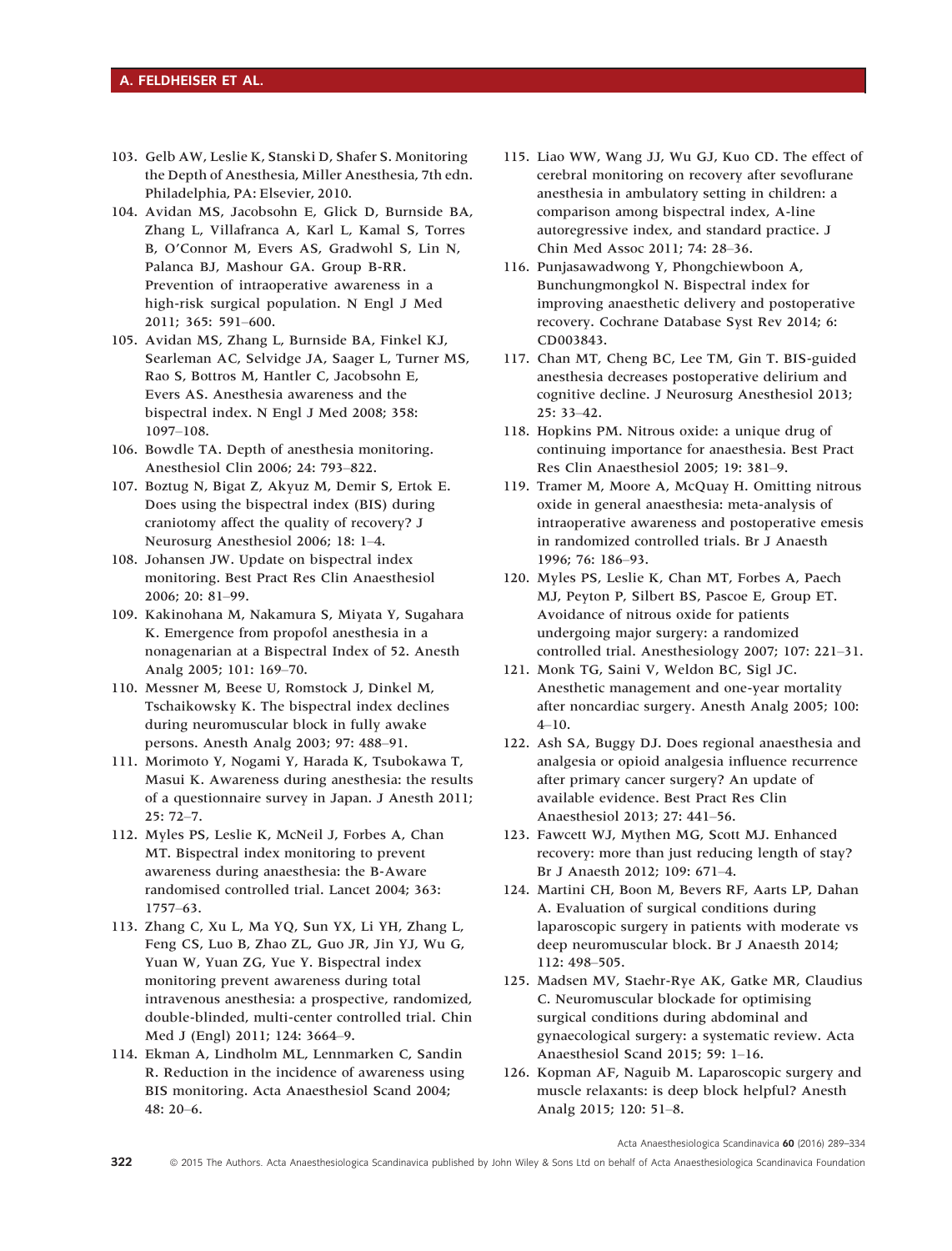- 103. Gelb AW, Leslie K, Stanski D, Shafer S. Monitoring the Depth of Anesthesia, Miller Anesthesia, 7th edn. Philadelphia, PA: Elsevier, 2010.
- 104. Avidan MS, Jacobsohn E, Glick D, Burnside BA, Zhang L, Villafranca A, Karl L, Kamal S, Torres B, O'Connor M, Evers AS, Gradwohl S, Lin N, Palanca BJ, Mashour GA. Group B-RR. Prevention of intraoperative awareness in a high-risk surgical population. N Engl J Med 2011; 365: 591–600.
- 105. Avidan MS, Zhang L, Burnside BA, Finkel KJ, Searleman AC, Selvidge JA, Saager L, Turner MS, Rao S, Bottros M, Hantler C, Jacobsohn E, Evers AS. Anesthesia awareness and the bispectral index. N Engl J Med 2008; 358: 1097–108.
- 106. Bowdle TA. Depth of anesthesia monitoring. Anesthesiol Clin 2006; 24: 793–822.
- 107. Boztug N, Bigat Z, Akyuz M, Demir S, Ertok E. Does using the bispectral index (BIS) during craniotomy affect the quality of recovery? J Neurosurg Anesthesiol 2006; 18: 1–4.
- 108. Johansen JW. Update on bispectral index monitoring. Best Pract Res Clin Anaesthesiol 2006; 20: 81–99.
- 109. Kakinohana M, Nakamura S, Miyata Y, Sugahara K. Emergence from propofol anesthesia in a nonagenarian at a Bispectral Index of 52. Anesth Analg 2005; 101: 169–70.
- 110. Messner M, Beese U, Romstock J, Dinkel M, Tschaikowsky K. The bispectral index declines during neuromuscular block in fully awake persons. Anesth Analg 2003; 97: 488–91.
- 111. Morimoto Y, Nogami Y, Harada K, Tsubokawa T, Masui K. Awareness during anesthesia: the results of a questionnaire survey in Japan. J Anesth 2011; 25: 72–7.
- 112. Myles PS, Leslie K, McNeil J, Forbes A, Chan MT. Bispectral index monitoring to prevent awareness during anaesthesia: the B-Aware randomised controlled trial. Lancet 2004; 363: 1757–63.
- 113. Zhang C, Xu L, Ma YQ, Sun YX, Li YH, Zhang L, Feng CS, Luo B, Zhao ZL, Guo JR, Jin YJ, Wu G, Yuan W, Yuan ZG, Yue Y. Bispectral index monitoring prevent awareness during total intravenous anesthesia: a prospective, randomized, double-blinded, multi-center controlled trial. Chin Med J (Engl) 2011; 124: 3664–9.
- 114. Ekman A, Lindholm ML, Lennmarken C, Sandin R. Reduction in the incidence of awareness using BIS monitoring. Acta Anaesthesiol Scand 2004; 48: 20–6.
- 115. Liao WW, Wang JJ, Wu GJ, Kuo CD. The effect of cerebral monitoring on recovery after sevoflurane anesthesia in ambulatory setting in children: a comparison among bispectral index, A-line autoregressive index, and standard practice. J Chin Med Assoc 2011; 74: 28–36.
- 116. Punjasawadwong Y, Phongchiewboon A, Bunchungmongkol N. Bispectral index for improving anaesthetic delivery and postoperative recovery. Cochrane Database Syst Rev 2014; 6: CD003843.
- 117. Chan MT, Cheng BC, Lee TM, Gin T. BIS-guided anesthesia decreases postoperative delirium and cognitive decline. J Neurosurg Anesthesiol 2013; 25: 33–42.
- 118. Hopkins PM. Nitrous oxide: a unique drug of continuing importance for anaesthesia. Best Pract Res Clin Anaesthesiol 2005; 19: 381–9.
- 119. Tramer M, Moore A, McQuay H. Omitting nitrous oxide in general anaesthesia: meta-analysis of intraoperative awareness and postoperative emesis in randomized controlled trials. Br J Anaesth 1996; 76: 186–93.
- 120. Myles PS, Leslie K, Chan MT, Forbes A, Paech MJ, Peyton P, Silbert BS, Pascoe E, Group ET. Avoidance of nitrous oxide for patients undergoing major surgery: a randomized controlled trial. Anesthesiology 2007; 107: 221–31.
- 121. Monk TG, Saini V, Weldon BC, Sigl JC. Anesthetic management and one-year mortality after noncardiac surgery. Anesth Analg 2005; 100:  $4-10.$
- 122. Ash SA, Buggy DJ. Does regional anaesthesia and analgesia or opioid analgesia influence recurrence after primary cancer surgery? An update of available evidence. Best Pract Res Clin Anaesthesiol 2013; 27: 441–56.
- 123. Fawcett WJ, Mythen MG, Scott MJ. Enhanced recovery: more than just reducing length of stay? Br J Anaesth 2012; 109: 671–4.
- 124. Martini CH, Boon M, Bevers RF, Aarts LP, Dahan A. Evaluation of surgical conditions during laparoscopic surgery in patients with moderate vs deep neuromuscular block. Br J Anaesth 2014; 112: 498–505.
- 125. Madsen MV, Staehr-Rye AK, Gatke MR, Claudius C. Neuromuscular blockade for optimising surgical conditions during abdominal and gynaecological surgery: a systematic review. Acta Anaesthesiol Scand 2015; 59: 1–16.
- 126. Kopman AF, Naguib M. Laparoscopic surgery and muscle relaxants: is deep block helpful? Anesth Analg 2015; 120: 51–8.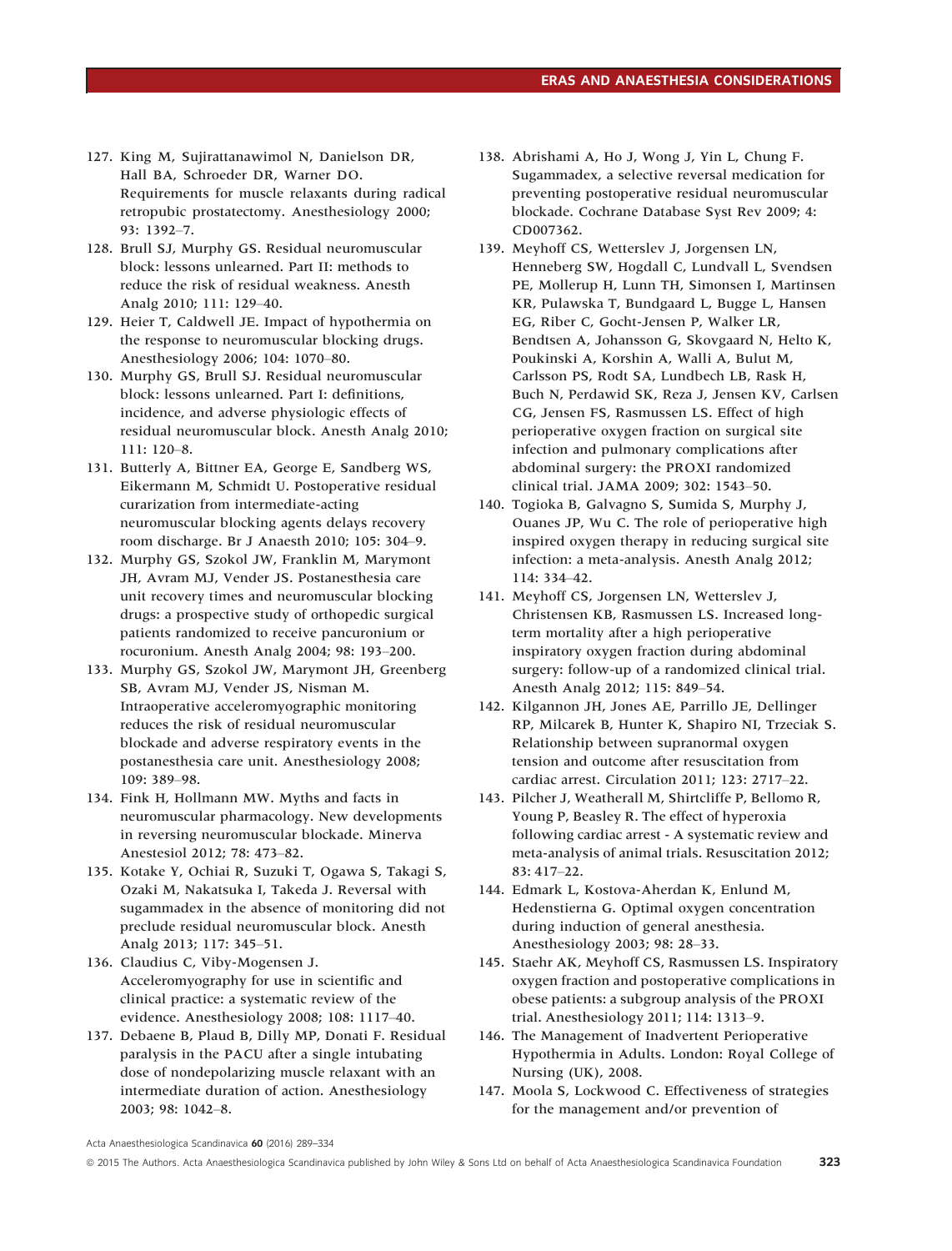- 127. King M, Sujirattanawimol N, Danielson DR, Hall BA, Schroeder DR, Warner DO. Requirements for muscle relaxants during radical retropubic prostatectomy. Anesthesiology 2000; 93: 1392–7.
- 128. Brull SJ, Murphy GS. Residual neuromuscular block: lessons unlearned. Part II: methods to reduce the risk of residual weakness. Anesth Analg 2010; 111: 129–40.
- 129. Heier T, Caldwell JE. Impact of hypothermia on the response to neuromuscular blocking drugs. Anesthesiology 2006; 104: 1070–80.
- 130. Murphy GS, Brull SJ. Residual neuromuscular block: lessons unlearned. Part I: definitions, incidence, and adverse physiologic effects of residual neuromuscular block. Anesth Analg 2010; 111: 120–8.
- 131. Butterly A, Bittner EA, George E, Sandberg WS, Eikermann M, Schmidt U. Postoperative residual curarization from intermediate-acting neuromuscular blocking agents delays recovery room discharge. Br J Anaesth 2010; 105: 304–9.
- 132. Murphy GS, Szokol JW, Franklin M, Marymont JH, Avram MJ, Vender JS. Postanesthesia care unit recovery times and neuromuscular blocking drugs: a prospective study of orthopedic surgical patients randomized to receive pancuronium or rocuronium. Anesth Analg 2004; 98: 193–200.
- 133. Murphy GS, Szokol JW, Marymont JH, Greenberg SB, Avram MJ, Vender JS, Nisman M. Intraoperative acceleromyographic monitoring reduces the risk of residual neuromuscular blockade and adverse respiratory events in the postanesthesia care unit. Anesthesiology 2008; 109: 389–98.
- 134. Fink H, Hollmann MW. Myths and facts in neuromuscular pharmacology. New developments in reversing neuromuscular blockade. Minerva Anestesiol 2012; 78: 473–82.
- 135. Kotake Y, Ochiai R, Suzuki T, Ogawa S, Takagi S, Ozaki M, Nakatsuka I, Takeda J. Reversal with sugammadex in the absence of monitoring did not preclude residual neuromuscular block. Anesth Analg 2013; 117: 345–51.
- 136. Claudius C, Viby-Mogensen J. Acceleromyography for use in scientific and clinical practice: a systematic review of the evidence. Anesthesiology 2008; 108: 1117–40.
- 137. Debaene B, Plaud B, Dilly MP, Donati F. Residual paralysis in the PACU after a single intubating dose of nondepolarizing muscle relaxant with an intermediate duration of action. Anesthesiology 2003; 98: 1042–8.
- 138. Abrishami A, Ho J, Wong J, Yin L, Chung F. Sugammadex, a selective reversal medication for preventing postoperative residual neuromuscular blockade. Cochrane Database Syst Rev 2009; 4: CD007362.
- 139. Meyhoff CS, Wetterslev J, Jorgensen LN, Henneberg SW, Hogdall C, Lundvall L, Svendsen PE, Mollerup H, Lunn TH, Simonsen I, Martinsen KR, Pulawska T, Bundgaard L, Bugge L, Hansen EG, Riber C, Gocht-Jensen P, Walker LR, Bendtsen A, Johansson G, Skovgaard N, Helto K, Poukinski A, Korshin A, Walli A, Bulut M, Carlsson PS, Rodt SA, Lundbech LB, Rask H, Buch N, Perdawid SK, Reza J, Jensen KV, Carlsen CG, Jensen FS, Rasmussen LS. Effect of high perioperative oxygen fraction on surgical site infection and pulmonary complications after abdominal surgery: the PROXI randomized clinical trial. JAMA 2009; 302: 1543–50.
- 140. Togioka B, Galvagno S, Sumida S, Murphy J, Ouanes JP, Wu C. The role of perioperative high inspired oxygen therapy in reducing surgical site infection: a meta-analysis. Anesth Analg 2012; 114: 334–42.
- 141. Meyhoff CS, Jorgensen LN, Wetterslev J, Christensen KB, Rasmussen LS. Increased longterm mortality after a high perioperative inspiratory oxygen fraction during abdominal surgery: follow-up of a randomized clinical trial. Anesth Analg 2012; 115: 849–54.
- 142. Kilgannon JH, Jones AE, Parrillo JE, Dellinger RP, Milcarek B, Hunter K, Shapiro NI, Trzeciak S. Relationship between supranormal oxygen tension and outcome after resuscitation from cardiac arrest. Circulation 2011; 123: 2717–22.
- 143. Pilcher J, Weatherall M, Shirtcliffe P, Bellomo R, Young P, Beasley R. The effect of hyperoxia following cardiac arrest - A systematic review and meta-analysis of animal trials. Resuscitation 2012; 83: 417–22.
- 144. Edmark L, Kostova-Aherdan K, Enlund M, Hedenstierna G. Optimal oxygen concentration during induction of general anesthesia. Anesthesiology 2003; 98: 28–33.
- 145. Staehr AK, Meyhoff CS, Rasmussen LS. Inspiratory oxygen fraction and postoperative complications in obese patients: a subgroup analysis of the PROXI trial. Anesthesiology 2011; 114: 1313–9.
- 146. The Management of Inadvertent Perioperative Hypothermia in Adults. London: Royal College of Nursing (UK), 2008.
- 147. Moola S, Lockwood C. Effectiveness of strategies for the management and/or prevention of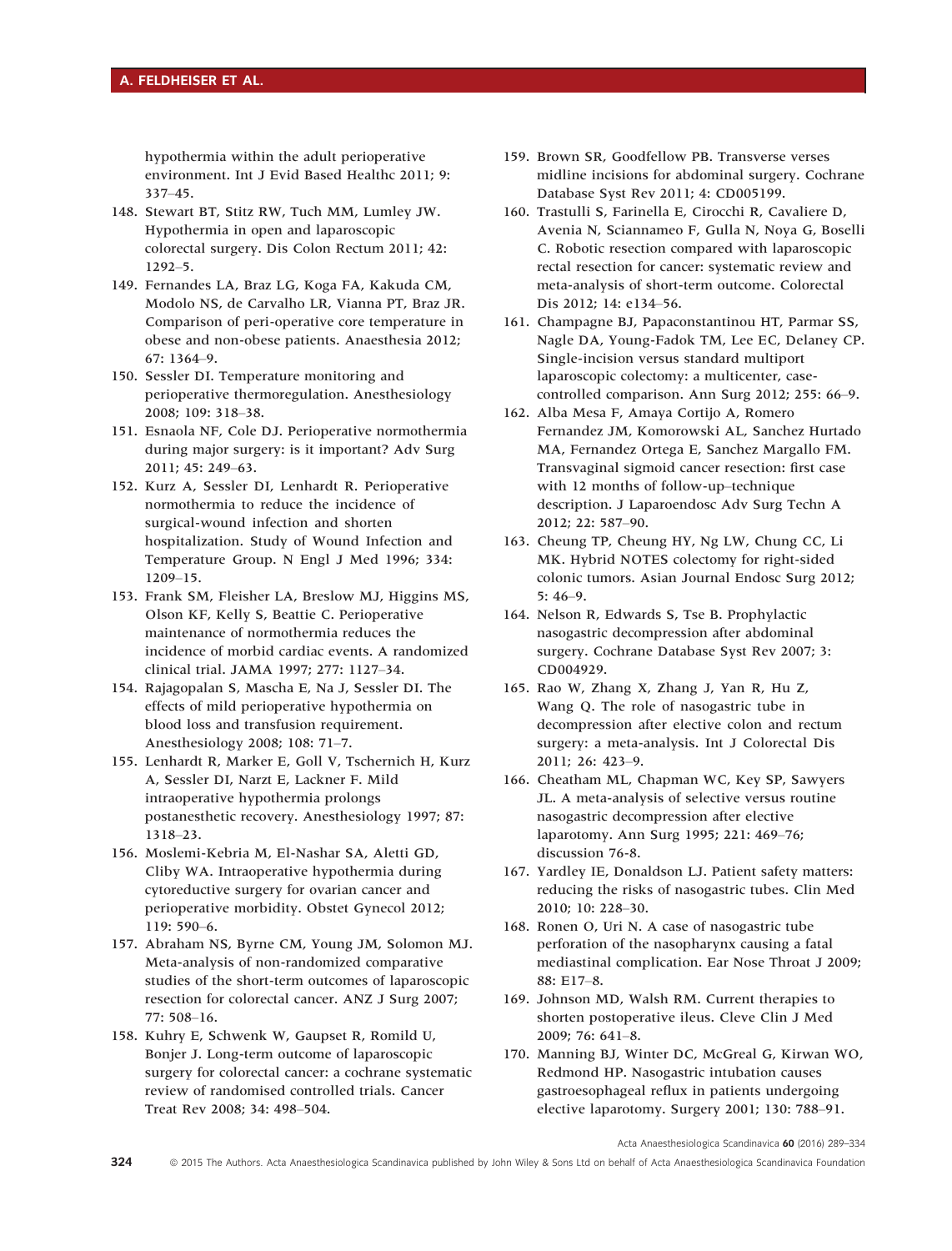hypothermia within the adult perioperative environment. Int J Evid Based Healthc 2011; 9: 337–45.

- 148. Stewart BT, Stitz RW, Tuch MM, Lumley JW. Hypothermia in open and laparoscopic colorectal surgery. Dis Colon Rectum 2011; 42: 1292–5.
- 149. Fernandes LA, Braz LG, Koga FA, Kakuda CM, Modolo NS, de Carvalho LR, Vianna PT, Braz JR. Comparison of peri-operative core temperature in obese and non-obese patients. Anaesthesia 2012; 67: 1364–9.
- 150. Sessler DI. Temperature monitoring and perioperative thermoregulation. Anesthesiology 2008; 109: 318–38.
- 151. Esnaola NF, Cole DJ. Perioperative normothermia during major surgery: is it important? Adv Surg 2011; 45: 249–63.
- 152. Kurz A, Sessler DI, Lenhardt R. Perioperative normothermia to reduce the incidence of surgical-wound infection and shorten hospitalization. Study of Wound Infection and Temperature Group. N Engl J Med 1996; 334: 1209–15.
- 153. Frank SM, Fleisher LA, Breslow MJ, Higgins MS, Olson KF, Kelly S, Beattie C. Perioperative maintenance of normothermia reduces the incidence of morbid cardiac events. A randomized clinical trial. JAMA 1997; 277: 1127–34.
- 154. Rajagopalan S, Mascha E, Na J, Sessler DI. The effects of mild perioperative hypothermia on blood loss and transfusion requirement. Anesthesiology 2008; 108: 71–7.
- 155. Lenhardt R, Marker E, Goll V, Tschernich H, Kurz A, Sessler DI, Narzt E, Lackner F. Mild intraoperative hypothermia prolongs postanesthetic recovery. Anesthesiology 1997; 87: 1318–23.
- 156. Moslemi-Kebria M, El-Nashar SA, Aletti GD, Cliby WA. Intraoperative hypothermia during cytoreductive surgery for ovarian cancer and perioperative morbidity. Obstet Gynecol 2012; 119: 590–6.
- 157. Abraham NS, Byrne CM, Young JM, Solomon MJ. Meta-analysis of non-randomized comparative studies of the short-term outcomes of laparoscopic resection for colorectal cancer. ANZ J Surg 2007; 77: 508–16.
- 158. Kuhry E, Schwenk W, Gaupset R, Romild U, Bonjer J. Long-term outcome of laparoscopic surgery for colorectal cancer: a cochrane systematic review of randomised controlled trials. Cancer Treat Rev 2008; 34: 498–504.
- 159. Brown SR, Goodfellow PB. Transverse verses midline incisions for abdominal surgery. Cochrane Database Syst Rev 2011; 4: CD005199.
- 160. Trastulli S, Farinella E, Cirocchi R, Cavaliere D, Avenia N, Sciannameo F, Gulla N, Noya G, Boselli C. Robotic resection compared with laparoscopic rectal resection for cancer: systematic review and meta-analysis of short-term outcome. Colorectal Dis 2012; 14: e134–56.
- 161. Champagne BJ, Papaconstantinou HT, Parmar SS, Nagle DA, Young-Fadok TM, Lee EC, Delaney CP. Single-incision versus standard multiport laparoscopic colectomy: a multicenter, casecontrolled comparison. Ann Surg 2012; 255: 66–9.
- 162. Alba Mesa F, Amaya Cortijo A, Romero Fernandez JM, Komorowski AL, Sanchez Hurtado MA, Fernandez Ortega E, Sanchez Margallo FM. Transvaginal sigmoid cancer resection: first case with 12 months of follow-up–technique description. J Laparoendosc Adv Surg Techn A 2012; 22: 587–90.
- 163. Cheung TP, Cheung HY, Ng LW, Chung CC, Li MK. Hybrid NOTES colectomy for right-sided colonic tumors. Asian Journal Endosc Surg 2012; 5: 46–9.
- 164. Nelson R, Edwards S, Tse B. Prophylactic nasogastric decompression after abdominal surgery. Cochrane Database Syst Rev 2007; 3: CD004929.
- 165. Rao W, Zhang X, Zhang J, Yan R, Hu Z, Wang Q. The role of nasogastric tube in decompression after elective colon and rectum surgery: a meta-analysis. Int J Colorectal Dis 2011; 26: 423–9.
- 166. Cheatham ML, Chapman WC, Key SP, Sawyers JL. A meta-analysis of selective versus routine nasogastric decompression after elective laparotomy. Ann Surg 1995; 221: 469–76; discussion 76-8.
- 167. Yardley IE, Donaldson LJ. Patient safety matters: reducing the risks of nasogastric tubes. Clin Med 2010; 10: 228–30.
- 168. Ronen O, Uri N. A case of nasogastric tube perforation of the nasopharynx causing a fatal mediastinal complication. Ear Nose Throat J 2009; 88: E17–8.
- 169. Johnson MD, Walsh RM. Current therapies to shorten postoperative ileus. Cleve Clin J Med 2009; 76: 641–8.
- 170. Manning BJ, Winter DC, McGreal G, Kirwan WO, Redmond HP. Nasogastric intubation causes gastroesophageal reflux in patients undergoing elective laparotomy. Surgery 2001; 130: 788–91.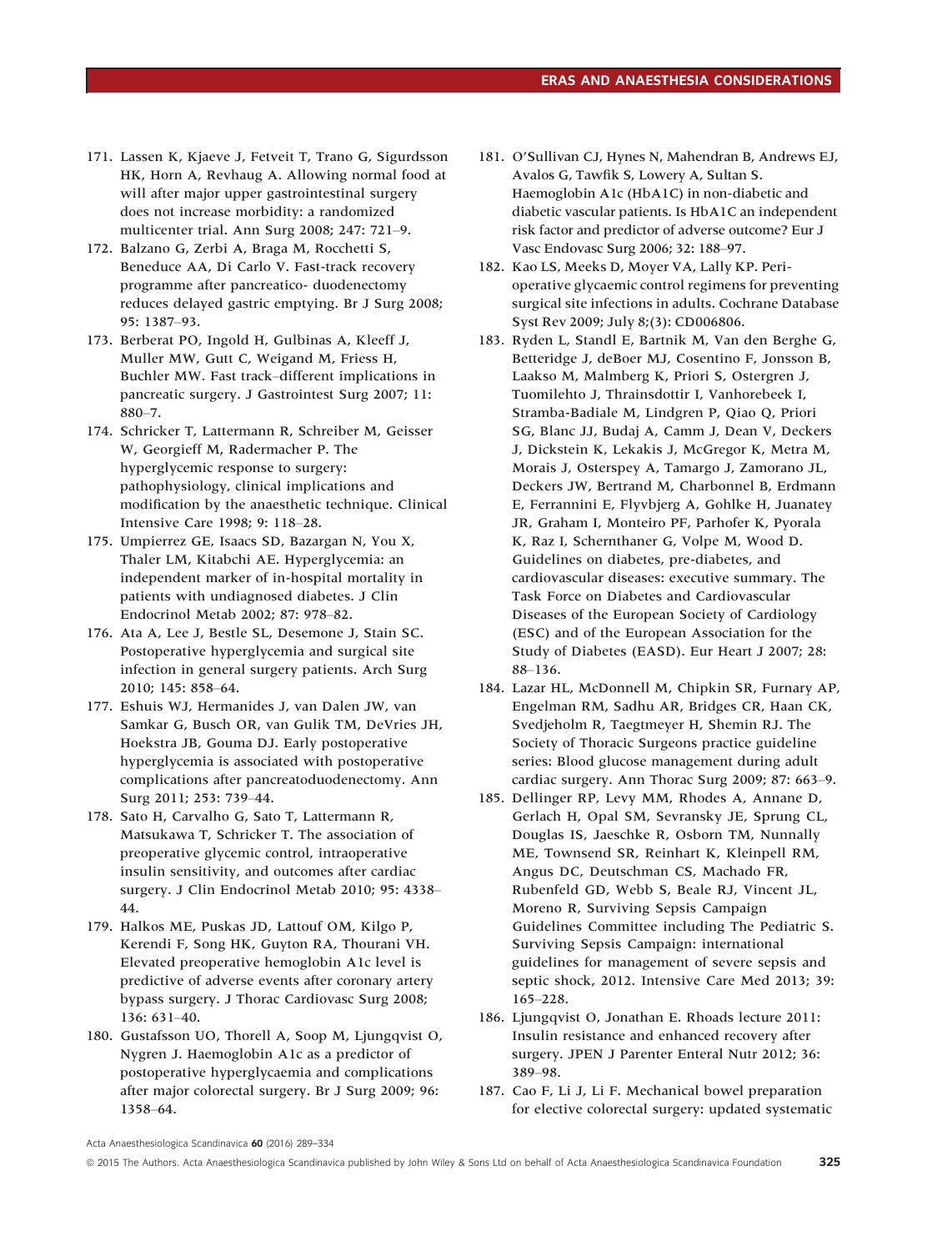- 171. Lassen K, Kjaeve J, Fetveit T, Trano G, Sigurdsson HK, Horn A, Revhaug A. Allowing normal food at will after major upper gastrointestinal surgery does not increase morbidity: a randomized multicenter trial. Ann Surg 2008; 247: 721–9.
- 172. Balzano G, Zerbi A, Braga M, Rocchetti S, Beneduce AA, Di Carlo V. Fast-track recovery programme after pancreatico- duodenectomy reduces delayed gastric emptying. Br J Surg 2008; 95: 1387–93.
- 173. Berberat PO, Ingold H, Gulbinas A, Kleeff J, Muller MW, Gutt C, Weigand M, Friess H, Buchler MW. Fast track–different implications in pancreatic surgery. J Gastrointest Surg 2007; 11: 880–7.
- 174. Schricker T, Lattermann R, Schreiber M, Geisser W, Georgieff M, Radermacher P. The hyperglycemic response to surgery: pathophysiology, clinical implications and modification by the anaesthetic technique. Clinical Intensive Care 1998; 9: 118–28.
- 175. Umpierrez GE, Isaacs SD, Bazargan N, You X, Thaler LM, Kitabchi AE. Hyperglycemia: an independent marker of in-hospital mortality in patients with undiagnosed diabetes. J Clin Endocrinol Metab 2002; 87: 978–82.
- 176. Ata A, Lee J, Bestle SL, Desemone J, Stain SC. Postoperative hyperglycemia and surgical site infection in general surgery patients. Arch Surg 2010; 145: 858–64.
- 177. Eshuis WJ, Hermanides J, van Dalen JW, van Samkar G, Busch OR, van Gulik TM, DeVries JH, Hoekstra JB, Gouma DJ. Early postoperative hyperglycemia is associated with postoperative complications after pancreatoduodenectomy. Ann Surg 2011; 253: 739–44.
- 178. Sato H, Carvalho G, Sato T, Lattermann R, Matsukawa T, Schricker T. The association of preoperative glycemic control, intraoperative insulin sensitivity, and outcomes after cardiac surgery. J Clin Endocrinol Metab 2010; 95: 4338– 44.
- 179. Halkos ME, Puskas JD, Lattouf OM, Kilgo P, Kerendi F, Song HK, Guyton RA, Thourani VH. Elevated preoperative hemoglobin A1c level is predictive of adverse events after coronary artery bypass surgery. J Thorac Cardiovasc Surg 2008; 136: 631–40.
- 180. Gustafsson UO, Thorell A, Soop M, Ljungqvist O, Nygren J. Haemoglobin A1c as a predictor of postoperative hyperglycaemia and complications after major colorectal surgery. Br J Surg 2009; 96: 1358–64.
- 181. O'Sullivan CJ, Hynes N, Mahendran B, Andrews EJ, Avalos G, Tawfik S, Lowery A, Sultan S. Haemoglobin A1c (HbA1C) in non-diabetic and diabetic vascular patients. Is HbA1C an independent risk factor and predictor of adverse outcome? Eur J Vasc Endovasc Surg 2006; 32: 188–97.
- 182. Kao LS, Meeks D, Moyer VA, Lally KP. Perioperative glycaemic control regimens for preventing surgical site infections in adults. Cochrane Database Syst Rev 2009; July 8;(3): CD006806.
- 183. Ryden L, Standl E, Bartnik M, Van den Berghe G, Betteridge J, deBoer MJ, Cosentino F, Jonsson B, Laakso M, Malmberg K, Priori S, Ostergren J, Tuomilehto J, Thrainsdottir I, Vanhorebeek I, Stramba-Badiale M, Lindgren P, Qiao Q, Priori SG, Blanc JJ, Budaj A, Camm J, Dean V, Deckers J, Dickstein K, Lekakis J, McGregor K, Metra M, Morais J, Osterspey A, Tamargo J, Zamorano JL, Deckers JW, Bertrand M, Charbonnel B, Erdmann E, Ferrannini E, Flyvbjerg A, Gohlke H, Juanatey JR, Graham I, Monteiro PF, Parhofer K, Pyorala K, Raz I, Schernthaner G, Volpe M, Wood D. Guidelines on diabetes, pre-diabetes, and cardiovascular diseases: executive summary. The Task Force on Diabetes and Cardiovascular Diseases of the European Society of Cardiology (ESC) and of the European Association for the Study of Diabetes (EASD). Eur Heart J 2007; 28: 88–136.
- 184. Lazar HL, McDonnell M, Chipkin SR, Furnary AP, Engelman RM, Sadhu AR, Bridges CR, Haan CK, Svedjeholm R, Taegtmeyer H, Shemin RJ. The Society of Thoracic Surgeons practice guideline series: Blood glucose management during adult cardiac surgery. Ann Thorac Surg 2009; 87: 663–9.
- 185. Dellinger RP, Levy MM, Rhodes A, Annane D, Gerlach H, Opal SM, Sevransky JE, Sprung CL, Douglas IS, Jaeschke R, Osborn TM, Nunnally ME, Townsend SR, Reinhart K, Kleinpell RM, Angus DC, Deutschman CS, Machado FR, Rubenfeld GD, Webb S, Beale RJ, Vincent JL, Moreno R, Surviving Sepsis Campaign Guidelines Committee including The Pediatric S. Surviving Sepsis Campaign: international guidelines for management of severe sepsis and septic shock, 2012. Intensive Care Med 2013; 39: 165–228.
- 186. Ljungqvist O, Jonathan E. Rhoads lecture 2011: Insulin resistance and enhanced recovery after surgery. JPEN J Parenter Enteral Nutr 2012; 36: 389–98.
- 187. Cao F, Li J, Li F. Mechanical bowel preparation for elective colorectal surgery: updated systematic

Acta Anaesthesiologica Scandinavica 60 (2016) 289–334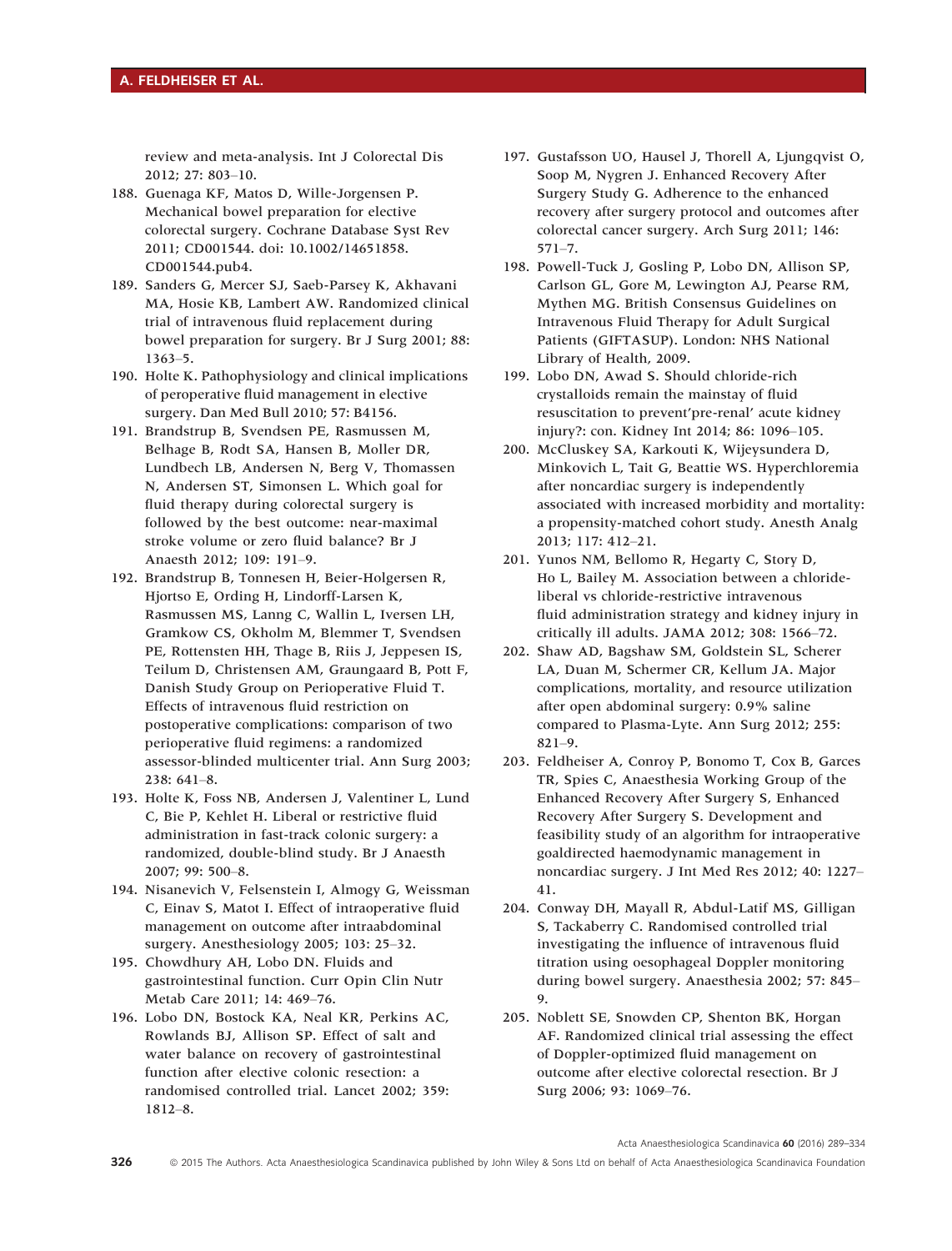review and meta-analysis. Int J Colorectal Dis 2012; 27: 803–10.

- 188. Guenaga KF, Matos D, Wille-Jorgensen P. Mechanical bowel preparation for elective colorectal surgery. Cochrane Database Syst Rev 2011; CD001544. doi: [10.1002/14651858.](http://dx.doi.org/10.1002/14651858.CD001544.pub4) [CD001544.pub4.](http://dx.doi.org/10.1002/14651858.CD001544.pub4)
- 189. Sanders G, Mercer SJ, Saeb-Parsey K, Akhavani MA, Hosie KB, Lambert AW. Randomized clinical trial of intravenous fluid replacement during bowel preparation for surgery. Br J Surg 2001; 88: 1363–5.
- 190. Holte K. Pathophysiology and clinical implications of peroperative fluid management in elective surgery. Dan Med Bull 2010; 57: B4156.
- 191. Brandstrup B, Svendsen PE, Rasmussen M, Belhage B, Rodt SA, Hansen B, Moller DR, Lundbech LB, Andersen N, Berg V, Thomassen N, Andersen ST, Simonsen L. Which goal for fluid therapy during colorectal surgery is followed by the best outcome: near-maximal stroke volume or zero fluid balance? Br J Anaesth 2012; 109: 191–9.
- 192. Brandstrup B, Tonnesen H, Beier-Holgersen R, Hjortso E, Ording H, Lindorff-Larsen K, Rasmussen MS, Lanng C, Wallin L, Iversen LH, Gramkow CS, Okholm M, Blemmer T, Svendsen PE, Rottensten HH, Thage B, Riis J, Jeppesen IS, Teilum D, Christensen AM, Graungaard B, Pott F, Danish Study Group on Perioperative Fluid T. Effects of intravenous fluid restriction on postoperative complications: comparison of two perioperative fluid regimens: a randomized assessor-blinded multicenter trial. Ann Surg 2003; 238: 641–8.
- 193. Holte K, Foss NB, Andersen J, Valentiner L, Lund C, Bie P, Kehlet H. Liberal or restrictive fluid administration in fast-track colonic surgery: a randomized, double-blind study. Br J Anaesth 2007; 99: 500–8.
- 194. Nisanevich V, Felsenstein I, Almogy G, Weissman C, Einav S, Matot I. Effect of intraoperative fluid management on outcome after intraabdominal surgery. Anesthesiology 2005; 103: 25–32.
- 195. Chowdhury AH, Lobo DN. Fluids and gastrointestinal function. Curr Opin Clin Nutr Metab Care 2011; 14: 469–76.
- 196. Lobo DN, Bostock KA, Neal KR, Perkins AC, Rowlands BJ, Allison SP. Effect of salt and water balance on recovery of gastrointestinal function after elective colonic resection: a randomised controlled trial. Lancet 2002; 359: 1812–8.
- 197. Gustafsson UO, Hausel J, Thorell A, Ljungqvist O, Soop M, Nygren J. Enhanced Recovery After Surgery Study G. Adherence to the enhanced recovery after surgery protocol and outcomes after colorectal cancer surgery. Arch Surg 2011; 146: 571–7.
- 198. Powell-Tuck J, Gosling P, Lobo DN, Allison SP, Carlson GL, Gore M, Lewington AJ, Pearse RM, Mythen MG. British Consensus Guidelines on Intravenous Fluid Therapy for Adult Surgical Patients (GIFTASUP). London: NHS National Library of Health, 2009.
- 199. Lobo DN, Awad S. Should chloride-rich crystalloids remain the mainstay of fluid resuscitation to prevent'pre-renal' acute kidney injury?: con. Kidney Int 2014; 86: 1096–105.
- 200. McCluskey SA, Karkouti K, Wijeysundera D, Minkovich L, Tait G, Beattie WS. Hyperchloremia after noncardiac surgery is independently associated with increased morbidity and mortality: a propensity-matched cohort study. Anesth Analg 2013; 117: 412–21.
- 201. Yunos NM, Bellomo R, Hegarty C, Story D, Ho L, Bailey M. Association between a chlorideliberal vs chloride-restrictive intravenous fluid administration strategy and kidney injury in critically ill adults. JAMA 2012; 308: 1566–72.
- 202. Shaw AD, Bagshaw SM, Goldstein SL, Scherer LA, Duan M, Schermer CR, Kellum JA. Major complications, mortality, and resource utilization after open abdominal surgery: 0.9% saline compared to Plasma-Lyte. Ann Surg 2012; 255: 821–9.
- 203. Feldheiser A, Conroy P, Bonomo T, Cox B, Garces TR, Spies C, Anaesthesia Working Group of the Enhanced Recovery After Surgery S, Enhanced Recovery After Surgery S. Development and feasibility study of an algorithm for intraoperative goaldirected haemodynamic management in noncardiac surgery. J Int Med Res 2012; 40: 1227– 41.
- 204. Conway DH, Mayall R, Abdul-Latif MS, Gilligan S, Tackaberry C. Randomised controlled trial investigating the influence of intravenous fluid titration using oesophageal Doppler monitoring during bowel surgery. Anaesthesia 2002; 57: 845– 9.
- 205. Noblett SE, Snowden CP, Shenton BK, Horgan AF. Randomized clinical trial assessing the effect of Doppler-optimized fluid management on outcome after elective colorectal resection. Br J Surg 2006; 93: 1069–76.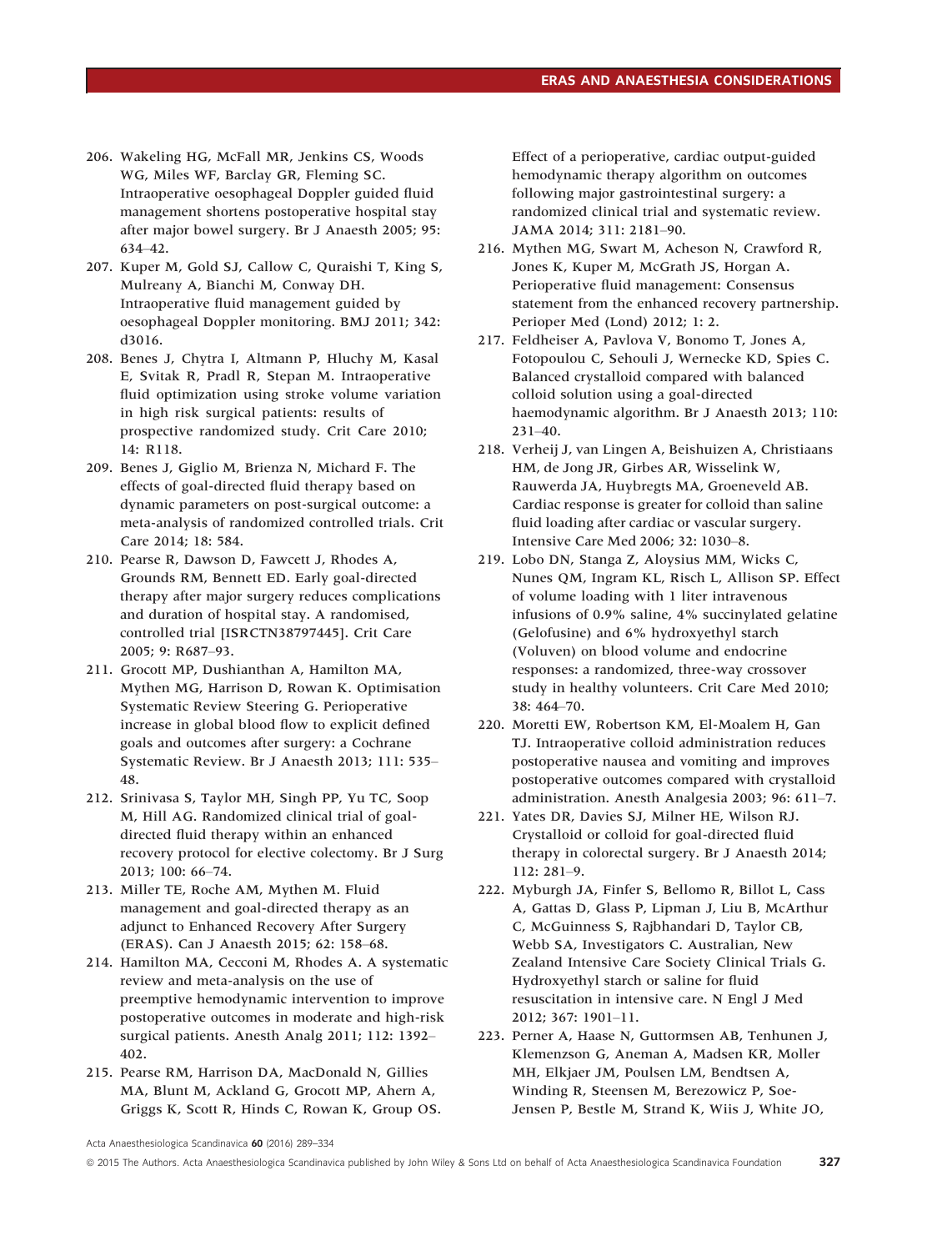- 206. Wakeling HG, McFall MR, Jenkins CS, Woods WG, Miles WF, Barclay GR, Fleming SC. Intraoperative oesophageal Doppler guided fluid management shortens postoperative hospital stay after major bowel surgery. Br J Anaesth 2005; 95: 634–42.
- 207. Kuper M, Gold SJ, Callow C, Quraishi T, King S, Mulreany A, Bianchi M, Conway DH. Intraoperative fluid management guided by oesophageal Doppler monitoring. BMJ 2011; 342: d3016.
- 208. Benes J, Chytra I, Altmann P, Hluchy M, Kasal E, Svitak R, Pradl R, Stepan M. Intraoperative fluid optimization using stroke volume variation in high risk surgical patients: results of prospective randomized study. Crit Care 2010; 14: R118.
- 209. Benes J, Giglio M, Brienza N, Michard F. The effects of goal-directed fluid therapy based on dynamic parameters on post-surgical outcome: a meta-analysis of randomized controlled trials. Crit Care 2014; 18: 584.
- 210. Pearse R, Dawson D, Fawcett J, Rhodes A, Grounds RM, Bennett ED. Early goal-directed therapy after major surgery reduces complications and duration of hospital stay. A randomised, controlled trial [ISRCTN38797445]. Crit Care 2005; 9: R687–93.
- 211. Grocott MP, Dushianthan A, Hamilton MA, Mythen MG, Harrison D, Rowan K. Optimisation Systematic Review Steering G. Perioperative increase in global blood flow to explicit defined goals and outcomes after surgery: a Cochrane Systematic Review. Br J Anaesth 2013; 111: 535– 48.
- 212. Srinivasa S, Taylor MH, Singh PP, Yu TC, Soop M, Hill AG. Randomized clinical trial of goaldirected fluid therapy within an enhanced recovery protocol for elective colectomy. Br J Surg 2013; 100: 66–74.
- 213. Miller TE, Roche AM, Mythen M. Fluid management and goal-directed therapy as an adjunct to Enhanced Recovery After Surgery (ERAS). Can J Anaesth 2015; 62: 158–68.
- 214. Hamilton MA, Cecconi M, Rhodes A. A systematic review and meta-analysis on the use of preemptive hemodynamic intervention to improve postoperative outcomes in moderate and high-risk surgical patients. Anesth Analg 2011; 112: 1392– 402.
- 215. Pearse RM, Harrison DA, MacDonald N, Gillies MA, Blunt M, Ackland G, Grocott MP, Ahern A, Griggs K, Scott R, Hinds C, Rowan K, Group OS.

Effect of a perioperative, cardiac output-guided hemodynamic therapy algorithm on outcomes following major gastrointestinal surgery: a randomized clinical trial and systematic review. JAMA 2014; 311: 2181–90.

- 216. Mythen MG, Swart M, Acheson N, Crawford R, Jones K, Kuper M, McGrath JS, Horgan A. Perioperative fluid management: Consensus statement from the enhanced recovery partnership. Perioper Med (Lond) 2012; 1: 2.
- 217. Feldheiser A, Pavlova V, Bonomo T, Jones A, Fotopoulou C, Sehouli J, Wernecke KD, Spies C. Balanced crystalloid compared with balanced colloid solution using a goal-directed haemodynamic algorithm. Br J Anaesth 2013; 110: 231–40.
- 218. Verheij J, van Lingen A, Beishuizen A, Christiaans HM, de Jong JR, Girbes AR, Wisselink W, Rauwerda JA, Huybregts MA, Groeneveld AB. Cardiac response is greater for colloid than saline fluid loading after cardiac or vascular surgery. Intensive Care Med 2006; 32: 1030–8.
- 219. Lobo DN, Stanga Z, Aloysius MM, Wicks C, Nunes QM, Ingram KL, Risch L, Allison SP. Effect of volume loading with 1 liter intravenous infusions of 0.9% saline, 4% succinylated gelatine (Gelofusine) and 6% hydroxyethyl starch (Voluven) on blood volume and endocrine responses: a randomized, three-way crossover study in healthy volunteers. Crit Care Med 2010; 38: 464–70.
- 220. Moretti EW, Robertson KM, El-Moalem H, Gan TJ. Intraoperative colloid administration reduces postoperative nausea and vomiting and improves postoperative outcomes compared with crystalloid administration. Anesth Analgesia 2003; 96: 611–7.
- 221. Yates DR, Davies SJ, Milner HE, Wilson RJ. Crystalloid or colloid for goal-directed fluid therapy in colorectal surgery. Br J Anaesth 2014; 112: 281–9.
- 222. Myburgh JA, Finfer S, Bellomo R, Billot L, Cass A, Gattas D, Glass P, Lipman J, Liu B, McArthur C, McGuinness S, Rajbhandari D, Taylor CB, Webb SA, Investigators C. Australian, New Zealand Intensive Care Society Clinical Trials G. Hydroxyethyl starch or saline for fluid resuscitation in intensive care. N Engl J Med 2012; 367: 1901–11.
- 223. Perner A, Haase N, Guttormsen AB, Tenhunen J, Klemenzson G, Aneman A, Madsen KR, Moller MH, Elkjaer JM, Poulsen LM, Bendtsen A, Winding R, Steensen M, Berezowicz P, Soe-Jensen P, Bestle M, Strand K, Wiis J, White JO,

Acta Anaesthesiologica Scandinavica 60 (2016) 289–334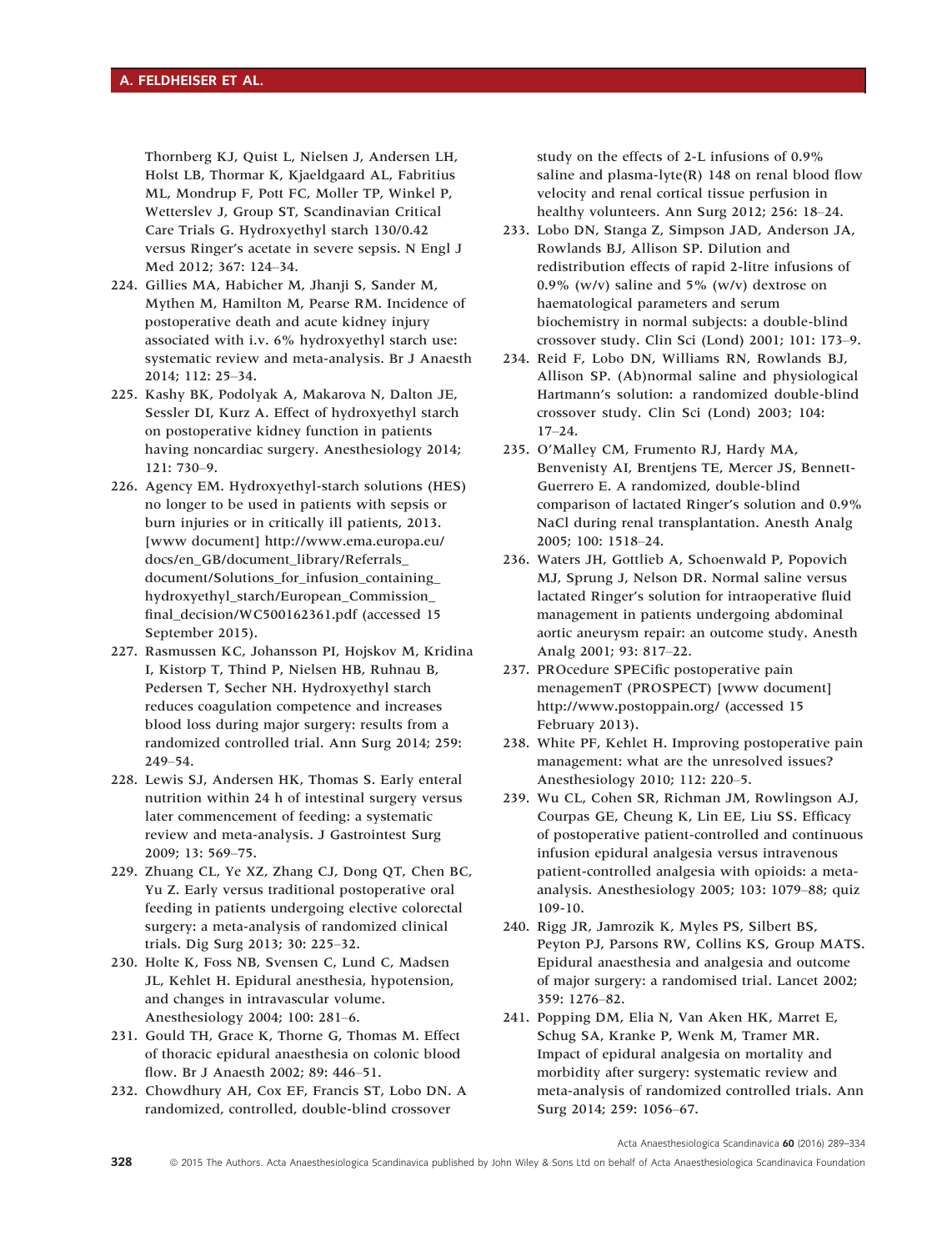Thornberg KJ, Quist L, Nielsen J, Andersen LH, Holst LB, Thormar K, Kjaeldgaard AL, Fabritius ML, Mondrup F, Pott FC, Moller TP, Winkel P, Wetterslev J, Group ST, Scandinavian Critical Care Trials G. Hydroxyethyl starch 130/0.42 versus Ringer's acetate in severe sepsis. N Engl J Med 2012; 367: 124–34.

- 224. Gillies MA, Habicher M, Jhanji S, Sander M, Mythen M, Hamilton M, Pearse RM. Incidence of postoperative death and acute kidney injury associated with i.v. 6% hydroxyethyl starch use: systematic review and meta-analysis. Br J Anaesth 2014; 112: 25–34.
- 225. Kashy BK, Podolyak A, Makarova N, Dalton JE, Sessler DI, Kurz A. Effect of hydroxyethyl starch on postoperative kidney function in patients having noncardiac surgery. Anesthesiology 2014; 121: 730–9.
- 226. Agency EM. Hydroxyethyl-starch solutions (HES) no longer to be used in patients with sepsis or burn injuries or in critically ill patients, 2013. [www document] [http://www.ema.europa.eu/](http://www.ema.europa.eu/docs/en_GB/document_library/Referrals_document/Solutions_for_infusion_containing_hydroxyethyl_starch/European_Commission_final_decision/WC500162361.pdf) [docs/en\\_GB/document\\_library/Referrals\\_](http://www.ema.europa.eu/docs/en_GB/document_library/Referrals_document/Solutions_for_infusion_containing_hydroxyethyl_starch/European_Commission_final_decision/WC500162361.pdf) [document/Solutions\\_for\\_infusion\\_containing\\_](http://www.ema.europa.eu/docs/en_GB/document_library/Referrals_document/Solutions_for_infusion_containing_hydroxyethyl_starch/European_Commission_final_decision/WC500162361.pdf) [hydroxyethyl\\_starch/European\\_Commission\\_](http://www.ema.europa.eu/docs/en_GB/document_library/Referrals_document/Solutions_for_infusion_containing_hydroxyethyl_starch/European_Commission_final_decision/WC500162361.pdf) [final\\_decision/WC500162361.pdf](http://www.ema.europa.eu/docs/en_GB/document_library/Referrals_document/Solutions_for_infusion_containing_hydroxyethyl_starch/European_Commission_final_decision/WC500162361.pdf) (accessed 15 September 2015).
- 227. Rasmussen KC, Johansson PI, Hojskov M, Kridina I, Kistorp T, Thind P, Nielsen HB, Ruhnau B, Pedersen T, Secher NH. Hydroxyethyl starch reduces coagulation competence and increases blood loss during major surgery: results from a randomized controlled trial. Ann Surg 2014; 259: 249–54.
- 228. Lewis SJ, Andersen HK, Thomas S. Early enteral nutrition within 24 h of intestinal surgery versus later commencement of feeding: a systematic review and meta-analysis. J Gastrointest Surg 2009; 13: 569–75.
- 229. Zhuang CL, Ye XZ, Zhang CJ, Dong QT, Chen BC, Yu Z. Early versus traditional postoperative oral feeding in patients undergoing elective colorectal surgery: a meta-analysis of randomized clinical trials. Dig Surg 2013; 30: 225–32.
- 230. Holte K, Foss NB, Svensen C, Lund C, Madsen JL, Kehlet H. Epidural anesthesia, hypotension, and changes in intravascular volume. Anesthesiology 2004; 100: 281–6.
- 231. Gould TH, Grace K, Thorne G, Thomas M. Effect of thoracic epidural anaesthesia on colonic blood flow. Br J Anaesth 2002; 89: 446–51.
- 232. Chowdhury AH, Cox EF, Francis ST, Lobo DN. A randomized, controlled, double-blind crossover

study on the effects of 2-L infusions of 0.9% saline and plasma-lyte(R) 148 on renal blood flow velocity and renal cortical tissue perfusion in healthy volunteers. Ann Surg 2012; 256: 18–24.

- 233. Lobo DN, Stanga Z, Simpson JAD, Anderson JA, Rowlands BJ, Allison SP. Dilution and redistribution effects of rapid 2-litre infusions of 0.9% (w/v) saline and 5% (w/v) dextrose on haematological parameters and serum biochemistry in normal subjects: a double-blind crossover study. Clin Sci (Lond) 2001; 101: 173–9.
- 234. Reid F, Lobo DN, Williams RN, Rowlands BJ, Allison SP. (Ab)normal saline and physiological Hartmann's solution: a randomized double-blind crossover study. Clin Sci (Lond) 2003; 104: 17–24.
- 235. O'Malley CM, Frumento RJ, Hardy MA, Benvenisty AI, Brentjens TE, Mercer JS, Bennett-Guerrero E. A randomized, double-blind comparison of lactated Ringer's solution and 0.9% NaCl during renal transplantation. Anesth Analg 2005; 100: 1518–24.
- 236. Waters JH, Gottlieb A, Schoenwald P, Popovich MJ, Sprung J, Nelson DR. Normal saline versus lactated Ringer's solution for intraoperative fluid management in patients undergoing abdominal aortic aneurysm repair: an outcome study. Anesth Analg 2001; 93: 817–22.
- 237. PROcedure SPECific postoperative pain menagemenT (PROSPECT) [www document] <http://www.postoppain.org/> (accessed 15 February 2013).
- 238. White PF, Kehlet H. Improving postoperative pain management: what are the unresolved issues? Anesthesiology 2010; 112: 220–5.
- 239. Wu CL, Cohen SR, Richman JM, Rowlingson AJ, Courpas GE, Cheung K, Lin EE, Liu SS. Efficacy of postoperative patient-controlled and continuous infusion epidural analgesia versus intravenous patient-controlled analgesia with opioids: a metaanalysis. Anesthesiology 2005; 103: 1079–88; quiz 109-10.
- 240. Rigg JR, Jamrozik K, Myles PS, Silbert BS, Peyton PJ, Parsons RW, Collins KS, Group MATS. Epidural anaesthesia and analgesia and outcome of major surgery: a randomised trial. Lancet 2002; 359: 1276–82.
- 241. Popping DM, Elia N, Van Aken HK, Marret E, Schug SA, Kranke P, Wenk M, Tramer MR. Impact of epidural analgesia on mortality and morbidity after surgery: systematic review and meta-analysis of randomized controlled trials. Ann Surg 2014; 259: 1056–67.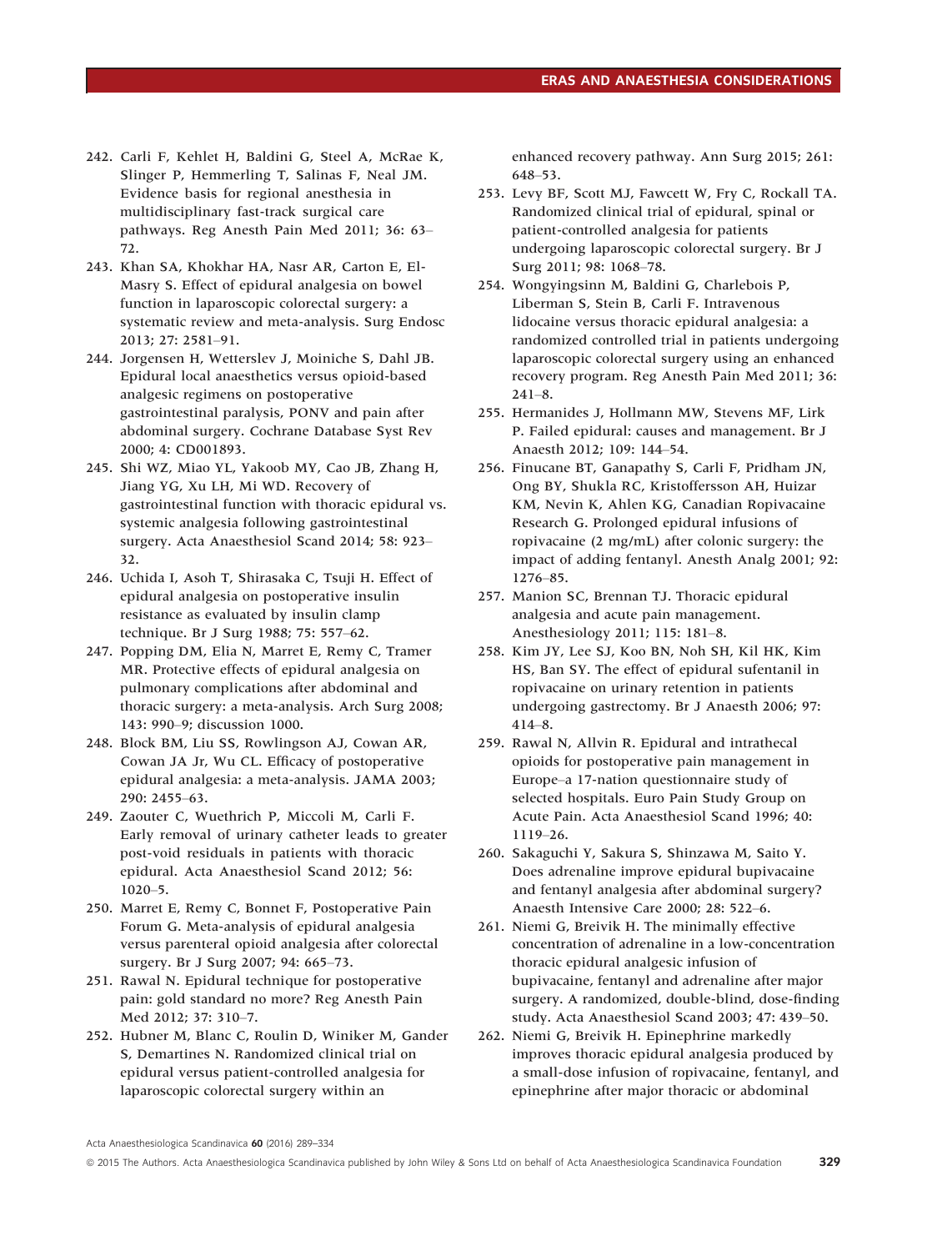- 242. Carli F, Kehlet H, Baldini G, Steel A, McRae K, Slinger P, Hemmerling T, Salinas F, Neal JM. Evidence basis for regional anesthesia in multidisciplinary fast-track surgical care pathways. Reg Anesth Pain Med 2011; 36: 63– 72.
- 243. Khan SA, Khokhar HA, Nasr AR, Carton E, El-Masry S. Effect of epidural analgesia on bowel function in laparoscopic colorectal surgery: a systematic review and meta-analysis. Surg Endosc 2013; 27: 2581–91.
- 244. Jorgensen H, Wetterslev J, Moiniche S, Dahl JB. Epidural local anaesthetics versus opioid-based analgesic regimens on postoperative gastrointestinal paralysis, PONV and pain after abdominal surgery. Cochrane Database Syst Rev 2000; 4: CD001893.
- 245. Shi WZ, Miao YL, Yakoob MY, Cao JB, Zhang H, Jiang YG, Xu LH, Mi WD. Recovery of gastrointestinal function with thoracic epidural vs. systemic analgesia following gastrointestinal surgery. Acta Anaesthesiol Scand 2014; 58: 923– 32.
- 246. Uchida I, Asoh T, Shirasaka C, Tsuji H. Effect of epidural analgesia on postoperative insulin resistance as evaluated by insulin clamp technique. Br J Surg 1988; 75: 557–62.
- 247. Popping DM, Elia N, Marret E, Remy C, Tramer MR. Protective effects of epidural analgesia on pulmonary complications after abdominal and thoracic surgery: a meta-analysis. Arch Surg 2008; 143: 990–9; discussion 1000.
- 248. Block BM, Liu SS, Rowlingson AJ, Cowan AR, Cowan JA Jr, Wu CL. Efficacy of postoperative epidural analgesia: a meta-analysis. JAMA 2003; 290: 2455–63.
- 249. Zaouter C, Wuethrich P, Miccoli M, Carli F. Early removal of urinary catheter leads to greater post-void residuals in patients with thoracic epidural. Acta Anaesthesiol Scand 2012; 56: 1020–5.
- 250. Marret E, Remy C, Bonnet F, Postoperative Pain Forum G. Meta-analysis of epidural analgesia versus parenteral opioid analgesia after colorectal surgery. Br J Surg 2007; 94: 665–73.
- 251. Rawal N. Epidural technique for postoperative pain: gold standard no more? Reg Anesth Pain Med 2012; 37: 310–7.
- 252. Hubner M, Blanc C, Roulin D, Winiker M, Gander S, Demartines N. Randomized clinical trial on epidural versus patient-controlled analgesia for laparoscopic colorectal surgery within an

enhanced recovery pathway. Ann Surg 2015; 261: 648–53.

- 253. Levy BF, Scott MJ, Fawcett W, Fry C, Rockall TA. Randomized clinical trial of epidural, spinal or patient-controlled analgesia for patients undergoing laparoscopic colorectal surgery. Br J Surg 2011; 98: 1068–78.
- 254. Wongyingsinn M, Baldini G, Charlebois P, Liberman S, Stein B, Carli F. Intravenous lidocaine versus thoracic epidural analgesia: a randomized controlled trial in patients undergoing laparoscopic colorectal surgery using an enhanced recovery program. Reg Anesth Pain Med 2011; 36: 241–8.
- 255. Hermanides J, Hollmann MW, Stevens MF, Lirk P. Failed epidural: causes and management. Br J Anaesth 2012; 109: 144–54.
- 256. Finucane BT, Ganapathy S, Carli F, Pridham JN, Ong BY, Shukla RC, Kristoffersson AH, Huizar KM, Nevin K, Ahlen KG, Canadian Ropivacaine Research G. Prolonged epidural infusions of ropivacaine (2 mg/mL) after colonic surgery: the impact of adding fentanyl. Anesth Analg 2001; 92: 1276–85.
- 257. Manion SC, Brennan TJ. Thoracic epidural analgesia and acute pain management. Anesthesiology 2011; 115: 181–8.
- 258. Kim JY, Lee SJ, Koo BN, Noh SH, Kil HK, Kim HS, Ban SY. The effect of epidural sufentanil in ropivacaine on urinary retention in patients undergoing gastrectomy. Br J Anaesth 2006; 97: 414–8.
- 259. Rawal N, Allvin R. Epidural and intrathecal opioids for postoperative pain management in Europe–a 17-nation questionnaire study of selected hospitals. Euro Pain Study Group on Acute Pain. Acta Anaesthesiol Scand 1996; 40: 1119–26.
- 260. Sakaguchi Y, Sakura S, Shinzawa M, Saito Y. Does adrenaline improve epidural bupivacaine and fentanyl analgesia after abdominal surgery? Anaesth Intensive Care 2000; 28: 522–6.
- 261. Niemi G, Breivik H. The minimally effective concentration of adrenaline in a low-concentration thoracic epidural analgesic infusion of bupivacaine, fentanyl and adrenaline after major surgery. A randomized, double-blind, dose-finding study. Acta Anaesthesiol Scand 2003; 47: 439–50.
- 262. Niemi G, Breivik H. Epinephrine markedly improves thoracic epidural analgesia produced by a small-dose infusion of ropivacaine, fentanyl, and epinephrine after major thoracic or abdominal

Acta Anaesthesiologica Scandinavica 60 (2016) 289–334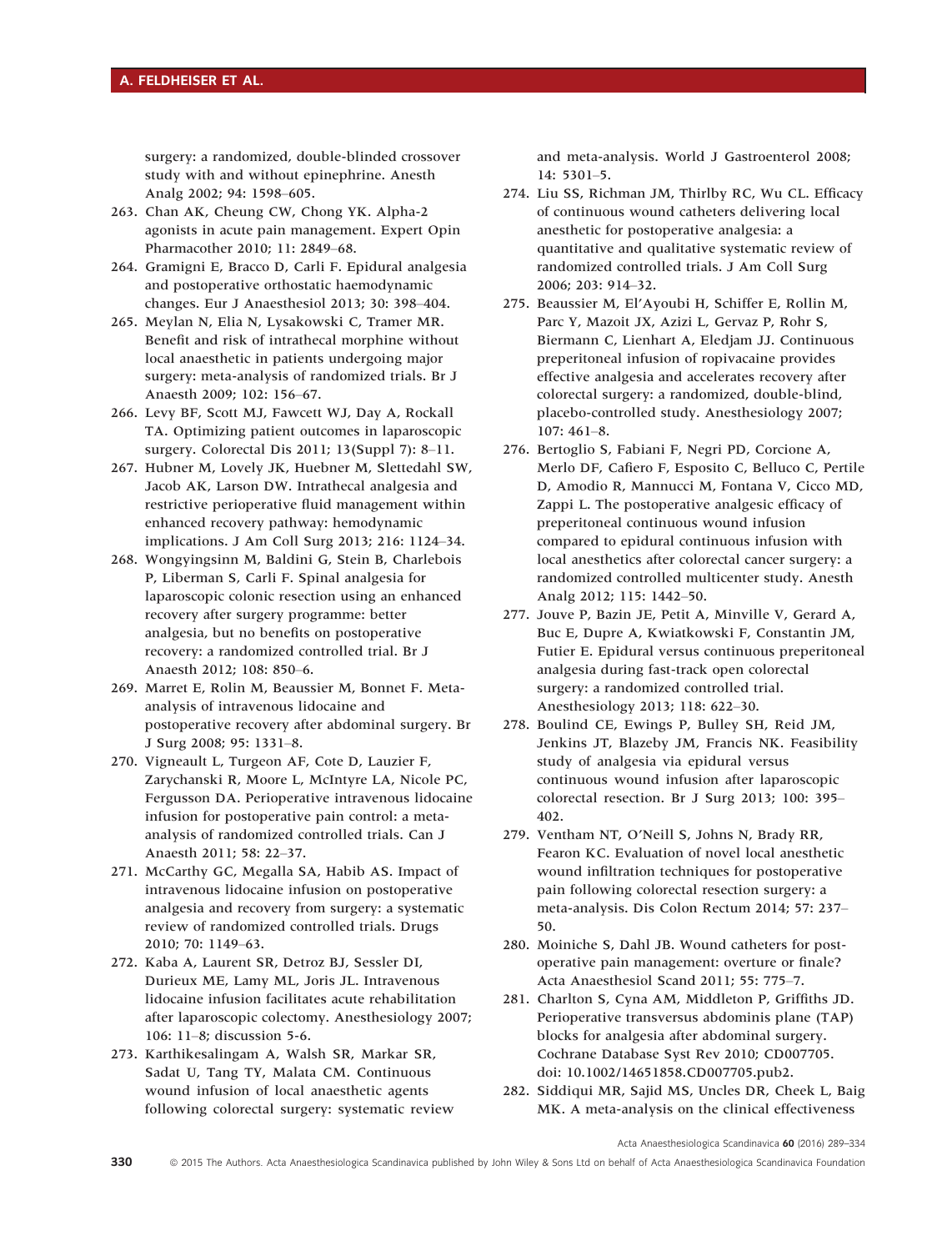surgery: a randomized, double-blinded crossover study with and without epinephrine. Anesth Analg 2002; 94: 1598–605.

- 263. Chan AK, Cheung CW, Chong YK. Alpha-2 agonists in acute pain management. Expert Opin Pharmacother 2010; 11: 2849–68.
- 264. Gramigni E, Bracco D, Carli F. Epidural analgesia and postoperative orthostatic haemodynamic changes. Eur J Anaesthesiol 2013; 30: 398–404.
- 265. Meylan N, Elia N, Lysakowski C, Tramer MR. Benefit and risk of intrathecal morphine without local anaesthetic in patients undergoing major surgery: meta-analysis of randomized trials. Br J Anaesth 2009; 102: 156–67.
- 266. Levy BF, Scott MJ, Fawcett WJ, Day A, Rockall TA. Optimizing patient outcomes in laparoscopic surgery. Colorectal Dis 2011; 13(Suppl 7): 8–11.
- 267. Hubner M, Lovely JK, Huebner M, Slettedahl SW, Jacob AK, Larson DW. Intrathecal analgesia and restrictive perioperative fluid management within enhanced recovery pathway: hemodynamic implications. J Am Coll Surg 2013; 216: 1124–34.
- 268. Wongyingsinn M, Baldini G, Stein B, Charlebois P, Liberman S, Carli F. Spinal analgesia for laparoscopic colonic resection using an enhanced recovery after surgery programme: better analgesia, but no benefits on postoperative recovery: a randomized controlled trial. Br J Anaesth 2012; 108: 850–6.
- 269. Marret E, Rolin M, Beaussier M, Bonnet F. Metaanalysis of intravenous lidocaine and postoperative recovery after abdominal surgery. Br J Surg 2008; 95: 1331–8.
- 270. Vigneault L, Turgeon AF, Cote D, Lauzier F, Zarychanski R, Moore L, McIntyre LA, Nicole PC, Fergusson DA. Perioperative intravenous lidocaine infusion for postoperative pain control: a metaanalysis of randomized controlled trials. Can J Anaesth 2011; 58: 22–37.
- 271. McCarthy GC, Megalla SA, Habib AS. Impact of intravenous lidocaine infusion on postoperative analgesia and recovery from surgery: a systematic review of randomized controlled trials. Drugs 2010; 70: 1149–63.
- 272. Kaba A, Laurent SR, Detroz BJ, Sessler DI, Durieux ME, Lamy ML, Joris JL. Intravenous lidocaine infusion facilitates acute rehabilitation after laparoscopic colectomy. Anesthesiology 2007; 106: 11–8; discussion 5-6.
- 273. Karthikesalingam A, Walsh SR, Markar SR, Sadat U, Tang TY, Malata CM. Continuous wound infusion of local anaesthetic agents following colorectal surgery: systematic review

and meta-analysis. World J Gastroenterol 2008; 14: 5301–5.

- 274. Liu SS, Richman JM, Thirlby RC, Wu CL. Efficacy of continuous wound catheters delivering local anesthetic for postoperative analgesia: a quantitative and qualitative systematic review of randomized controlled trials. J Am Coll Surg 2006; 203: 914–32.
- 275. Beaussier M, El'Ayoubi H, Schiffer E, Rollin M, Parc Y, Mazoit JX, Azizi L, Gervaz P, Rohr S, Biermann C, Lienhart A, Eledjam JJ. Continuous preperitoneal infusion of ropivacaine provides effective analgesia and accelerates recovery after colorectal surgery: a randomized, double-blind, placebo-controlled study. Anesthesiology 2007; 107: 461–8.
- 276. Bertoglio S, Fabiani F, Negri PD, Corcione A, Merlo DF, Cafiero F, Esposito C, Belluco C, Pertile D, Amodio R, Mannucci M, Fontana V, Cicco MD, Zappi L. The postoperative analgesic efficacy of preperitoneal continuous wound infusion compared to epidural continuous infusion with local anesthetics after colorectal cancer surgery: a randomized controlled multicenter study. Anesth Analg 2012; 115: 1442–50.
- 277. Jouve P, Bazin JE, Petit A, Minville V, Gerard A, Buc E, Dupre A, Kwiatkowski F, Constantin JM, Futier E. Epidural versus continuous preperitoneal analgesia during fast-track open colorectal surgery: a randomized controlled trial. Anesthesiology 2013; 118: 622–30.
- 278. Boulind CE, Ewings P, Bulley SH, Reid JM, Jenkins JT, Blazeby JM, Francis NK. Feasibility study of analgesia via epidural versus continuous wound infusion after laparoscopic colorectal resection. Br J Surg 2013; 100: 395– 402.
- 279. Ventham NT, O'Neill S, Johns N, Brady RR, Fearon KC. Evaluation of novel local anesthetic wound infiltration techniques for postoperative pain following colorectal resection surgery: a meta-analysis. Dis Colon Rectum 2014; 57: 237– 50.
- 280. Moiniche S, Dahl JB. Wound catheters for postoperative pain management: overture or finale? Acta Anaesthesiol Scand 2011; 55: 775–7.
- 281. Charlton S, Cyna AM, Middleton P, Griffiths JD. Perioperative transversus abdominis plane (TAP) blocks for analgesia after abdominal surgery. Cochrane Database Syst Rev 2010; CD007705. doi: [10.1002/14651858.CD007705.pub2](http://dx.doi.org/10.1002/14651858.CD007705.pub2).
- 282. Siddiqui MR, Sajid MS, Uncles DR, Cheek L, Baig MK. A meta-analysis on the clinical effectiveness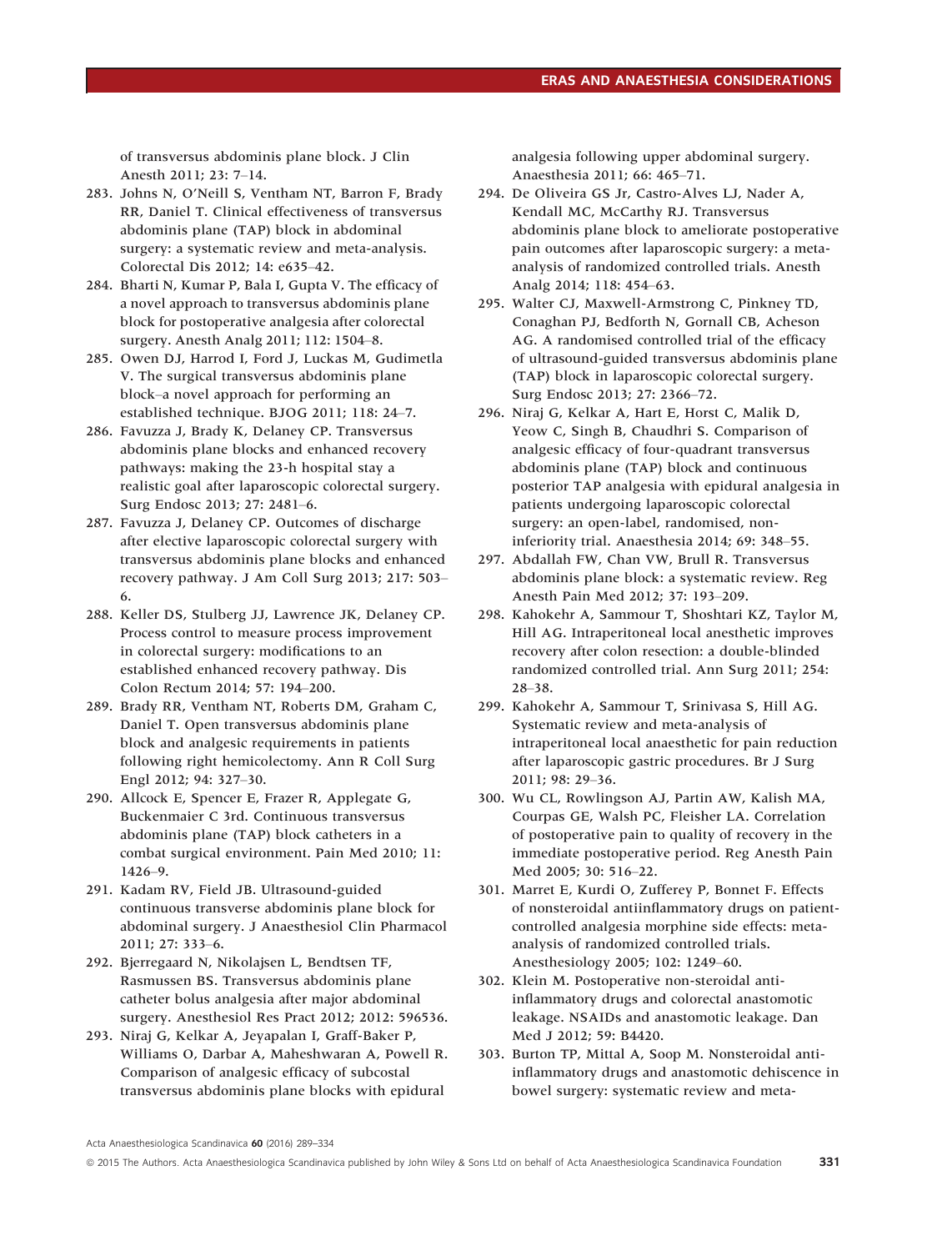of transversus abdominis plane block. J Clin Anesth 2011; 23: 7–14.

- 283. Johns N, O'Neill S, Ventham NT, Barron F, Brady RR, Daniel T. Clinical effectiveness of transversus abdominis plane (TAP) block in abdominal surgery: a systematic review and meta-analysis. Colorectal Dis 2012; 14: e635–42.
- 284. Bharti N, Kumar P, Bala I, Gupta V. The efficacy of a novel approach to transversus abdominis plane block for postoperative analgesia after colorectal surgery. Anesth Analg 2011; 112: 1504–8.
- 285. Owen DJ, Harrod I, Ford J, Luckas M, Gudimetla V. The surgical transversus abdominis plane block–a novel approach for performing an established technique. BJOG 2011; 118: 24–7.
- 286. Favuzza J, Brady K, Delaney CP. Transversus abdominis plane blocks and enhanced recovery pathways: making the 23-h hospital stay a realistic goal after laparoscopic colorectal surgery. Surg Endosc 2013; 27: 2481–6.
- 287. Favuzza J, Delaney CP. Outcomes of discharge after elective laparoscopic colorectal surgery with transversus abdominis plane blocks and enhanced recovery pathway. J Am Coll Surg 2013; 217: 503– 6.
- 288. Keller DS, Stulberg JJ, Lawrence JK, Delaney CP. Process control to measure process improvement in colorectal surgery: modifications to an established enhanced recovery pathway. Dis Colon Rectum 2014; 57: 194–200.
- 289. Brady RR, Ventham NT, Roberts DM, Graham C, Daniel T. Open transversus abdominis plane block and analgesic requirements in patients following right hemicolectomy. Ann R Coll Surg Engl 2012; 94: 327–30.
- 290. Allcock E, Spencer E, Frazer R, Applegate G, Buckenmaier C 3rd. Continuous transversus abdominis plane (TAP) block catheters in a combat surgical environment. Pain Med 2010; 11: 1426–9.
- 291. Kadam RV, Field JB. Ultrasound-guided continuous transverse abdominis plane block for abdominal surgery. J Anaesthesiol Clin Pharmacol 2011; 27: 333–6.
- 292. Bjerregaard N, Nikolajsen L, Bendtsen TF, Rasmussen BS. Transversus abdominis plane catheter bolus analgesia after major abdominal surgery. Anesthesiol Res Pract 2012; 2012: 596536.
- 293. Niraj G, Kelkar A, Jeyapalan I, Graff-Baker P, Williams O, Darbar A, Maheshwaran A, Powell R. Comparison of analgesic efficacy of subcostal transversus abdominis plane blocks with epidural

analgesia following upper abdominal surgery. Anaesthesia 2011; 66: 465–71.

- 294. De Oliveira GS Jr, Castro-Alves LJ, Nader A, Kendall MC, McCarthy RJ. Transversus abdominis plane block to ameliorate postoperative pain outcomes after laparoscopic surgery: a metaanalysis of randomized controlled trials. Anesth Analg 2014; 118: 454–63.
- 295. Walter CJ, Maxwell-Armstrong C, Pinkney TD, Conaghan PJ, Bedforth N, Gornall CB, Acheson AG. A randomised controlled trial of the efficacy of ultrasound-guided transversus abdominis plane (TAP) block in laparoscopic colorectal surgery. Surg Endosc 2013; 27: 2366–72.
- 296. Niraj G, Kelkar A, Hart E, Horst C, Malik D, Yeow C, Singh B, Chaudhri S. Comparison of analgesic efficacy of four-quadrant transversus abdominis plane (TAP) block and continuous posterior TAP analgesia with epidural analgesia in patients undergoing laparoscopic colorectal surgery: an open-label, randomised, noninferiority trial. Anaesthesia 2014; 69: 348–55.
- 297. Abdallah FW, Chan VW, Brull R. Transversus abdominis plane block: a systematic review. Reg Anesth Pain Med 2012; 37: 193–209.
- 298. Kahokehr A, Sammour T, Shoshtari KZ, Taylor M, Hill AG. Intraperitoneal local anesthetic improves recovery after colon resection: a double-blinded randomized controlled trial. Ann Surg 2011; 254: 28–38.
- 299. Kahokehr A, Sammour T, Srinivasa S, Hill AG. Systematic review and meta-analysis of intraperitoneal local anaesthetic for pain reduction after laparoscopic gastric procedures. Br J Surg 2011; 98: 29–36.
- 300. Wu CL, Rowlingson AJ, Partin AW, Kalish MA, Courpas GE, Walsh PC, Fleisher LA. Correlation of postoperative pain to quality of recovery in the immediate postoperative period. Reg Anesth Pain Med 2005; 30: 516–22.
- 301. Marret E, Kurdi O, Zufferey P, Bonnet F. Effects of nonsteroidal antiinflammatory drugs on patientcontrolled analgesia morphine side effects: metaanalysis of randomized controlled trials. Anesthesiology 2005; 102: 1249–60.
- 302. Klein M. Postoperative non-steroidal antiinflammatory drugs and colorectal anastomotic leakage. NSAIDs and anastomotic leakage. Dan Med J 2012; 59: B4420.
- 303. Burton TP, Mittal A, Soop M. Nonsteroidal antiinflammatory drugs and anastomotic dehiscence in bowel surgery: systematic review and meta-

Acta Anaesthesiologica Scandinavica 60 (2016) 289–334

<sup>&</sup>lt;sup>©</sup> 2015 The Authors. Acta Anaesthesiologica Scandinavica published by John Wiley & Sons Ltd on behalf of Acta Anaesthesiologica Scandinavica Foundation 331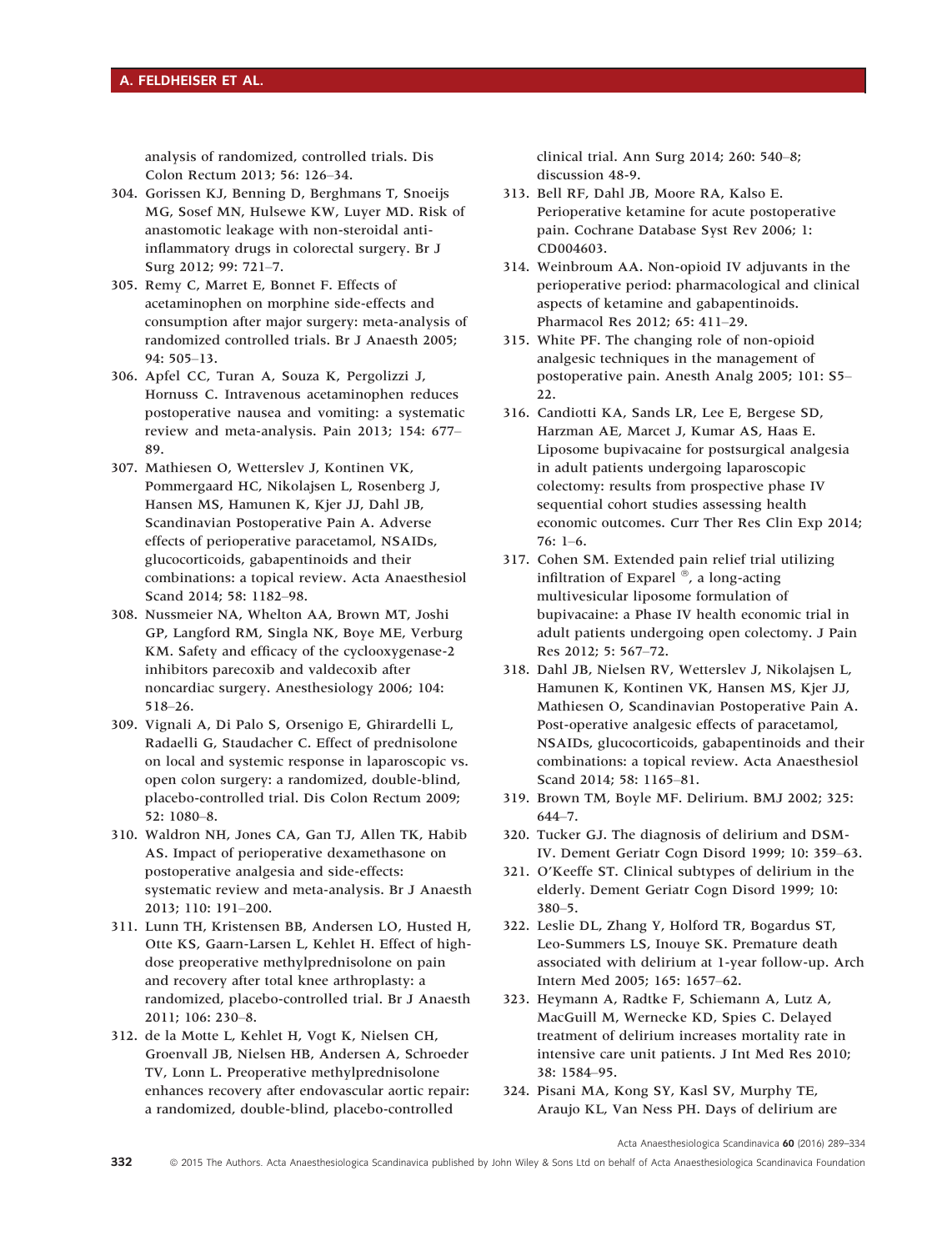analysis of randomized, controlled trials. Dis Colon Rectum 2013; 56: 126–34.

- 304. Gorissen KJ, Benning D, Berghmans T, Snoeijs MG, Sosef MN, Hulsewe KW, Luyer MD. Risk of anastomotic leakage with non-steroidal antiinflammatory drugs in colorectal surgery. Br J Surg 2012; 99: 721–7.
- 305. Remy C, Marret E, Bonnet F. Effects of acetaminophen on morphine side-effects and consumption after major surgery: meta-analysis of randomized controlled trials. Br J Anaesth 2005; 94: 505–13.
- 306. Apfel CC, Turan A, Souza K, Pergolizzi J, Hornuss C. Intravenous acetaminophen reduces postoperative nausea and vomiting: a systematic review and meta-analysis. Pain 2013; 154: 677– 89.
- 307. Mathiesen O, Wetterslev J, Kontinen VK, Pommergaard HC, Nikolajsen L, Rosenberg J, Hansen MS, Hamunen K, Kjer JJ, Dahl JB, Scandinavian Postoperative Pain A. Adverse effects of perioperative paracetamol, NSAIDs, glucocorticoids, gabapentinoids and their combinations: a topical review. Acta Anaesthesiol Scand 2014; 58: 1182–98.
- 308. Nussmeier NA, Whelton AA, Brown MT, Joshi GP, Langford RM, Singla NK, Boye ME, Verburg KM. Safety and efficacy of the cyclooxygenase-2 inhibitors parecoxib and valdecoxib after noncardiac surgery. Anesthesiology 2006; 104: 518–26.
- 309. Vignali A, Di Palo S, Orsenigo E, Ghirardelli L, Radaelli G, Staudacher C. Effect of prednisolone on local and systemic response in laparoscopic vs. open colon surgery: a randomized, double-blind, placebo-controlled trial. Dis Colon Rectum 2009; 52: 1080–8.
- 310. Waldron NH, Jones CA, Gan TJ, Allen TK, Habib AS. Impact of perioperative dexamethasone on postoperative analgesia and side-effects: systematic review and meta-analysis. Br J Anaesth 2013; 110: 191–200.
- 311. Lunn TH, Kristensen BB, Andersen LO, Husted H, Otte KS, Gaarn-Larsen L, Kehlet H. Effect of highdose preoperative methylprednisolone on pain and recovery after total knee arthroplasty: a randomized, placebo-controlled trial. Br J Anaesth 2011; 106: 230–8.
- 312. de la Motte L, Kehlet H, Vogt K, Nielsen CH, Groenvall JB, Nielsen HB, Andersen A, Schroeder TV, Lonn L. Preoperative methylprednisolone enhances recovery after endovascular aortic repair: a randomized, double-blind, placebo-controlled

clinical trial. Ann Surg 2014; 260: 540–8; discussion 48-9.

- 313. Bell RF, Dahl JB, Moore RA, Kalso E. Perioperative ketamine for acute postoperative pain. Cochrane Database Syst Rev 2006; 1: CD004603.
- 314. Weinbroum AA. Non-opioid IV adjuvants in the perioperative period: pharmacological and clinical aspects of ketamine and gabapentinoids. Pharmacol Res 2012; 65: 411–29.
- 315. White PF. The changing role of non-opioid analgesic techniques in the management of postoperative pain. Anesth Analg 2005; 101: S5– 22.
- 316. Candiotti KA, Sands LR, Lee E, Bergese SD, Harzman AE, Marcet J, Kumar AS, Haas E. Liposome bupivacaine for postsurgical analgesia in adult patients undergoing laparoscopic colectomy: results from prospective phase IV sequential cohort studies assessing health economic outcomes. Curr Ther Res Clin Exp 2014; 76: 1–6.
- 317. Cohen SM. Extended pain relief trial utilizing infiltration of Exparel  $\mathcal{P}$ , a long-acting multivesicular liposome formulation of bupivacaine: a Phase IV health economic trial in adult patients undergoing open colectomy. J Pain Res 2012; 5: 567–72.
- 318. Dahl JB, Nielsen RV, Wetterslev J, Nikolajsen L, Hamunen K, Kontinen VK, Hansen MS, Kjer JJ, Mathiesen O, Scandinavian Postoperative Pain A. Post-operative analgesic effects of paracetamol, NSAIDs, glucocorticoids, gabapentinoids and their combinations: a topical review. Acta Anaesthesiol Scand 2014; 58: 1165–81.
- 319. Brown TM, Boyle MF. Delirium. BMJ 2002; 325: 644–7.
- 320. Tucker GJ. The diagnosis of delirium and DSM-IV. Dement Geriatr Cogn Disord 1999; 10: 359–63.
- 321. O'Keeffe ST. Clinical subtypes of delirium in the elderly. Dement Geriatr Cogn Disord 1999; 10: 380–5.
- 322. Leslie DL, Zhang Y, Holford TR, Bogardus ST, Leo-Summers LS, Inouye SK. Premature death associated with delirium at 1-year follow-up. Arch Intern Med 2005; 165: 1657–62.
- 323. Heymann A, Radtke F, Schiemann A, Lutz A, MacGuill M, Wernecke KD, Spies C. Delayed treatment of delirium increases mortality rate in intensive care unit patients. J Int Med Res 2010; 38: 1584–95.
- 324. Pisani MA, Kong SY, Kasl SV, Murphy TE, Araujo KL, Van Ness PH. Days of delirium are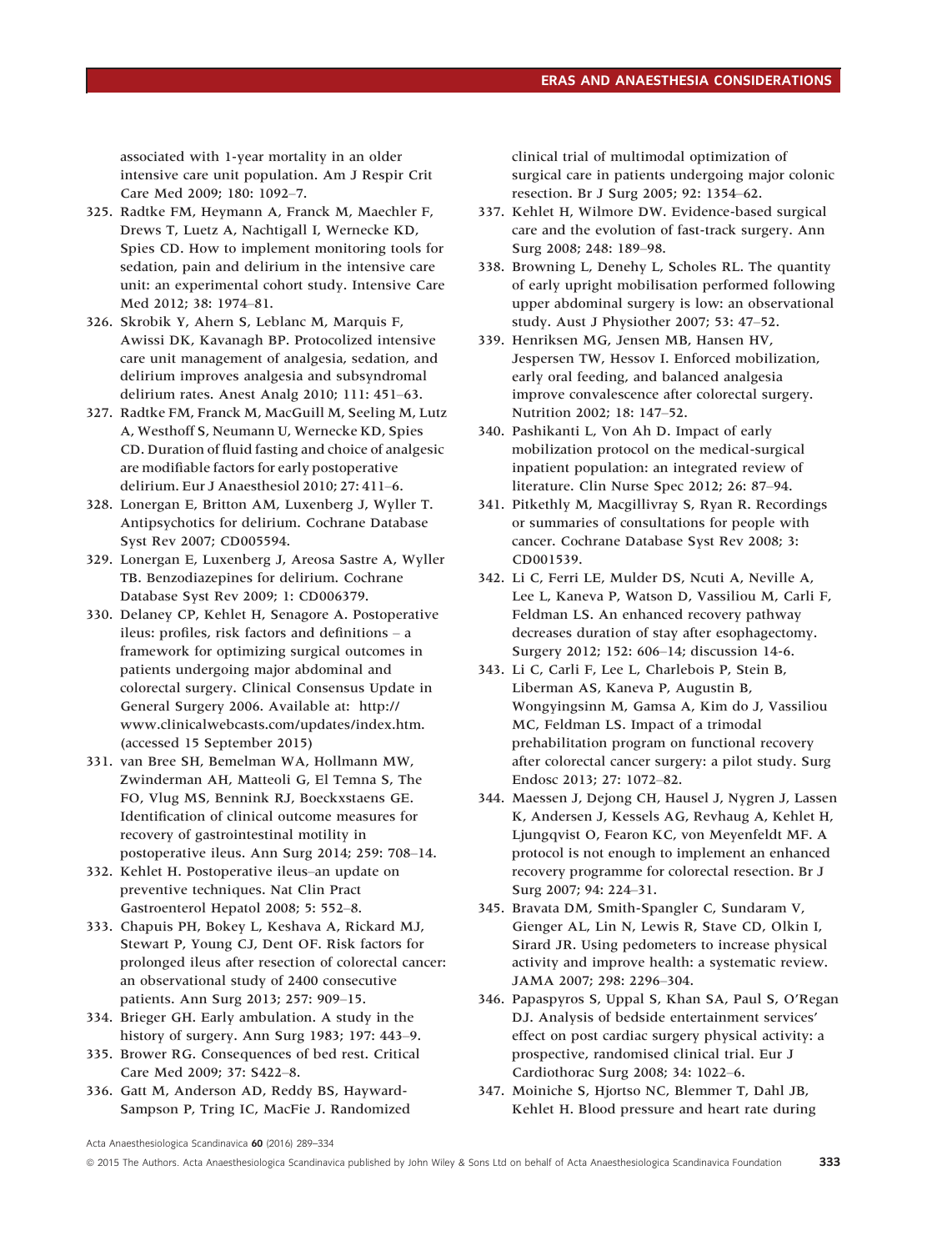associated with 1-year mortality in an older intensive care unit population. Am J Respir Crit Care Med 2009; 180: 1092–7.

- 325. Radtke FM, Heymann A, Franck M, Maechler F, Drews T, Luetz A, Nachtigall I, Wernecke KD, Spies CD. How to implement monitoring tools for sedation, pain and delirium in the intensive care unit: an experimental cohort study. Intensive Care Med 2012; 38: 1974–81.
- 326. Skrobik Y, Ahern S, Leblanc M, Marquis F, Awissi DK, Kavanagh BP. Protocolized intensive care unit management of analgesia, sedation, and delirium improves analgesia and subsyndromal delirium rates. Anest Analg 2010; 111: 451–63.
- 327. Radtke FM, Franck M, MacGuill M, Seeling M, Lutz A, Westhoff S, Neumann U, Wernecke KD, Spies CD. Duration of fluid fasting and choice of analgesic are modifiable factors for early postoperative delirium. Eur J Anaesthesiol 2010; 27: 411–6.
- 328. Lonergan E, Britton AM, Luxenberg J, Wyller T. Antipsychotics for delirium. Cochrane Database Syst Rev 2007; CD005594.
- 329. Lonergan E, Luxenberg J, Areosa Sastre A, Wyller TB. Benzodiazepines for delirium. Cochrane Database Syst Rev 2009; 1: CD006379.
- 330. Delaney CP, Kehlet H, Senagore A. Postoperative ileus: profiles, risk factors and definitions – a framework for optimizing surgical outcomes in patients undergoing major abdominal and colorectal surgery. Clinical Consensus Update in General Surgery 2006. Available at: [http://](http://www.clinicalwebcasts.com/updates/index.htm) [www.clinicalwebcasts.com/updates/index.htm.](http://www.clinicalwebcasts.com/updates/index.htm) (accessed 15 September 2015)
- 331. van Bree SH, Bemelman WA, Hollmann MW, Zwinderman AH, Matteoli G, El Temna S, The FO, Vlug MS, Bennink RJ, Boeckxstaens GE. Identification of clinical outcome measures for recovery of gastrointestinal motility in postoperative ileus. Ann Surg 2014; 259: 708–14.
- 332. Kehlet H. Postoperative ileus–an update on preventive techniques. Nat Clin Pract Gastroenterol Hepatol 2008; 5: 552–8.
- 333. Chapuis PH, Bokey L, Keshava A, Rickard MJ, Stewart P, Young CJ, Dent OF. Risk factors for prolonged ileus after resection of colorectal cancer: an observational study of 2400 consecutive patients. Ann Surg 2013; 257: 909–15.
- 334. Brieger GH. Early ambulation. A study in the history of surgery. Ann Surg 1983; 197: 443–9.
- 335. Brower RG. Consequences of bed rest. Critical Care Med 2009; 37: S422–8.
- 336. Gatt M, Anderson AD, Reddy BS, Hayward-Sampson P, Tring IC, MacFie J. Randomized

clinical trial of multimodal optimization of surgical care in patients undergoing major colonic resection. Br J Surg 2005; 92: 1354–62.

- 337. Kehlet H, Wilmore DW. Evidence-based surgical care and the evolution of fast-track surgery. Ann Surg 2008; 248: 189–98.
- 338. Browning L, Denehy L, Scholes RL. The quantity of early upright mobilisation performed following upper abdominal surgery is low: an observational study. Aust J Physiother 2007; 53: 47–52.
- 339. Henriksen MG, Jensen MB, Hansen HV, Jespersen TW, Hessov I. Enforced mobilization, early oral feeding, and balanced analgesia improve convalescence after colorectal surgery. Nutrition 2002; 18: 147–52.
- 340. Pashikanti L, Von Ah D. Impact of early mobilization protocol on the medical-surgical inpatient population: an integrated review of literature. Clin Nurse Spec 2012; 26: 87–94.
- 341. Pitkethly M, Macgillivray S, Ryan R. Recordings or summaries of consultations for people with cancer. Cochrane Database Syst Rev 2008; 3: CD001539.
- 342. Li C, Ferri LE, Mulder DS, Ncuti A, Neville A, Lee L, Kaneva P, Watson D, Vassiliou M, Carli F, Feldman LS. An enhanced recovery pathway decreases duration of stay after esophagectomy. Surgery 2012; 152: 606–14; discussion 14-6.
- 343. Li C, Carli F, Lee L, Charlebois P, Stein B, Liberman AS, Kaneva P, Augustin B, Wongyingsinn M, Gamsa A, Kim do J, Vassiliou MC, Feldman LS. Impact of a trimodal prehabilitation program on functional recovery after colorectal cancer surgery: a pilot study. Surg Endosc 2013; 27: 1072–82.
- 344. Maessen J, Dejong CH, Hausel J, Nygren J, Lassen K, Andersen J, Kessels AG, Revhaug A, Kehlet H, Ljungqvist O, Fearon KC, von Meyenfeldt MF. A protocol is not enough to implement an enhanced recovery programme for colorectal resection. Br J Surg 2007; 94: 224–31.
- 345. Bravata DM, Smith-Spangler C, Sundaram V, Gienger AL, Lin N, Lewis R, Stave CD, Olkin I, Sirard JR. Using pedometers to increase physical activity and improve health: a systematic review. JAMA 2007; 298: 2296–304.
- 346. Papaspyros S, Uppal S, Khan SA, Paul S, O'Regan DJ. Analysis of bedside entertainment services' effect on post cardiac surgery physical activity: a prospective, randomised clinical trial. Eur J Cardiothorac Surg 2008; 34: 1022–6.
- 347. Moiniche S, Hjortso NC, Blemmer T, Dahl JB, Kehlet H. Blood pressure and heart rate during